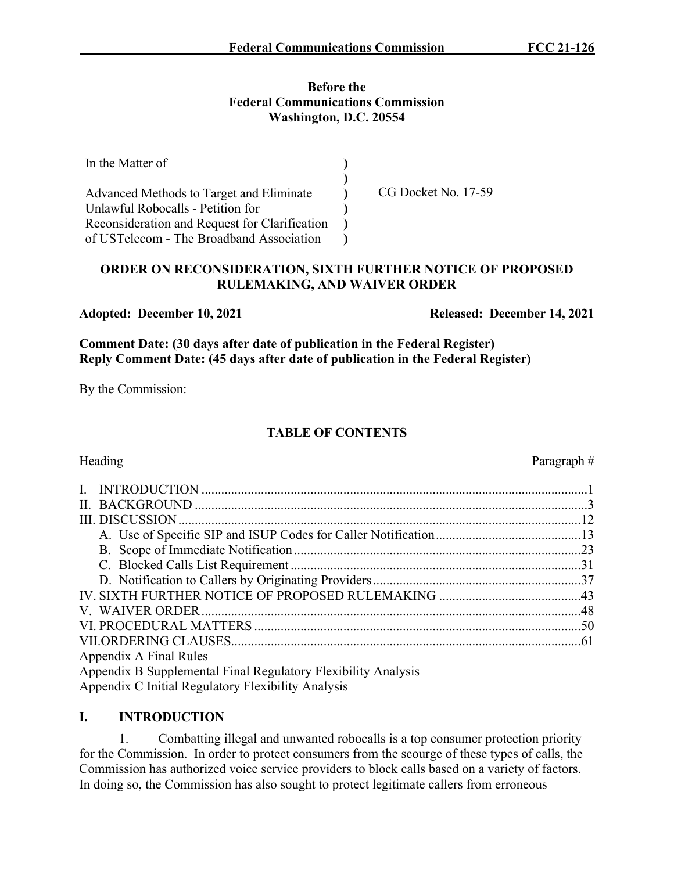#### **Before the Federal Communications Commission Washington, D.C. 20554**

| In the Matter of                              |                     |
|-----------------------------------------------|---------------------|
| Advanced Methods to Target and Eliminate      | CG Docket No. 17-59 |
| Unlawful Robocalls - Petition for             |                     |
| Reconsideration and Request for Clarification |                     |
| of USTelecom - The Broadband Association      |                     |

# **ORDER ON RECONSIDERATION, SIXTH FURTHER NOTICE OF PROPOSED RULEMAKING, AND WAIVER ORDER**

**Comment Date: (30 days after date of publication in the Federal Register) Reply Comment Date: (45 days after date of publication in the Federal Register)**

By the Commission:

# **TABLE OF CONTENTS**

| $\mathbf{I}$                                                  |  |
|---------------------------------------------------------------|--|
|                                                               |  |
|                                                               |  |
|                                                               |  |
|                                                               |  |
|                                                               |  |
|                                                               |  |
|                                                               |  |
|                                                               |  |
|                                                               |  |
|                                                               |  |
| Appendix A Final Rules                                        |  |
| Appendix B Supplemental Final Regulatory Flexibility Analysis |  |
| Appendix C Initial Regulatory Flexibility Analysis            |  |

# **I. INTRODUCTION**

1. Combatting illegal and unwanted robocalls is a top consumer protection priority for the Commission. In order to protect consumers from the scourge of these types of calls, the Commission has authorized voice service providers to block calls based on a variety of factors. In doing so, the Commission has also sought to protect legitimate callers from erroneous

Adopted: December 10, 2021 Released: December 14, 2021

Heading Paragraph #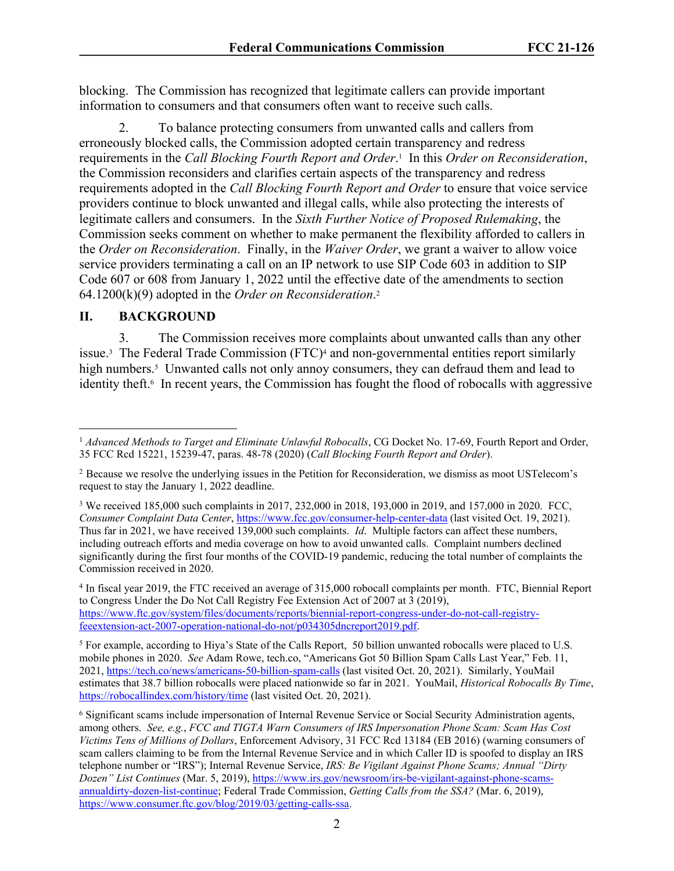blocking. The Commission has recognized that legitimate callers can provide important information to consumers and that consumers often want to receive such calls.

2. To balance protecting consumers from unwanted calls and callers from erroneously blocked calls, the Commission adopted certain transparency and redress requirements in the *Call Blocking Fourth Report and Order*. 1 In this *Order on Reconsideration*, the Commission reconsiders and clarifies certain aspects of the transparency and redress requirements adopted in the *Call Blocking Fourth Report and Order* to ensure that voice service providers continue to block unwanted and illegal calls, while also protecting the interests of legitimate callers and consumers. In the *Sixth Further Notice of Proposed Rulemaking*, the Commission seeks comment on whether to make permanent the flexibility afforded to callers in the *Order on Reconsideration*. Finally, in the *Waiver Order*, we grant a waiver to allow voice service providers terminating a call on an IP network to use SIP Code 603 in addition to SIP Code 607 or 608 from January 1, 2022 until the effective date of the amendments to section 64.1200(k)(9) adopted in the *Order on Reconsideration*. 2

#### **II. BACKGROUND**

3. The Commission receives more complaints about unwanted calls than any other issue.<sup>3</sup> The Federal Trade Commission (FTC)<sup>4</sup> and non-governmental entities report similarly high numbers.<sup>5</sup> Unwanted calls not only annoy consumers, they can defraud them and lead to identity theft.<sup>6</sup> In recent years, the Commission has fought the flood of robocalls with aggressive

<sup>3</sup> We received 185,000 such complaints in 2017, 232,000 in 2018, 193,000 in 2019, and 157,000 in 2020. FCC, *Consumer Complaint Data Center*,<https://www.fcc.gov/consumer-help-center-data>(last visited Oct. 19, 2021). Thus far in 2021, we have received 139,000 such complaints. *Id*. Multiple factors can affect these numbers, including outreach efforts and media coverage on how to avoid unwanted calls. Complaint numbers declined significantly during the first four months of the COVID-19 pandemic, reducing the total number of complaints the Commission received in 2020.

4 In fiscal year 2019, the FTC received an average of 315,000 robocall complaints per month. FTC, Biennial Report to Congress Under the Do Not Call Registry Fee Extension Act of 2007 at 3 (2019), [https://www.ftc.gov/system/files/documents/reports/biennial-report-congress-under-do-not-call-registry](https://www.ftc.gov/system/files/documents/reports/biennial-report-congress-under-do-not-call-registry-feeextension-act-2007-operation-national-do-not/p034305dncreport2019.pdf)[feeextension-act-2007-operation-national-do-not/p034305dncreport2019.pdf.](https://www.ftc.gov/system/files/documents/reports/biennial-report-congress-under-do-not-call-registry-feeextension-act-2007-operation-national-do-not/p034305dncreport2019.pdf)

<sup>5</sup> For example, according to Hiya's State of the Calls Report, 50 billion unwanted robocalls were placed to U.S. mobile phones in 2020. *See* Adam Rowe, tech.co, "Americans Got 50 Billion Spam Calls Last Year," Feb. 11, 2021, <https://tech.co/news/americans-50-billion-spam-calls>(last visited Oct. 20, 2021). Similarly, YouMail estimates that 38.7 billion robocalls were placed nationwide so far in 2021. YouMail, *Historical Robocalls By Time*, <https://robocallindex.com/history/time>(last visited Oct. 20, 2021).

<sup>1</sup> *Advanced Methods to Target and Eliminate Unlawful Robocalls*, CG Docket No. 17-69, Fourth Report and Order, 35 FCC Rcd 15221, 15239-47, paras. 48-78 (2020) (*Call Blocking Fourth Report and Order*).

<sup>2</sup> Because we resolve the underlying issues in the Petition for Reconsideration, we dismiss as moot USTelecom's request to stay the January 1, 2022 deadline.

<sup>6</sup> Significant scams include impersonation of Internal Revenue Service or Social Security Administration agents, among others. *See, e.g.*, *FCC and TIGTA Warn Consumers of IRS Impersonation Phone Scam: Scam Has Cost Victims Tens of Millions of Dollars*, Enforcement Advisory, 31 FCC Rcd 13184 (EB 2016) (warning consumers of scam callers claiming to be from the Internal Revenue Service and in which Caller ID is spoofed to display an IRS telephone number or "IRS"); Internal Revenue Service, *IRS: Be Vigilant Against Phone Scams; Annual "Dirty Dozen" List Continues* (Mar. 5, 2019), [https://www.irs.gov/newsroom/irs-be-vigilant-against-phone-scams](https://www.irs.gov/newsroom/irs-be-vigilant-against-phone-scams-annualdirty-dozen-list-continue)[annualdirty-dozen-list-continue](https://www.irs.gov/newsroom/irs-be-vigilant-against-phone-scams-annualdirty-dozen-list-continue); Federal Trade Commission, *Getting Calls from the SSA?* (Mar. 6, 2019), <https://www.consumer.ftc.gov/blog/2019/03/getting-calls-ssa>.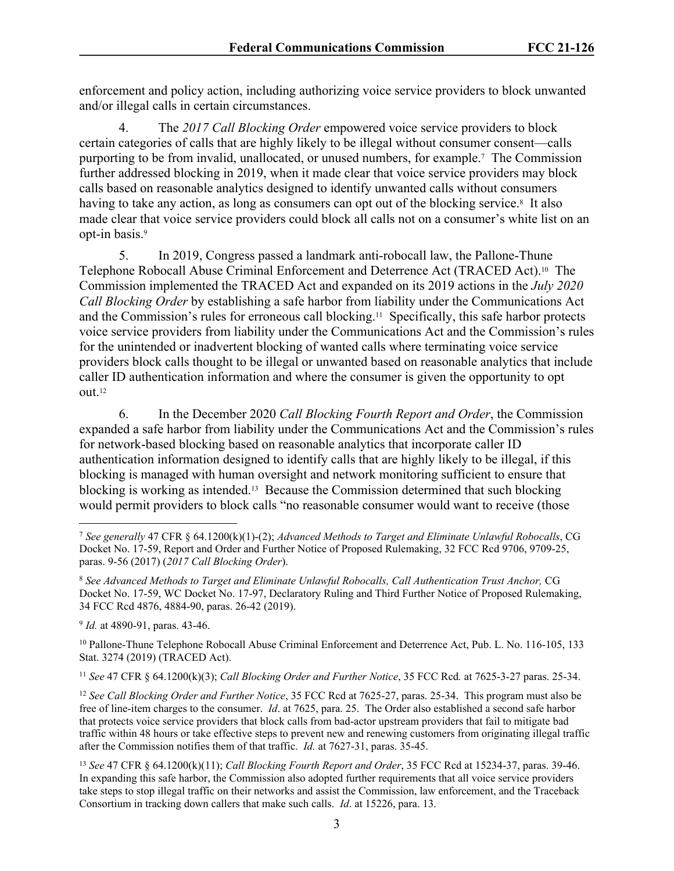enforcement and policy action, including authorizing voice service providers to block unwanted and/or illegal calls in certain circumstances.

4. The *2017 Call Blocking Order* empowered voice service providers to block certain categories of calls that are highly likely to be illegal without consumer consent—calls purporting to be from invalid, unallocated, or unused numbers, for example.<sup>7</sup> The Commission further addressed blocking in 2019, when it made clear that voice service providers may block calls based on reasonable analytics designed to identify unwanted calls without consumers having to take any action, as long as consumers can opt out of the blocking service.<sup>8</sup> It also made clear that voice service providers could block all calls not on a consumer's white list on an opt-in basis.<sup>9</sup>

5. In 2019, Congress passed a landmark anti-robocall law, the Pallone-Thune Telephone Robocall Abuse Criminal Enforcement and Deterrence Act (TRACED Act).10 The Commission implemented the TRACED Act and expanded on its 2019 actions in the *July 2020 Call Blocking Order* by establishing a safe harbor from liability under the Communications Act and the Commission's rules for erroneous call blocking.11 Specifically, this safe harbor protects voice service providers from liability under the Communications Act and the Commission's rules for the unintended or inadvertent blocking of wanted calls where terminating voice service providers block calls thought to be illegal or unwanted based on reasonable analytics that include caller ID authentication information and where the consumer is given the opportunity to opt out.<sup>12</sup>

6. In the December 2020 *Call Blocking Fourth Report and Order*, the Commission expanded a safe harbor from liability under the Communications Act and the Commission's rules for network-based blocking based on reasonable analytics that incorporate caller ID authentication information designed to identify calls that are highly likely to be illegal, if this blocking is managed with human oversight and network monitoring sufficient to ensure that blocking is working as intended.13 Because the Commission determined that such blocking would permit providers to block calls "no reasonable consumer would want to receive (those

9 *Id.* at 4890-91, paras. 43-46.

<sup>10</sup> Pallone-Thune Telephone Robocall Abuse Criminal Enforcement and Deterrence Act, Pub. L. No. 116-105, 133 Stat. 3274 (2019) (TRACED Act).

<sup>11</sup> *See* 47 CFR § 64.1200(k)(3); *Call Blocking Order and Further Notice*, 35 FCC Rcd*.* at 7625-3-27 paras. 25-34.

<sup>12</sup> *See Call Blocking Order and Further Notice*, 35 FCC Rcd at 7625-27, paras. 25-34. This program must also be free of line-item charges to the consumer. *Id*. at 7625, para. 25. The Order also established a second safe harbor that protects voice service providers that block calls from bad-actor upstream providers that fail to mitigate bad traffic within 48 hours or take effective steps to prevent new and renewing customers from originating illegal traffic after the Commission notifies them of that traffic. *Id.* at 7627-31, paras. 35-45.

<sup>7</sup> *See generally* 47 CFR § 64.1200(k)(1)-(2); *Advanced Methods to Target and Eliminate Unlawful Robocalls*, CG Docket No. 17-59, Report and Order and Further Notice of Proposed Rulemaking, 32 FCC Rcd 9706, 9709-25, paras. 9-56 (2017) (*2017 Call Blocking Order*).

<sup>8</sup> *See Advanced Methods to Target and Eliminate Unlawful Robocalls, Call Authentication Trust Anchor,* CG Docket No. 17-59, WC Docket No. 17-97, Declaratory Ruling and Third Further Notice of Proposed Rulemaking, 34 FCC Rcd 4876, 4884-90, paras. 26-42 (2019).

<sup>13</sup> *See* 47 CFR § 64.1200(k)(11); *Call Blocking Fourth Report and Order*, 35 FCC Rcd at 15234-37, paras. 39-46. In expanding this safe harbor, the Commission also adopted further requirements that all voice service providers take steps to stop illegal traffic on their networks and assist the Commission, law enforcement, and the Traceback Consortium in tracking down callers that make such calls. *Id*. at 15226, para. 13.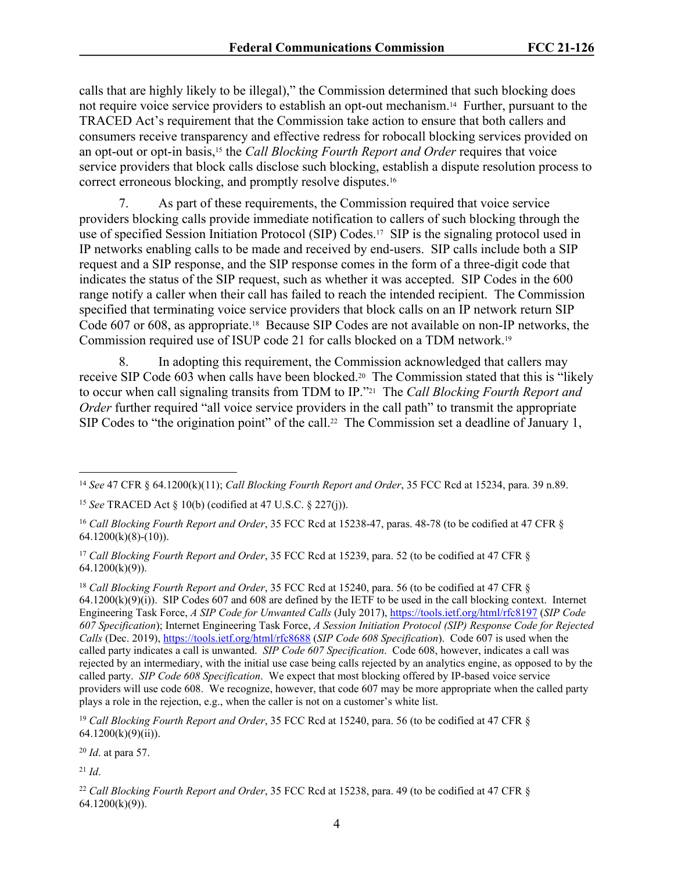calls that are highly likely to be illegal)," the Commission determined that such blocking does not require voice service providers to establish an opt-out mechanism.14 Further, pursuant to the TRACED Act's requirement that the Commission take action to ensure that both callers and consumers receive transparency and effective redress for robocall blocking services provided on an opt-out or opt-in basis,15 the *Call Blocking Fourth Report and Order* requires that voice service providers that block calls disclose such blocking, establish a dispute resolution process to correct erroneous blocking, and promptly resolve disputes.<sup>16</sup>

7. As part of these requirements, the Commission required that voice service providers blocking calls provide immediate notification to callers of such blocking through the use of specified Session Initiation Protocol (SIP) Codes.17 SIP is the signaling protocol used in IP networks enabling calls to be made and received by end-users. SIP calls include both a SIP request and a SIP response, and the SIP response comes in the form of a three-digit code that indicates the status of the SIP request, such as whether it was accepted. SIP Codes in the 600 range notify a caller when their call has failed to reach the intended recipient. The Commission specified that terminating voice service providers that block calls on an IP network return SIP Code 607 or 608, as appropriate.18 Because SIP Codes are not available on non-IP networks, the Commission required use of ISUP code 21 for calls blocked on a TDM network.<sup>19</sup>

8. In adopting this requirement, the Commission acknowledged that callers may receive SIP Code 603 when calls have been blocked.20 The Commission stated that this is "likely to occur when call signaling transits from TDM to IP."21 The *Call Blocking Fourth Report and Order* further required "all voice service providers in the call path" to transmit the appropriate SIP Codes to "the origination point" of the call.<sup>22</sup> The Commission set a deadline of January 1,

<sup>20</sup> *Id*. at para 57.

<sup>21</sup> *Id*.

<sup>14</sup> *See* 47 CFR § 64.1200(k)(11); *Call Blocking Fourth Report and Order*, 35 FCC Rcd at 15234, para. 39 n.89.

<sup>15</sup> *See* TRACED Act § 10(b) (codified at 47 U.S.C. § 227(j)).

<sup>16</sup> *Call Blocking Fourth Report and Order*, 35 FCC Rcd at 15238-47, paras. 48-78 (to be codified at 47 CFR §  $64.1200(k)(8)-(10)$ ).

<sup>17</sup> *Call Blocking Fourth Report and Order*, 35 FCC Rcd at 15239, para. 52 (to be codified at 47 CFR §  $64.1200(k)(9)$ ).

<sup>18</sup> *Call Blocking Fourth Report and Order*, 35 FCC Rcd at 15240, para. 56 (to be codified at 47 CFR §  $64.1200(k)(9)(i)$ ). SIP Codes 607 and 608 are defined by the IETF to be used in the call blocking context. Internet Engineering Task Force, *A SIP Code for Unwanted Calls* (July 2017),<https://tools.ietf.org/html/rfc8197> (*SIP Code 607 Specification*); Internet Engineering Task Force, *A Session Initiation Protocol (SIP) Response Code for Rejected Calls* (Dec. 2019),<https://tools.ietf.org/html/rfc8688> (*SIP Code 608 Specification*). Code 607 is used when the called party indicates a call is unwanted. *SIP Code 607 Specification*. Code 608, however, indicates a call was rejected by an intermediary, with the initial use case being calls rejected by an analytics engine, as opposed to by the called party. *SIP Code 608 Specification*. We expect that most blocking offered by IP-based voice service providers will use code 608. We recognize, however, that code 607 may be more appropriate when the called party plays a role in the rejection, e.g., when the caller is not on a customer's white list.

<sup>&</sup>lt;sup>19</sup> Call Blocking Fourth Report and Order, 35 FCC Rcd at 15240, para. 56 (to be codified at 47 CFR § 64.1200(k)(9)(ii)).

<sup>22</sup> *Call Blocking Fourth Report and Order*, 35 FCC Rcd at 15238, para. 49 (to be codified at 47 CFR § 64.1200(k)(9)).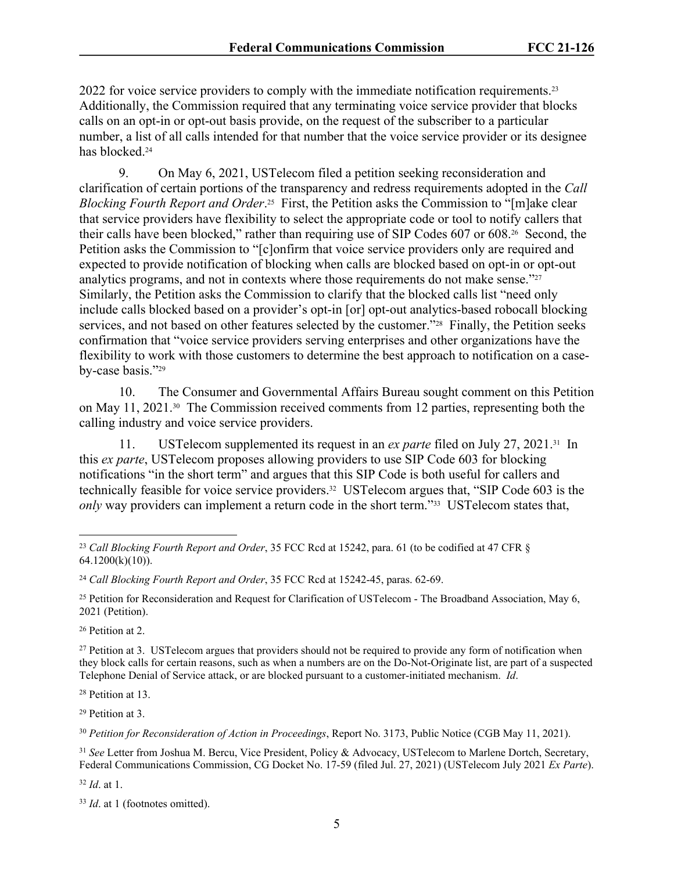2022 for voice service providers to comply with the immediate notification requirements.<sup>23</sup> Additionally, the Commission required that any terminating voice service provider that blocks calls on an opt-in or opt-out basis provide, on the request of the subscriber to a particular number, a list of all calls intended for that number that the voice service provider or its designee has blocked.<sup>24</sup>

9. On May 6, 2021, USTelecom filed a petition seeking reconsideration and clarification of certain portions of the transparency and redress requirements adopted in the *Call Blocking Fourth Report and Order*. <sup>25</sup> First, the Petition asks the Commission to "[m]ake clear that service providers have flexibility to select the appropriate code or tool to notify callers that their calls have been blocked," rather than requiring use of SIP Codes 607 or 608.26 Second, the Petition asks the Commission to "[c]onfirm that voice service providers only are required and expected to provide notification of blocking when calls are blocked based on opt-in or opt-out analytics programs, and not in contexts where those requirements do not make sense."<sup>27</sup> Similarly, the Petition asks the Commission to clarify that the blocked calls list "need only include calls blocked based on a provider's opt-in [or] opt-out analytics-based robocall blocking services, and not based on other features selected by the customer."<sup>28</sup> Finally, the Petition seeks confirmation that "voice service providers serving enterprises and other organizations have the flexibility to work with those customers to determine the best approach to notification on a caseby-case basis."<sup>29</sup>

10. The Consumer and Governmental Affairs Bureau sought comment on this Petition on May 11, 2021.30 The Commission received comments from 12 parties, representing both the calling industry and voice service providers.

11. USTelecom supplemented its request in an *ex parte* filed on July 27, 2021.31 In this *ex parte*, USTelecom proposes allowing providers to use SIP Code 603 for blocking notifications "in the short term" and argues that this SIP Code is both useful for callers and technically feasible for voice service providers.32 USTelecom argues that, "SIP Code 603 is the *only* way providers can implement a return code in the short term."<sup>33</sup> USTelecom states that,

<sup>26</sup> Petition at 2.

<sup>28</sup> Petition at 13.

<sup>29</sup> Petition at 3.

<sup>30</sup> *Petition for Reconsideration of Action in Proceedings*, Report No. 3173, Public Notice (CGB May 11, 2021).

<sup>31</sup> *See* Letter from Joshua M. Bercu, Vice President, Policy & Advocacy, USTelecom to Marlene Dortch, Secretary, Federal Communications Commission, CG Docket No. 17-59 (filed Jul. 27, 2021) (USTelecom July 2021 *Ex Parte*).

<sup>32</sup> *Id*. at 1.

<sup>23</sup> *Call Blocking Fourth Report and Order*, 35 FCC Rcd at 15242, para. 61 (to be codified at 47 CFR §  $64.1200(k)(10)$ .

<sup>24</sup> *Call Blocking Fourth Report and Order*, 35 FCC Rcd at 15242-45, paras. 62-69.

<sup>&</sup>lt;sup>25</sup> Petition for Reconsideration and Request for Clarification of USTelecom - The Broadband Association, May 6, 2021 (Petition).

<sup>&</sup>lt;sup>27</sup> Petition at 3. USTelecom argues that providers should not be required to provide any form of notification when they block calls for certain reasons, such as when a numbers are on the Do-Not-Originate list, are part of a suspected Telephone Denial of Service attack, or are blocked pursuant to a customer-initiated mechanism. *Id*.

<sup>33</sup> *Id*. at 1 (footnotes omitted).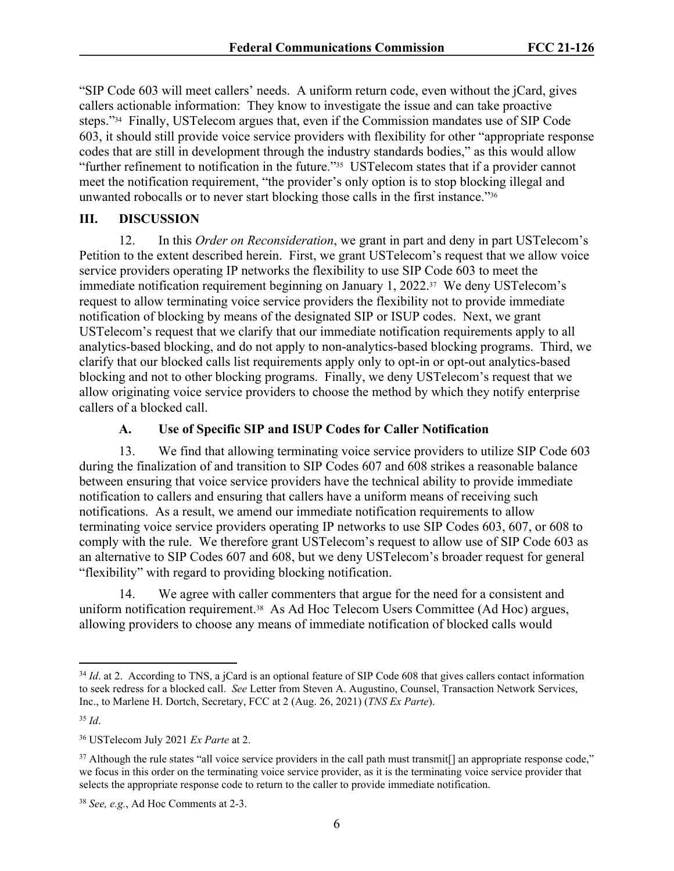"SIP Code 603 will meet callers' needs. A uniform return code, even without the jCard, gives callers actionable information: They know to investigate the issue and can take proactive steps."34 Finally, USTelecom argues that, even if the Commission mandates use of SIP Code 603, it should still provide voice service providers with flexibility for other "appropriate response codes that are still in development through the industry standards bodies," as this would allow "further refinement to notification in the future."35 USTelecom states that if a provider cannot meet the notification requirement, "the provider's only option is to stop blocking illegal and unwanted robocalls or to never start blocking those calls in the first instance."<sup>36</sup>

# **III. DISCUSSION**

12. In this *Order on Reconsideration*, we grant in part and deny in part USTelecom's Petition to the extent described herein. First, we grant USTelecom's request that we allow voice service providers operating IP networks the flexibility to use SIP Code 603 to meet the immediate notification requirement beginning on January 1, 2022.<sup>37</sup> We deny USTelecom's request to allow terminating voice service providers the flexibility not to provide immediate notification of blocking by means of the designated SIP or ISUP codes. Next, we grant USTelecom's request that we clarify that our immediate notification requirements apply to all analytics-based blocking, and do not apply to non-analytics-based blocking programs. Third, we clarify that our blocked calls list requirements apply only to opt-in or opt-out analytics-based blocking and not to other blocking programs. Finally, we deny USTelecom's request that we allow originating voice service providers to choose the method by which they notify enterprise callers of a blocked call.

# **A. Use of Specific SIP and ISUP Codes for Caller Notification**

13. We find that allowing terminating voice service providers to utilize SIP Code 603 during the finalization of and transition to SIP Codes 607 and 608 strikes a reasonable balance between ensuring that voice service providers have the technical ability to provide immediate notification to callers and ensuring that callers have a uniform means of receiving such notifications. As a result, we amend our immediate notification requirements to allow terminating voice service providers operating IP networks to use SIP Codes 603, 607, or 608 to comply with the rule. We therefore grant USTelecom's request to allow use of SIP Code 603 as an alternative to SIP Codes 607 and 608, but we deny USTelecom's broader request for general "flexibility" with regard to providing blocking notification.

14. We agree with caller commenters that argue for the need for a consistent and uniform notification requirement.<sup>38</sup> As Ad Hoc Telecom Users Committee (Ad Hoc) argues, allowing providers to choose any means of immediate notification of blocked calls would

<sup>&</sup>lt;sup>34</sup> *Id.* at 2. According to TNS, a jCard is an optional feature of SIP Code 608 that gives callers contact information to seek redress for a blocked call. *See* Letter from Steven A. Augustino, Counsel, Transaction Network Services, Inc., to Marlene H. Dortch, Secretary, FCC at 2 (Aug. 26, 2021) (*TNS Ex Parte*).

<sup>35</sup> *Id*.

<sup>36</sup> USTelecom July 2021 *Ex Parte* at 2.

<sup>&</sup>lt;sup>37</sup> Although the rule states "all voice service providers in the call path must transmit<sup>[]</sup> an appropriate response code," we focus in this order on the terminating voice service provider, as it is the terminating voice service provider that selects the appropriate response code to return to the caller to provide immediate notification.

<sup>38</sup> *See, e.g.*, Ad Hoc Comments at 2-3.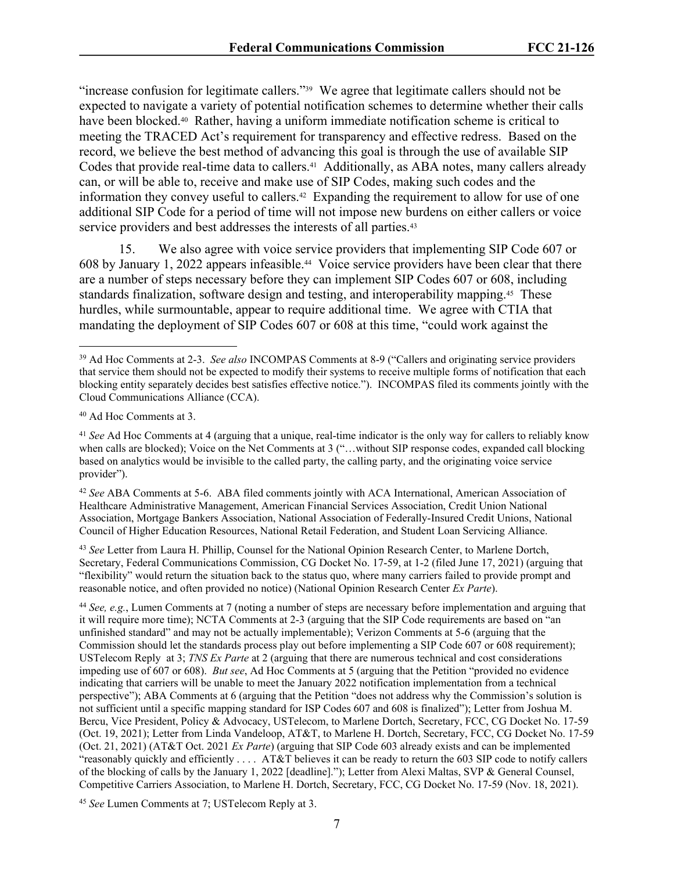"increase confusion for legitimate callers."39 We agree that legitimate callers should not be expected to navigate a variety of potential notification schemes to determine whether their calls have been blocked.<sup>40</sup> Rather, having a uniform immediate notification scheme is critical to meeting the TRACED Act's requirement for transparency and effective redress. Based on the record, we believe the best method of advancing this goal is through the use of available SIP Codes that provide real-time data to callers.41 Additionally, as ABA notes, many callers already can, or will be able to, receive and make use of SIP Codes, making such codes and the information they convey useful to callers.<sup>42</sup> Expanding the requirement to allow for use of one additional SIP Code for a period of time will not impose new burdens on either callers or voice service providers and best addresses the interests of all parties.<sup>43</sup>

15. We also agree with voice service providers that implementing SIP Code 607 or 608 by January 1, 2022 appears infeasible.44 Voice service providers have been clear that there are a number of steps necessary before they can implement SIP Codes 607 or 608, including standards finalization, software design and testing, and interoperability mapping.45 These hurdles, while surmountable, appear to require additional time. We agree with CTIA that mandating the deployment of SIP Codes 607 or 608 at this time, "could work against the

<sup>40</sup> Ad Hoc Comments at 3.

<sup>43</sup> *See* Letter from Laura H. Phillip, Counsel for the National Opinion Research Center, to Marlene Dortch, Secretary, Federal Communications Commission, CG Docket No. 17-59, at 1-2 (filed June 17, 2021) (arguing that "flexibility" would return the situation back to the status quo, where many carriers failed to provide prompt and reasonable notice, and often provided no notice) (National Opinion Research Center *Ex Parte*).

<sup>44</sup> *See, e.g.*, Lumen Comments at 7 (noting a number of steps are necessary before implementation and arguing that it will require more time); NCTA Comments at 2-3 (arguing that the SIP Code requirements are based on "an unfinished standard" and may not be actually implementable); Verizon Comments at 5-6 (arguing that the Commission should let the standards process play out before implementing a SIP Code 607 or 608 requirement); USTelecom Reply at 3; *TNS Ex Parte* at 2 (arguing that there are numerous technical and cost considerations impeding use of 607 or 608). *But see*, Ad Hoc Comments at 5 (arguing that the Petition "provided no evidence indicating that carriers will be unable to meet the January 2022 notification implementation from a technical perspective"); ABA Comments at 6 (arguing that the Petition "does not address why the Commission's solution is not sufficient until a specific mapping standard for ISP Codes 607 and 608 is finalized"); Letter from Joshua M. Bercu, Vice President, Policy & Advocacy, USTelecom, to Marlene Dortch, Secretary, FCC, CG Docket No. 17-59 (Oct. 19, 2021); Letter from Linda Vandeloop, AT&T, to Marlene H. Dortch, Secretary, FCC, CG Docket No. 17-59 (Oct. 21, 2021) (AT&T Oct. 2021 *Ex Parte*) (arguing that SIP Code 603 already exists and can be implemented "reasonably quickly and efficiently  $\ldots$  AT&T believes it can be ready to return the 603 SIP code to notify callers of the blocking of calls by the January 1, 2022 [deadline]."); Letter from Alexi Maltas, SVP & General Counsel, Competitive Carriers Association, to Marlene H. Dortch, Secretary, FCC, CG Docket No. 17-59 (Nov. 18, 2021).

<sup>45</sup> *See* Lumen Comments at 7; USTelecom Reply at 3.

<sup>39</sup> Ad Hoc Comments at 2-3. *See also* INCOMPAS Comments at 8-9 ("Callers and originating service providers that service them should not be expected to modify their systems to receive multiple forms of notification that each blocking entity separately decides best satisfies effective notice."). INCOMPAS filed its comments jointly with the Cloud Communications Alliance (CCA).

<sup>41</sup> *See* Ad Hoc Comments at 4 (arguing that a unique, real-time indicator is the only way for callers to reliably know when calls are blocked); Voice on the Net Comments at 3 ("...without SIP response codes, expanded call blocking based on analytics would be invisible to the called party, the calling party, and the originating voice service provider").

<sup>42</sup> *See* ABA Comments at 5-6. ABA filed comments jointly with ACA International, American Association of Healthcare Administrative Management, American Financial Services Association, Credit Union National Association, Mortgage Bankers Association, National Association of Federally-Insured Credit Unions, National Council of Higher Education Resources, National Retail Federation, and Student Loan Servicing Alliance.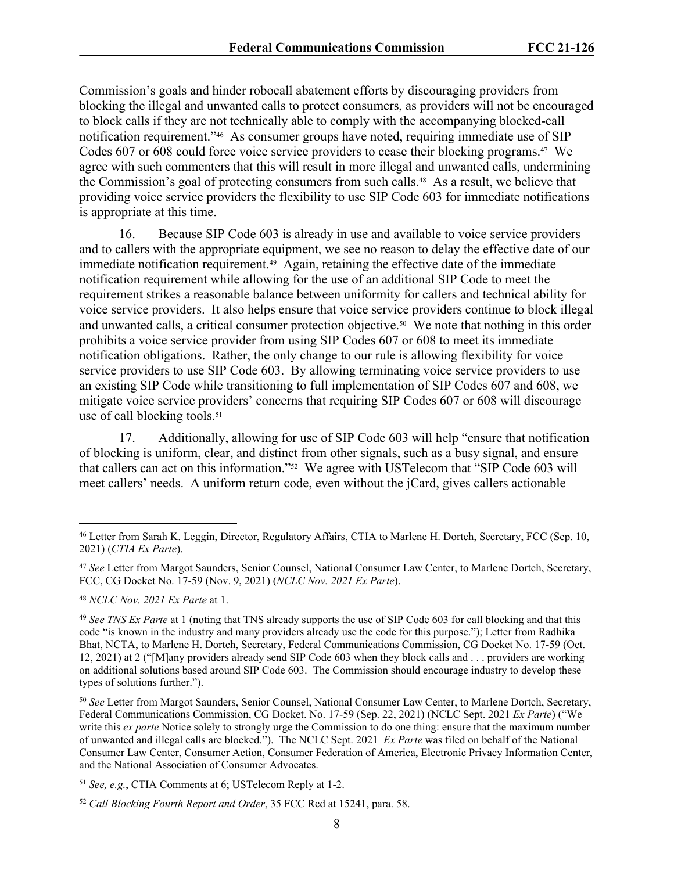Commission's goals and hinder robocall abatement efforts by discouraging providers from blocking the illegal and unwanted calls to protect consumers, as providers will not be encouraged to block calls if they are not technically able to comply with the accompanying blocked-call notification requirement."46 As consumer groups have noted, requiring immediate use of SIP Codes 607 or 608 could force voice service providers to cease their blocking programs.47 We agree with such commenters that this will result in more illegal and unwanted calls, undermining the Commission's goal of protecting consumers from such calls.<sup>48</sup> As a result, we believe that providing voice service providers the flexibility to use SIP Code 603 for immediate notifications is appropriate at this time.

16. Because SIP Code 603 is already in use and available to voice service providers and to callers with the appropriate equipment, we see no reason to delay the effective date of our immediate notification requirement.<sup>49</sup> Again, retaining the effective date of the immediate notification requirement while allowing for the use of an additional SIP Code to meet the requirement strikes a reasonable balance between uniformity for callers and technical ability for voice service providers. It also helps ensure that voice service providers continue to block illegal and unwanted calls, a critical consumer protection objective.50 We note that nothing in this order prohibits a voice service provider from using SIP Codes 607 or 608 to meet its immediate notification obligations. Rather, the only change to our rule is allowing flexibility for voice service providers to use SIP Code 603. By allowing terminating voice service providers to use an existing SIP Code while transitioning to full implementation of SIP Codes 607 and 608, we mitigate voice service providers' concerns that requiring SIP Codes 607 or 608 will discourage use of call blocking tools.<sup>51</sup>

17. Additionally, allowing for use of SIP Code 603 will help "ensure that notification of blocking is uniform, clear, and distinct from other signals, such as a busy signal, and ensure that callers can act on this information."52 We agree with USTelecom that "SIP Code 603 will meet callers' needs. A uniform return code, even without the jCard, gives callers actionable

<sup>46</sup> Letter from Sarah K. Leggin, Director, Regulatory Affairs, CTIA to Marlene H. Dortch, Secretary, FCC (Sep. 10, 2021) (*CTIA Ex Parte*).

<sup>47</sup> *See* Letter from Margot Saunders, Senior Counsel, National Consumer Law Center, to Marlene Dortch, Secretary, FCC, CG Docket No. 17-59 (Nov. 9, 2021) (*NCLC Nov. 2021 Ex Parte*).

<sup>48</sup> *NCLC Nov. 2021 Ex Parte* at 1.

<sup>49</sup> *See TNS Ex Parte* at 1 (noting that TNS already supports the use of SIP Code 603 for call blocking and that this code "is known in the industry and many providers already use the code for this purpose."); Letter from Radhika Bhat, NCTA, to Marlene H. Dortch, Secretary, Federal Communications Commission, CG Docket No. 17-59 (Oct. 12, 2021) at 2 ("[M]any providers already send SIP Code 603 when they block calls and . . . providers are working on additional solutions based around SIP Code 603. The Commission should encourage industry to develop these types of solutions further.").

<sup>50</sup> *See* Letter from Margot Saunders, Senior Counsel, National Consumer Law Center, to Marlene Dortch, Secretary, Federal Communications Commission, CG Docket. No. 17-59 (Sep. 22, 2021) (NCLC Sept. 2021 *Ex Parte*) ("We write this *ex parte* Notice solely to strongly urge the Commission to do one thing: ensure that the maximum number of unwanted and illegal calls are blocked."). The NCLC Sept. 2021 *Ex Parte* was filed on behalf of the National Consumer Law Center, Consumer Action, Consumer Federation of America, Electronic Privacy Information Center, and the National Association of Consumer Advocates.

<sup>51</sup> *See, e.g.*, CTIA Comments at 6; USTelecom Reply at 1-2.

<sup>52</sup> *Call Blocking Fourth Report and Order*, 35 FCC Rcd at 15241, para. 58.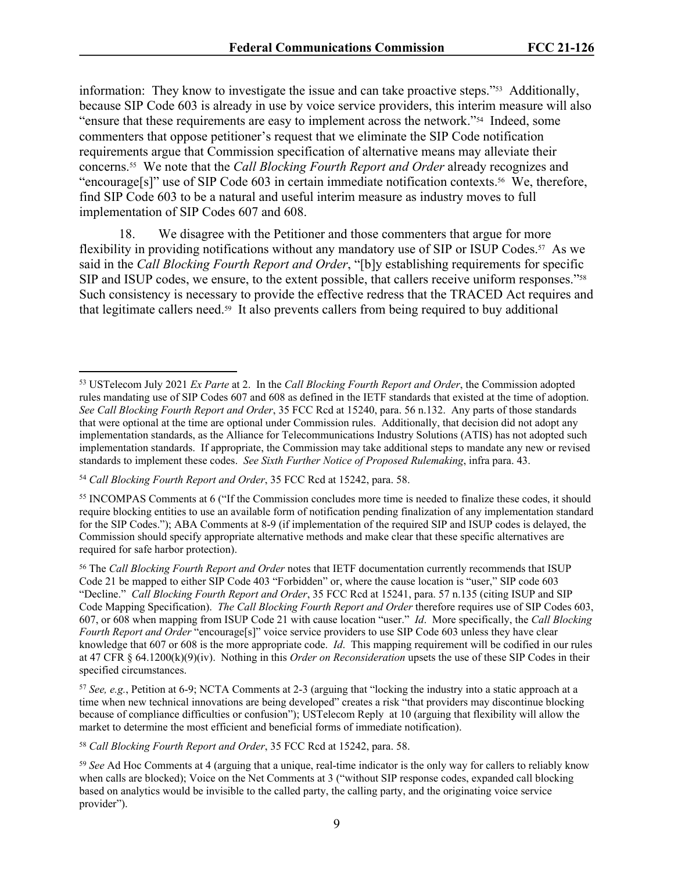information: They know to investigate the issue and can take proactive steps."53 Additionally, because SIP Code 603 is already in use by voice service providers, this interim measure will also "ensure that these requirements are easy to implement across the network."54 Indeed, some commenters that oppose petitioner's request that we eliminate the SIP Code notification requirements argue that Commission specification of alternative means may alleviate their concerns.55 We note that the *Call Blocking Fourth Report and Order* already recognizes and "encourage[s]" use of SIP Code 603 in certain immediate notification contexts.56 We, therefore, find SIP Code 603 to be a natural and useful interim measure as industry moves to full implementation of SIP Codes 607 and 608.

18. We disagree with the Petitioner and those commenters that argue for more flexibility in providing notifications without any mandatory use of SIP or ISUP Codes.<sup>57</sup> As we said in the *Call Blocking Fourth Report and Order*, "[b]y establishing requirements for specific SIP and ISUP codes, we ensure, to the extent possible, that callers receive uniform responses."<sup>58</sup> Such consistency is necessary to provide the effective redress that the TRACED Act requires and that legitimate callers need.59 It also prevents callers from being required to buy additional

<sup>58</sup> *Call Blocking Fourth Report and Order*, 35 FCC Rcd at 15242, para. 58.

<sup>53</sup> USTelecom July 2021 *Ex Parte* at 2. In the *Call Blocking Fourth Report and Order*, the Commission adopted rules mandating use of SIP Codes 607 and 608 as defined in the IETF standards that existed at the time of adoption. *See Call Blocking Fourth Report and Order*, 35 FCC Rcd at 15240, para. 56 n.132. Any parts of those standards that were optional at the time are optional under Commission rules. Additionally, that decision did not adopt any implementation standards, as the Alliance for Telecommunications Industry Solutions (ATIS) has not adopted such implementation standards. If appropriate, the Commission may take additional steps to mandate any new or revised standards to implement these codes. *See Sixth Further Notice of Proposed Rulemaking*, infra para. 43.

<sup>54</sup> *Call Blocking Fourth Report and Order*, 35 FCC Rcd at 15242, para. 58.

<sup>55</sup> INCOMPAS Comments at 6 ("If the Commission concludes more time is needed to finalize these codes, it should require blocking entities to use an available form of notification pending finalization of any implementation standard for the SIP Codes."); ABA Comments at 8-9 (if implementation of the required SIP and ISUP codes is delayed, the Commission should specify appropriate alternative methods and make clear that these specific alternatives are required for safe harbor protection).

<sup>56</sup> The *Call Blocking Fourth Report and Order* notes that IETF documentation currently recommends that ISUP Code 21 be mapped to either SIP Code 403 "Forbidden" or, where the cause location is "user," SIP code 603 "Decline." *Call Blocking Fourth Report and Order*, 35 FCC Rcd at 15241, para. 57 n.135 (citing ISUP and SIP Code Mapping Specification). *The Call Blocking Fourth Report and Order* therefore requires use of SIP Codes 603, 607, or 608 when mapping from ISUP Code 21 with cause location "user." *Id*. More specifically, the *Call Blocking Fourth Report and Order* "encourage[s]" voice service providers to use SIP Code 603 unless they have clear knowledge that 607 or 608 is the more appropriate code. *Id*. This mapping requirement will be codified in our rules at 47 CFR § 64.1200(k)(9)(iv). Nothing in this *Order on Reconsideration* upsets the use of these SIP Codes in their specified circumstances.

<sup>57</sup> *See, e.g.*, Petition at 6-9; NCTA Comments at 2-3 (arguing that "locking the industry into a static approach at a time when new technical innovations are being developed" creates a risk "that providers may discontinue blocking because of compliance difficulties or confusion"); USTelecom Reply at 10 (arguing that flexibility will allow the market to determine the most efficient and beneficial forms of immediate notification).

<sup>59</sup> *See* Ad Hoc Comments at 4 (arguing that a unique, real-time indicator is the only way for callers to reliably know when calls are blocked); Voice on the Net Comments at 3 ("without SIP response codes, expanded call blocking based on analytics would be invisible to the called party, the calling party, and the originating voice service provider").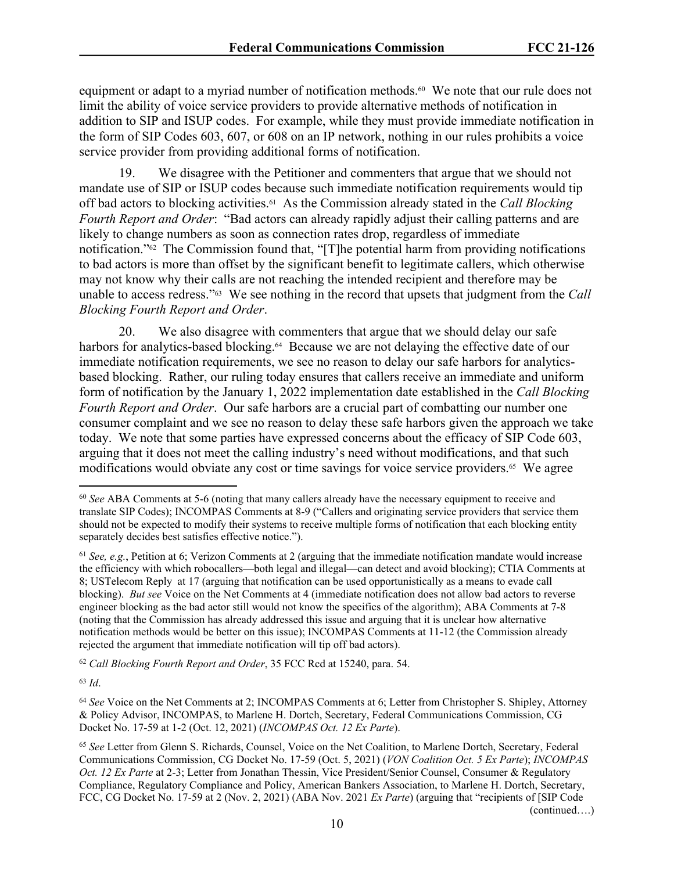equipment or adapt to a myriad number of notification methods.<sup>60</sup> We note that our rule does not limit the ability of voice service providers to provide alternative methods of notification in addition to SIP and ISUP codes. For example, while they must provide immediate notification in the form of SIP Codes 603, 607, or 608 on an IP network, nothing in our rules prohibits a voice service provider from providing additional forms of notification.

19. We disagree with the Petitioner and commenters that argue that we should not mandate use of SIP or ISUP codes because such immediate notification requirements would tip off bad actors to blocking activities.61 As the Commission already stated in the *Call Blocking Fourth Report and Order*: "Bad actors can already rapidly adjust their calling patterns and are likely to change numbers as soon as connection rates drop, regardless of immediate notification."62 The Commission found that, "[T]he potential harm from providing notifications to bad actors is more than offset by the significant benefit to legitimate callers, which otherwise may not know why their calls are not reaching the intended recipient and therefore may be unable to access redress."63 We see nothing in the record that upsets that judgment from the *Call Blocking Fourth Report and Order*.

20. We also disagree with commenters that argue that we should delay our safe harbors for analytics-based blocking.<sup>64</sup> Because we are not delaying the effective date of our immediate notification requirements, we see no reason to delay our safe harbors for analyticsbased blocking. Rather, our ruling today ensures that callers receive an immediate and uniform form of notification by the January 1, 2022 implementation date established in the *Call Blocking Fourth Report and Order*. Our safe harbors are a crucial part of combatting our number one consumer complaint and we see no reason to delay these safe harbors given the approach we take today. We note that some parties have expressed concerns about the efficacy of SIP Code 603, arguing that it does not meet the calling industry's need without modifications, and that such modifications would obviate any cost or time savings for voice service providers.<sup>65</sup> We agree

<sup>62</sup> *Call Blocking Fourth Report and Order*, 35 FCC Rcd at 15240, para. 54.

<sup>63</sup> *Id*.

(continued….)

<sup>60</sup> *See* ABA Comments at 5-6 (noting that many callers already have the necessary equipment to receive and translate SIP Codes); INCOMPAS Comments at 8-9 ("Callers and originating service providers that service them should not be expected to modify their systems to receive multiple forms of notification that each blocking entity separately decides best satisfies effective notice.").

<sup>61</sup> *See, e.g.*, Petition at 6; Verizon Comments at 2 (arguing that the immediate notification mandate would increase the efficiency with which robocallers—both legal and illegal—can detect and avoid blocking); CTIA Comments at 8; USTelecom Reply at 17 (arguing that notification can be used opportunistically as a means to evade call blocking). *But see* Voice on the Net Comments at 4 (immediate notification does not allow bad actors to reverse engineer blocking as the bad actor still would not know the specifics of the algorithm); ABA Comments at 7-8 (noting that the Commission has already addressed this issue and arguing that it is unclear how alternative notification methods would be better on this issue); INCOMPAS Comments at 11-12 (the Commission already rejected the argument that immediate notification will tip off bad actors).

<sup>64</sup> *See* Voice on the Net Comments at 2; INCOMPAS Comments at 6; Letter from Christopher S. Shipley, Attorney & Policy Advisor, INCOMPAS, to Marlene H. Dortch, Secretary, Federal Communications Commission, CG Docket No. 17-59 at 1-2 (Oct. 12, 2021) (*INCOMPAS Oct. 12 Ex Parte*).

<sup>65</sup> *See* Letter from Glenn S. Richards, Counsel, Voice on the Net Coalition, to Marlene Dortch, Secretary, Federal Communications Commission, CG Docket No. 17-59 (Oct. 5, 2021) (*VON Coalition Oct. 5 Ex Parte*); *INCOMPAS Oct. 12 Ex Parte* at 2-3; Letter from Jonathan Thessin, Vice President/Senior Counsel, Consumer & Regulatory Compliance, Regulatory Compliance and Policy, American Bankers Association, to Marlene H. Dortch, Secretary, FCC, CG Docket No. 17-59 at 2 (Nov. 2, 2021) (ABA Nov. 2021 *Ex Parte*) (arguing that "recipients of [SIP Code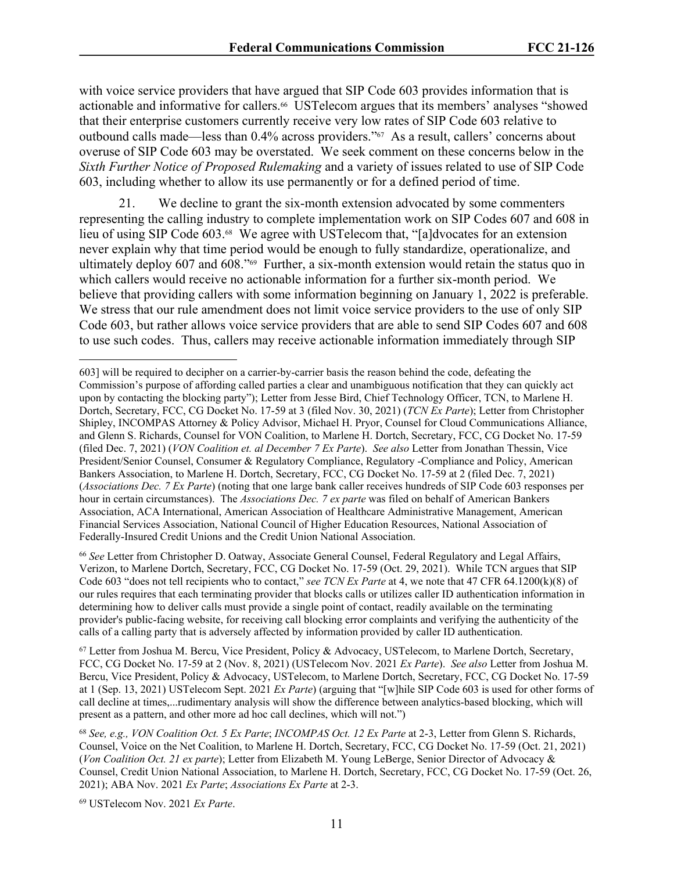with voice service providers that have argued that SIP Code 603 provides information that is actionable and informative for callers.<sup>66</sup> USTelecom argues that its members' analyses "showed that their enterprise customers currently receive very low rates of SIP Code 603 relative to outbound calls made—less than 0.4% across providers."67 As a result, callers' concerns about overuse of SIP Code 603 may be overstated. We seek comment on these concerns below in the *Sixth Further Notice of Proposed Rulemaking* and a variety of issues related to use of SIP Code 603, including whether to allow its use permanently or for a defined period of time.

We decline to grant the six-month extension advocated by some commenters representing the calling industry to complete implementation work on SIP Codes 607 and 608 in lieu of using SIP Code 603.<sup>68</sup> We agree with UST elecom that, "[a]dvocates for an extension never explain why that time period would be enough to fully standardize, operationalize, and ultimately deploy 607 and 608."69 Further, a six-month extension would retain the status quo in which callers would receive no actionable information for a further six-month period. We believe that providing callers with some information beginning on January 1, 2022 is preferable. We stress that our rule amendment does not limit voice service providers to the use of only SIP Code 603, but rather allows voice service providers that are able to send SIP Codes 607 and 608 to use such codes. Thus, callers may receive actionable information immediately through SIP

<sup>66</sup> *See* Letter from Christopher D. Oatway, Associate General Counsel, Federal Regulatory and Legal Affairs, Verizon, to Marlene Dortch, Secretary, FCC, CG Docket No. 17-59 (Oct. 29, 2021). While TCN argues that SIP Code 603 "does not tell recipients who to contact," *see TCN Ex Parte* at 4, we note that 47 CFR 64.1200(k)(8) of our rules requires that each terminating provider that blocks calls or utilizes caller ID authentication information in determining how to deliver calls must provide a single point of contact, readily available on the terminating provider's public-facing website, for receiving call blocking error complaints and verifying the authenticity of the calls of a calling party that is adversely affected by information provided by caller ID authentication.

<sup>67</sup> Letter from Joshua M. Bercu, Vice President, Policy & Advocacy, USTelecom, to Marlene Dortch, Secretary, FCC, CG Docket No. 17-59 at 2 (Nov. 8, 2021) (USTelecom Nov. 2021 *Ex Parte*). *See also* Letter from Joshua M. Bercu, Vice President, Policy & Advocacy, USTelecom, to Marlene Dortch, Secretary, FCC, CG Docket No. 17-59 at 1 (Sep. 13, 2021) USTelecom Sept. 2021 *Ex Parte*) (arguing that "[w]hile SIP Code 603 is used for other forms of call decline at times,...rudimentary analysis will show the difference between analytics-based blocking, which will present as a pattern, and other more ad hoc call declines, which will not.")

<sup>68</sup> *See, e.g., VON Coalition Oct. 5 Ex Parte*; *INCOMPAS Oct. 12 Ex Parte* at 2-3, Letter from Glenn S. Richards, Counsel, Voice on the Net Coalition, to Marlene H. Dortch, Secretary, FCC, CG Docket No. 17-59 (Oct. 21, 2021) (*Von Coalition Oct. 21 ex parte*); Letter from Elizabeth M. Young LeBerge, Senior Director of Advocacy & Counsel, Credit Union National Association, to Marlene H. Dortch, Secretary, FCC, CG Docket No. 17-59 (Oct. 26, 2021); ABA Nov. 2021 *Ex Parte*; *Associations Ex Parte* at 2-3.

69 USTelecom Nov. 2021 *Ex Parte*.

<sup>603]</sup> will be required to decipher on a carrier-by-carrier basis the reason behind the code, defeating the Commission's purpose of affording called parties a clear and unambiguous notification that they can quickly act upon by contacting the blocking party"); Letter from Jesse Bird, Chief Technology Officer, TCN, to Marlene H. Dortch, Secretary, FCC, CG Docket No. 17-59 at 3 (filed Nov. 30, 2021) (*TCN Ex Parte*); Letter from Christopher Shipley, INCOMPAS Attorney & Policy Advisor, Michael H. Pryor, Counsel for Cloud Communications Alliance, and Glenn S. Richards, Counsel for VON Coalition, to Marlene H. Dortch, Secretary, FCC, CG Docket No. 17-59 (filed Dec. 7, 2021) (*VON Coalition et. al December 7 Ex Parte*). *See also* Letter from Jonathan Thessin, Vice President/Senior Counsel, Consumer & Regulatory Compliance, Regulatory -Compliance and Policy, American Bankers Association, to Marlene H. Dortch, Secretary, FCC, CG Docket No. 17-59 at 2 (filed Dec. 7, 2021) (*Associations Dec. 7 Ex Parte*) (noting that one large bank caller receives hundreds of SIP Code 603 responses per hour in certain circumstances). The *Associations Dec. 7 ex parte* was filed on behalf of American Bankers Association, ACA International, American Association of Healthcare Administrative Management, American Financial Services Association, National Council of Higher Education Resources, National Association of Federally-Insured Credit Unions and the Credit Union National Association.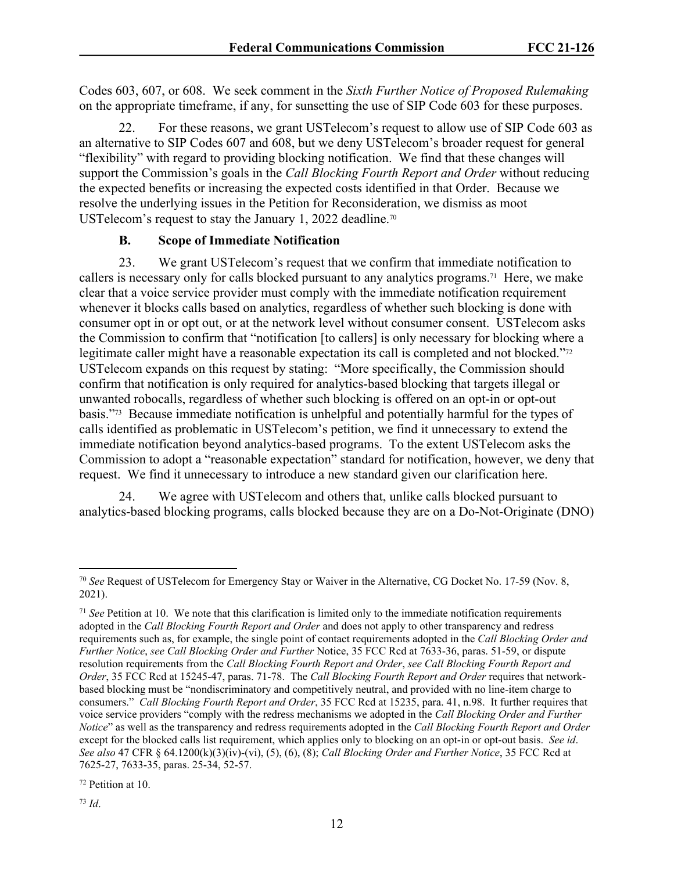Codes 603, 607, or 608. We seek comment in the *Sixth Further Notice of Proposed Rulemaking* on the appropriate timeframe, if any, for sunsetting the use of SIP Code 603 for these purposes.

22. For these reasons, we grant USTelecom's request to allow use of SIP Code 603 as an alternative to SIP Codes 607 and 608, but we deny USTelecom's broader request for general "flexibility" with regard to providing blocking notification. We find that these changes will support the Commission's goals in the *Call Blocking Fourth Report and Order* without reducing the expected benefits or increasing the expected costs identified in that Order. Because we resolve the underlying issues in the Petition for Reconsideration, we dismiss as moot USTelecom's request to stay the January 1, 2022 deadline.<sup>70</sup>

#### **B. Scope of Immediate Notification**

23. We grant USTelecom's request that we confirm that immediate notification to callers is necessary only for calls blocked pursuant to any analytics programs.71 Here, we make clear that a voice service provider must comply with the immediate notification requirement whenever it blocks calls based on analytics, regardless of whether such blocking is done with consumer opt in or opt out, or at the network level without consumer consent. USTelecom asks the Commission to confirm that "notification [to callers] is only necessary for blocking where a legitimate caller might have a reasonable expectation its call is completed and not blocked."<sup>72</sup> USTelecom expands on this request by stating: "More specifically, the Commission should confirm that notification is only required for analytics-based blocking that targets illegal or unwanted robocalls, regardless of whether such blocking is offered on an opt-in or opt-out basis."73 Because immediate notification is unhelpful and potentially harmful for the types of calls identified as problematic in USTelecom's petition, we find it unnecessary to extend the immediate notification beyond analytics-based programs. To the extent USTelecom asks the Commission to adopt a "reasonable expectation" standard for notification, however, we deny that request. We find it unnecessary to introduce a new standard given our clarification here.

24. We agree with USTelecom and others that, unlike calls blocked pursuant to analytics-based blocking programs, calls blocked because they are on a Do-Not-Originate (DNO)

<sup>70</sup> *See* Request of USTelecom for Emergency Stay or Waiver in the Alternative, CG Docket No. 17-59 (Nov. 8, 2021).

<sup>71</sup> *See* Petition at 10. We note that this clarification is limited only to the immediate notification requirements adopted in the *Call Blocking Fourth Report and Order* and does not apply to other transparency and redress requirements such as, for example, the single point of contact requirements adopted in the *Call Blocking Order and Further Notice*, *see Call Blocking Order and Further* Notice, 35 FCC Rcd at 7633-36, paras. 51-59, or dispute resolution requirements from the *Call Blocking Fourth Report and Order*, *see Call Blocking Fourth Report and Order*, 35 FCC Rcd at 15245-47, paras. 71-78. The *Call Blocking Fourth Report and Order* requires that networkbased blocking must be "nondiscriminatory and competitively neutral, and provided with no line-item charge to consumers." *Call Blocking Fourth Report and Order*, 35 FCC Rcd at 15235, para. 41, n.98. It further requires that voice service providers "comply with the redress mechanisms we adopted in the *Call Blocking Order and Further Notice*" as well as the transparency and redress requirements adopted in the *Call Blocking Fourth Report and Order* except for the blocked calls list requirement, which applies only to blocking on an opt-in or opt-out basis. *See id*. *See also* 47 CFR § 64.1200(k)(3)(iv)-(vi), (5), (6), (8); *Call Blocking Order and Further Notice*, 35 FCC Rcd at 7625-27, 7633-35, paras. 25-34, 52-57.

<sup>72</sup> Petition at 10.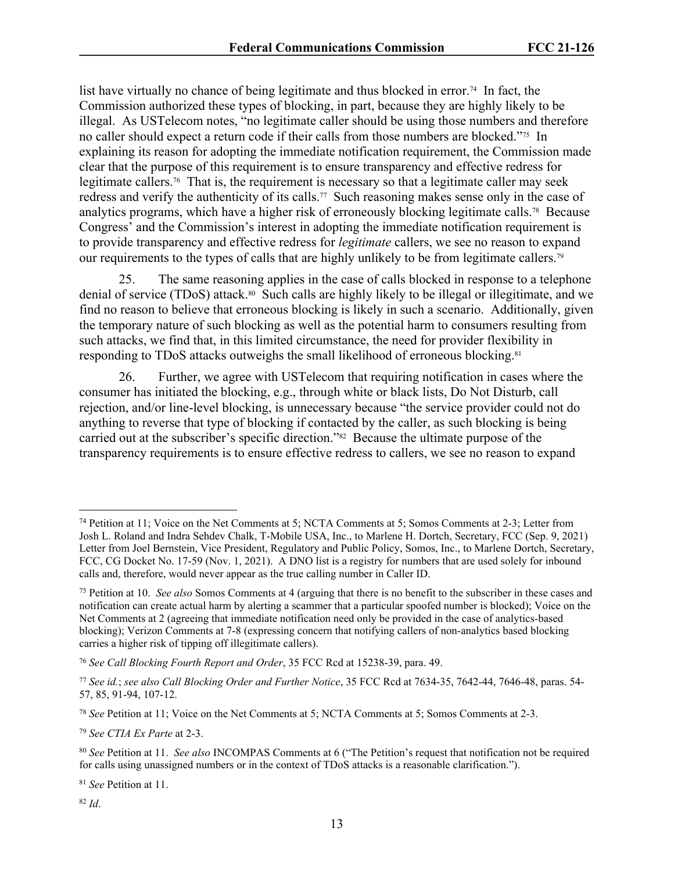list have virtually no chance of being legitimate and thus blocked in error.<sup>74</sup> In fact, the Commission authorized these types of blocking, in part, because they are highly likely to be illegal. As USTelecom notes, "no legitimate caller should be using those numbers and therefore no caller should expect a return code if their calls from those numbers are blocked."75 In explaining its reason for adopting the immediate notification requirement, the Commission made clear that the purpose of this requirement is to ensure transparency and effective redress for legitimate callers.<sup>76</sup> That is, the requirement is necessary so that a legitimate caller may seek redress and verify the authenticity of its calls.77 Such reasoning makes sense only in the case of analytics programs, which have a higher risk of erroneously blocking legitimate calls.78 Because Congress' and the Commission's interest in adopting the immediate notification requirement is to provide transparency and effective redress for *legitimate* callers, we see no reason to expand our requirements to the types of calls that are highly unlikely to be from legitimate callers.<sup>79</sup>

25. The same reasoning applies in the case of calls blocked in response to a telephone denial of service (TDoS) attack.80 Such calls are highly likely to be illegal or illegitimate, and we find no reason to believe that erroneous blocking is likely in such a scenario. Additionally, given the temporary nature of such blocking as well as the potential harm to consumers resulting from such attacks, we find that, in this limited circumstance, the need for provider flexibility in responding to TDoS attacks outweighs the small likelihood of erroneous blocking.<sup>81</sup>

26. Further, we agree with USTelecom that requiring notification in cases where the consumer has initiated the blocking, e.g., through white or black lists, Do Not Disturb, call rejection, and/or line-level blocking, is unnecessary because "the service provider could not do anything to reverse that type of blocking if contacted by the caller, as such blocking is being carried out at the subscriber's specific direction."82 Because the ultimate purpose of the transparency requirements is to ensure effective redress to callers, we see no reason to expand

<sup>79</sup> *See CTIA Ex Parte* at 2-3.

<sup>74</sup> Petition at 11; Voice on the Net Comments at 5; NCTA Comments at 5; Somos Comments at 2-3; Letter from Josh L. Roland and Indra Sehdev Chalk, T-Mobile USA, Inc., to Marlene H. Dortch, Secretary, FCC (Sep. 9, 2021) Letter from Joel Bernstein, Vice President, Regulatory and Public Policy, Somos, Inc., to Marlene Dortch, Secretary, FCC, CG Docket No. 17-59 (Nov. 1, 2021). A DNO list is a registry for numbers that are used solely for inbound calls and, therefore, would never appear as the true calling number in Caller ID.

<sup>75</sup> Petition at 10. *See also* Somos Comments at 4 (arguing that there is no benefit to the subscriber in these cases and notification can create actual harm by alerting a scammer that a particular spoofed number is blocked); Voice on the Net Comments at 2 (agreeing that immediate notification need only be provided in the case of analytics-based blocking); Verizon Comments at 7-8 (expressing concern that notifying callers of non-analytics based blocking carries a higher risk of tipping off illegitimate callers).

<sup>76</sup> *See Call Blocking Fourth Report and Order*, 35 FCC Rcd at 15238-39, para. 49.

<sup>77</sup> *See id.*; *see also Call Blocking Order and Further Notice*, 35 FCC Rcd at 7634-35, 7642-44, 7646-48, paras. 54- 57, 85, 91-94, 107-12.

<sup>78</sup> *See* Petition at 11; Voice on the Net Comments at 5; NCTA Comments at 5; Somos Comments at 2-3.

<sup>80</sup> *See* Petition at 11. *See also* INCOMPAS Comments at 6 ("The Petition's request that notification not be required for calls using unassigned numbers or in the context of TDoS attacks is a reasonable clarification.").

<sup>81</sup> *See* Petition at 11.

<sup>82</sup> *Id*.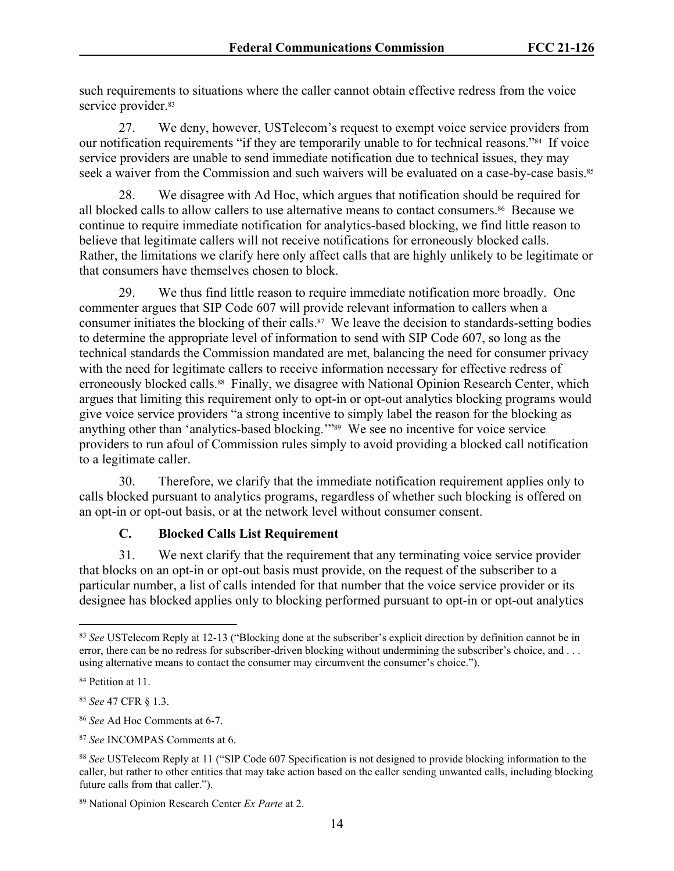such requirements to situations where the caller cannot obtain effective redress from the voice service provider.<sup>83</sup>

27. We deny, however, USTelecom's request to exempt voice service providers from our notification requirements "if they are temporarily unable to for technical reasons."84 If voice service providers are unable to send immediate notification due to technical issues, they may seek a waiver from the Commission and such waivers will be evaluated on a case-by-case basis.<sup>85</sup>

28. We disagree with Ad Hoc, which argues that notification should be required for all blocked calls to allow callers to use alternative means to contact consumers.86 Because we continue to require immediate notification for analytics-based blocking, we find little reason to believe that legitimate callers will not receive notifications for erroneously blocked calls. Rather, the limitations we clarify here only affect calls that are highly unlikely to be legitimate or that consumers have themselves chosen to block.

29. We thus find little reason to require immediate notification more broadly. One commenter argues that SIP Code 607 will provide relevant information to callers when a consumer initiates the blocking of their calls.<sup>87</sup> We leave the decision to standards-setting bodies to determine the appropriate level of information to send with SIP Code 607, so long as the technical standards the Commission mandated are met, balancing the need for consumer privacy with the need for legitimate callers to receive information necessary for effective redress of erroneously blocked calls.<sup>88</sup> Finally, we disagree with National Opinion Research Center, which argues that limiting this requirement only to opt-in or opt-out analytics blocking programs would give voice service providers "a strong incentive to simply label the reason for the blocking as anything other than 'analytics-based blocking.'"89 We see no incentive for voice service providers to run afoul of Commission rules simply to avoid providing a blocked call notification to a legitimate caller.

30. Therefore, we clarify that the immediate notification requirement applies only to calls blocked pursuant to analytics programs, regardless of whether such blocking is offered on an opt-in or opt-out basis, or at the network level without consumer consent.

# **C. Blocked Calls List Requirement**

31. We next clarify that the requirement that any terminating voice service provider that blocks on an opt-in or opt-out basis must provide, on the request of the subscriber to a particular number, a list of calls intended for that number that the voice service provider or its designee has blocked applies only to blocking performed pursuant to opt-in or opt-out analytics

<sup>83</sup> *See* USTelecom Reply at 12-13 ("Blocking done at the subscriber's explicit direction by definition cannot be in error, there can be no redress for subscriber-driven blocking without undermining the subscriber's choice, and . . . using alternative means to contact the consumer may circumvent the consumer's choice.").

<sup>84</sup> Petition at 11.

<sup>85</sup> *See* 47 CFR § 1.3.

<sup>86</sup> *See* Ad Hoc Comments at 6-7.

<sup>87</sup> *See* INCOMPAS Comments at 6.

<sup>88</sup> *See* USTelecom Reply at 11 ("SIP Code 607 Specification is not designed to provide blocking information to the caller, but rather to other entities that may take action based on the caller sending unwanted calls, including blocking future calls from that caller.").

<sup>89</sup> National Opinion Research Center *Ex Parte* at 2.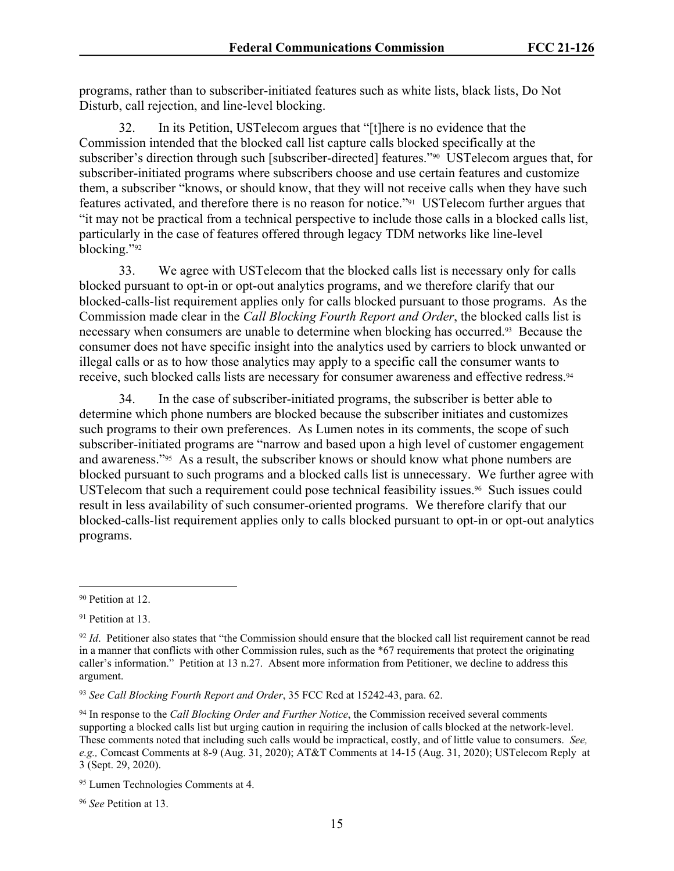programs, rather than to subscriber-initiated features such as white lists, black lists, Do Not Disturb, call rejection, and line-level blocking.

32. In its Petition, USTelecom argues that "[t]here is no evidence that the Commission intended that the blocked call list capture calls blocked specifically at the subscriber's direction through such [subscriber-directed] features."90 USTelecom argues that, for subscriber-initiated programs where subscribers choose and use certain features and customize them, a subscriber "knows, or should know, that they will not receive calls when they have such features activated, and therefore there is no reason for notice."91 USTelecom further argues that "it may not be practical from a technical perspective to include those calls in a blocked calls list, particularly in the case of features offered through legacy TDM networks like line-level blocking."<sup>92</sup>

33. We agree with USTelecom that the blocked calls list is necessary only for calls blocked pursuant to opt-in or opt-out analytics programs, and we therefore clarify that our blocked-calls-list requirement applies only for calls blocked pursuant to those programs. As the Commission made clear in the *Call Blocking Fourth Report and Order*, the blocked calls list is necessary when consumers are unable to determine when blocking has occurred.<sup>93</sup> Because the consumer does not have specific insight into the analytics used by carriers to block unwanted or illegal calls or as to how those analytics may apply to a specific call the consumer wants to receive, such blocked calls lists are necessary for consumer awareness and effective redress.<sup>94</sup>

34. In the case of subscriber-initiated programs, the subscriber is better able to determine which phone numbers are blocked because the subscriber initiates and customizes such programs to their own preferences. As Lumen notes in its comments, the scope of such subscriber-initiated programs are "narrow and based upon a high level of customer engagement and awareness."95 As a result, the subscriber knows or should know what phone numbers are blocked pursuant to such programs and a blocked calls list is unnecessary. We further agree with USTelecom that such a requirement could pose technical feasibility issues.<sup>96</sup> Such issues could result in less availability of such consumer-oriented programs. We therefore clarify that our blocked-calls-list requirement applies only to calls blocked pursuant to opt-in or opt-out analytics programs.

<sup>90</sup> Petition at 12.

<sup>&</sup>lt;sup>91</sup> Petition at 13.

<sup>&</sup>lt;sup>92</sup> *Id.* Petitioner also states that "the Commission should ensure that the blocked call list requirement cannot be read in a manner that conflicts with other Commission rules, such as the \*67 requirements that protect the originating caller's information." Petition at 13 n.27. Absent more information from Petitioner, we decline to address this argument.

<sup>93</sup> *See Call Blocking Fourth Report and Order*, 35 FCC Rcd at 15242-43, para. 62.

<sup>94</sup> In response to the *Call Blocking Order and Further Notice*, the Commission received several comments supporting a blocked calls list but urging caution in requiring the inclusion of calls blocked at the network-level. These comments noted that including such calls would be impractical, costly, and of little value to consumers. *See, e.g.,* Comcast Comments at 8-9 (Aug. 31, 2020); AT&T Comments at 14-15 (Aug. 31, 2020); USTelecom Reply at 3 (Sept. 29, 2020).

<sup>95</sup> Lumen Technologies Comments at 4.

<sup>96</sup> *See* Petition at 13.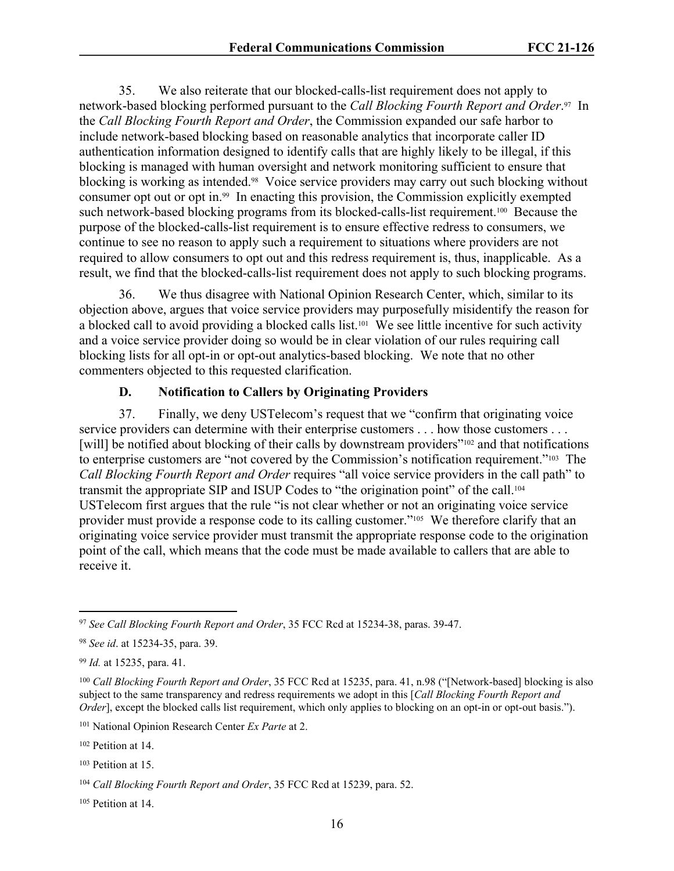35. We also reiterate that our blocked-calls-list requirement does not apply to network-based blocking performed pursuant to the *Call Blocking Fourth Report and Order*. <sup>97</sup> In the *Call Blocking Fourth Report and Order*, the Commission expanded our safe harbor to include network-based blocking based on reasonable analytics that incorporate caller ID authentication information designed to identify calls that are highly likely to be illegal, if this blocking is managed with human oversight and network monitoring sufficient to ensure that blocking is working as intended.98 Voice service providers may carry out such blocking without consumer opt out or opt in.99 In enacting this provision, the Commission explicitly exempted such network-based blocking programs from its blocked-calls-list requirement.<sup>100</sup> Because the purpose of the blocked-calls-list requirement is to ensure effective redress to consumers, we continue to see no reason to apply such a requirement to situations where providers are not required to allow consumers to opt out and this redress requirement is, thus, inapplicable. As a result, we find that the blocked-calls-list requirement does not apply to such blocking programs.

36. We thus disagree with National Opinion Research Center, which, similar to its objection above, argues that voice service providers may purposefully misidentify the reason for a blocked call to avoid providing a blocked calls list.<sup>101</sup> We see little incentive for such activity and a voice service provider doing so would be in clear violation of our rules requiring call blocking lists for all opt-in or opt-out analytics-based blocking. We note that no other commenters objected to this requested clarification.

#### **D. Notification to Callers by Originating Providers**

37. Finally, we deny USTelecom's request that we "confirm that originating voice service providers can determine with their enterprise customers . . . how those customers . . . [will] be notified about blocking of their calls by downstream providers"<sup>102</sup> and that notifications to enterprise customers are "not covered by the Commission's notification requirement."103 The *Call Blocking Fourth Report and Order* requires "all voice service providers in the call path" to transmit the appropriate SIP and ISUP Codes to "the origination point" of the call.<sup>104</sup> USTelecom first argues that the rule "is not clear whether or not an originating voice service provider must provide a response code to its calling customer."<sup>105</sup> We therefore clarify that an originating voice service provider must transmit the appropriate response code to the origination point of the call, which means that the code must be made available to callers that are able to receive it.

<sup>97</sup> *See Call Blocking Fourth Report and Order*, 35 FCC Rcd at 15234-38, paras. 39-47.

<sup>98</sup> *See id*. at 15234-35, para. 39.

<sup>99</sup> *Id.* at 15235, para. 41.

<sup>100</sup> *Call Blocking Fourth Report and Order*, 35 FCC Rcd at 15235, para. 41, n.98 ("[Network-based] blocking is also subject to the same transparency and redress requirements we adopt in this [*Call Blocking Fourth Report and Order*], except the blocked calls list requirement, which only applies to blocking on an opt-in or opt-out basis.").

<sup>101</sup> National Opinion Research Center *Ex Parte* at 2.

<sup>102</sup> Petition at 14.

<sup>103</sup> Petition at 15.

<sup>104</sup> *Call Blocking Fourth Report and Order*, 35 FCC Rcd at 15239, para. 52.

<sup>105</sup> Petition at 14.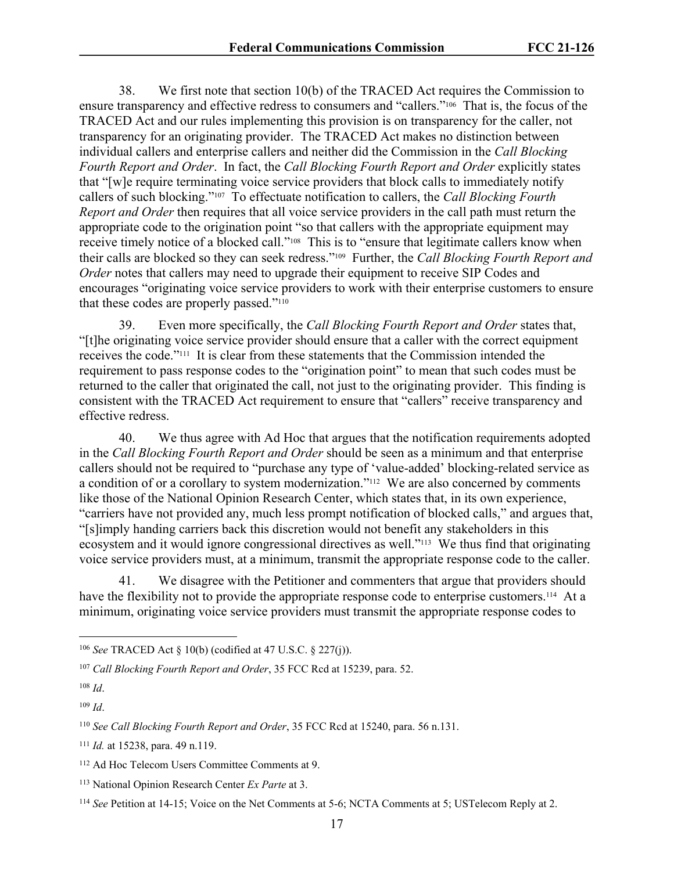38. We first note that section 10(b) of the TRACED Act requires the Commission to ensure transparency and effective redress to consumers and "callers."106 That is, the focus of the TRACED Act and our rules implementing this provision is on transparency for the caller, not transparency for an originating provider. The TRACED Act makes no distinction between individual callers and enterprise callers and neither did the Commission in the *Call Blocking Fourth Report and Order*. In fact, the *Call Blocking Fourth Report and Order* explicitly states that "[w]e require terminating voice service providers that block calls to immediately notify callers of such blocking."107 To effectuate notification to callers, the *Call Blocking Fourth Report and Order* then requires that all voice service providers in the call path must return the appropriate code to the origination point "so that callers with the appropriate equipment may receive timely notice of a blocked call."108 This is to "ensure that legitimate callers know when their calls are blocked so they can seek redress."109 Further, the *Call Blocking Fourth Report and Order* notes that callers may need to upgrade their equipment to receive SIP Codes and encourages "originating voice service providers to work with their enterprise customers to ensure that these codes are properly passed."<sup>110</sup>

39. Even more specifically, the *Call Blocking Fourth Report and Order* states that, "[t]he originating voice service provider should ensure that a caller with the correct equipment receives the code."111 It is clear from these statements that the Commission intended the requirement to pass response codes to the "origination point" to mean that such codes must be returned to the caller that originated the call, not just to the originating provider. This finding is consistent with the TRACED Act requirement to ensure that "callers" receive transparency and effective redress.

40. We thus agree with Ad Hoc that argues that the notification requirements adopted in the *Call Blocking Fourth Report and Order* should be seen as a minimum and that enterprise callers should not be required to "purchase any type of 'value-added' blocking-related service as a condition of or a corollary to system modernization."112 We are also concerned by comments like those of the National Opinion Research Center, which states that, in its own experience, "carriers have not provided any, much less prompt notification of blocked calls," and argues that, "[s]imply handing carriers back this discretion would not benefit any stakeholders in this ecosystem and it would ignore congressional directives as well."113 We thus find that originating voice service providers must, at a minimum, transmit the appropriate response code to the caller.

41. We disagree with the Petitioner and commenters that argue that providers should have the flexibility not to provide the appropriate response code to enterprise customers.<sup>114</sup> At a minimum, originating voice service providers must transmit the appropriate response codes to

<sup>106</sup> *See* TRACED Act § 10(b) (codified at 47 U.S.C. § 227(j)).

<sup>107</sup> *Call Blocking Fourth Report and Order*, 35 FCC Rcd at 15239, para. 52.

<sup>108</sup> *Id*.

<sup>109</sup> *Id*.

<sup>110</sup> *See Call Blocking Fourth Report and Order*, 35 FCC Rcd at 15240, para. 56 n.131.

<sup>111</sup> *Id.* at 15238, para. 49 n.119.

<sup>112</sup> Ad Hoc Telecom Users Committee Comments at 9.

<sup>113</sup> National Opinion Research Center *Ex Parte* at 3.

<sup>114</sup> *See* Petition at 14-15; Voice on the Net Comments at 5-6; NCTA Comments at 5; USTelecom Reply at 2.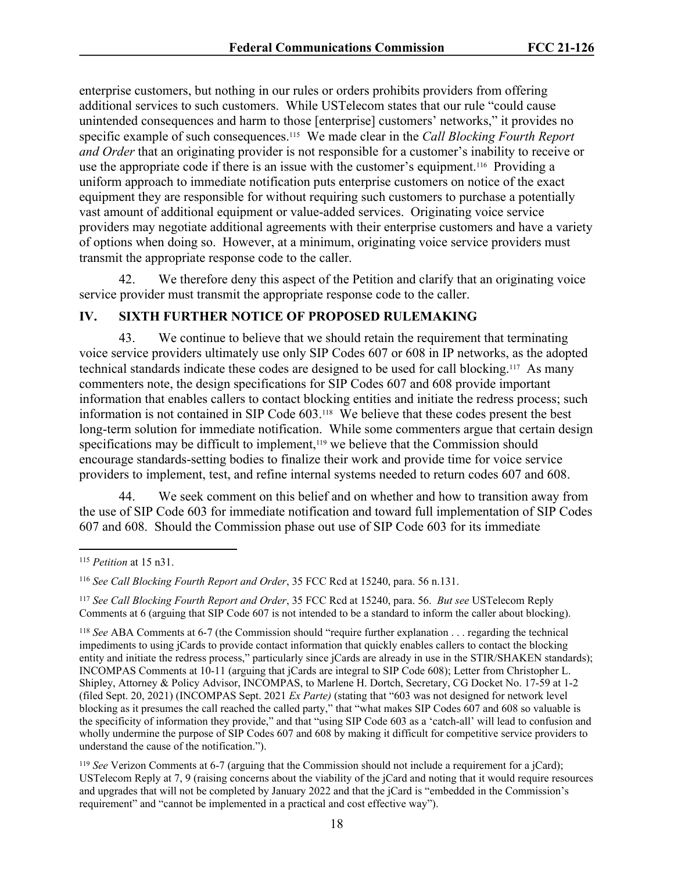enterprise customers, but nothing in our rules or orders prohibits providers from offering additional services to such customers. While USTelecom states that our rule "could cause unintended consequences and harm to those [enterprise] customers' networks," it provides no specific example of such consequences.115 We made clear in the *Call Blocking Fourth Report and Order* that an originating provider is not responsible for a customer's inability to receive or use the appropriate code if there is an issue with the customer's equipment.116 Providing a uniform approach to immediate notification puts enterprise customers on notice of the exact equipment they are responsible for without requiring such customers to purchase a potentially vast amount of additional equipment or value-added services. Originating voice service providers may negotiate additional agreements with their enterprise customers and have a variety of options when doing so. However, at a minimum, originating voice service providers must transmit the appropriate response code to the caller.

42. We therefore deny this aspect of the Petition and clarify that an originating voice service provider must transmit the appropriate response code to the caller.

# **IV. SIXTH FURTHER NOTICE OF PROPOSED RULEMAKING**

43. We continue to believe that we should retain the requirement that terminating voice service providers ultimately use only SIP Codes 607 or 608 in IP networks, as the adopted technical standards indicate these codes are designed to be used for call blocking.117 As many commenters note, the design specifications for SIP Codes 607 and 608 provide important information that enables callers to contact blocking entities and initiate the redress process; such information is not contained in SIP Code 603.118 We believe that these codes present the best long-term solution for immediate notification. While some commenters argue that certain design specifications may be difficult to implement,<sup>119</sup> we believe that the Commission should encourage standards-setting bodies to finalize their work and provide time for voice service providers to implement, test, and refine internal systems needed to return codes 607 and 608.

44. We seek comment on this belief and on whether and how to transition away from the use of SIP Code 603 for immediate notification and toward full implementation of SIP Codes 607 and 608. Should the Commission phase out use of SIP Code 603 for its immediate

<sup>115</sup> *Petition* at 15 n31.

<sup>116</sup> *See Call Blocking Fourth Report and Order*, 35 FCC Rcd at 15240, para. 56 n.131.

<sup>117</sup> *See Call Blocking Fourth Report and Order*, 35 FCC Rcd at 15240, para. 56. *But see* USTelecom Reply Comments at 6 (arguing that SIP Code 607 is not intended to be a standard to inform the caller about blocking).

<sup>118</sup> *See* ABA Comments at 6-7 (the Commission should "require further explanation . . . regarding the technical impediments to using jCards to provide contact information that quickly enables callers to contact the blocking entity and initiate the redress process," particularly since jCards are already in use in the STIR/SHAKEN standards); INCOMPAS Comments at 10-11 (arguing that jCards are integral to SIP Code 608); Letter from Christopher L. Shipley, Attorney & Policy Advisor, INCOMPAS, to Marlene H. Dortch, Secretary, CG Docket No. 17-59 at 1-2 (filed Sept. 20, 2021) (INCOMPAS Sept. 2021 *Ex Parte)* (stating that "603 was not designed for network level blocking as it presumes the call reached the called party," that "what makes SIP Codes 607 and 608 so valuable is the specificity of information they provide," and that "using SIP Code 603 as a 'catch-all' will lead to confusion and wholly undermine the purpose of SIP Codes 607 and 608 by making it difficult for competitive service providers to understand the cause of the notification.").

<sup>119</sup> *See* Verizon Comments at 6-7 (arguing that the Commission should not include a requirement for a jCard); USTelecom Reply at 7, 9 (raising concerns about the viability of the jCard and noting that it would require resources and upgrades that will not be completed by January 2022 and that the jCard is "embedded in the Commission's requirement" and "cannot be implemented in a practical and cost effective way").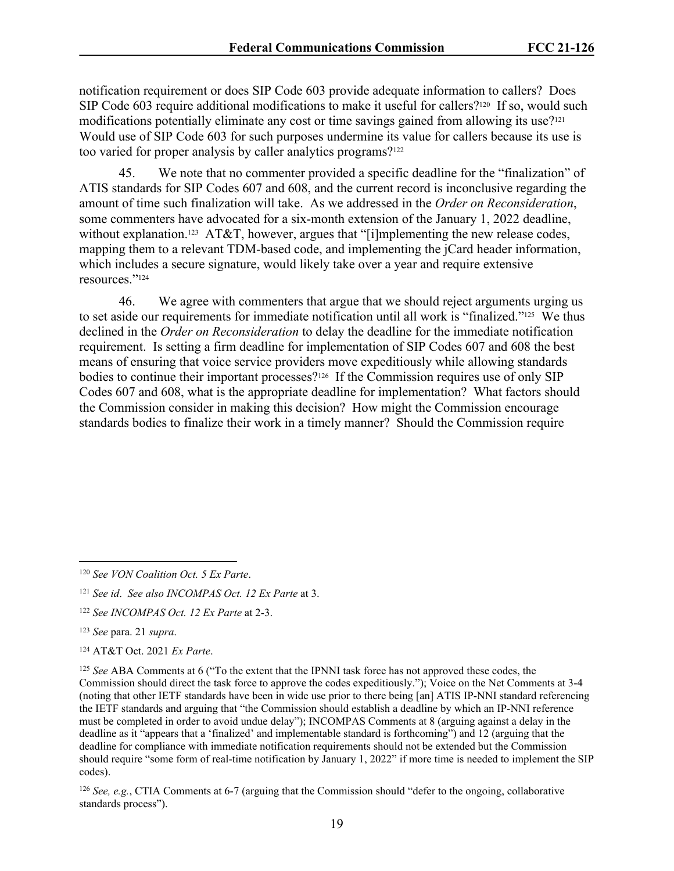notification requirement or does SIP Code 603 provide adequate information to callers? Does SIP Code 603 require additional modifications to make it useful for callers?<sup>120</sup> If so, would such modifications potentially eliminate any cost or time savings gained from allowing its use?<sup>121</sup> Would use of SIP Code 603 for such purposes undermine its value for callers because its use is too varied for proper analysis by caller analytics programs?<sup>122</sup>

45. We note that no commenter provided a specific deadline for the "finalization" of ATIS standards for SIP Codes 607 and 608, and the current record is inconclusive regarding the amount of time such finalization will take. As we addressed in the *Order on Reconsideration*, some commenters have advocated for a six-month extension of the January 1, 2022 deadline, without explanation.<sup>123</sup> AT&T, however, argues that "[i]mplementing the new release codes, mapping them to a relevant TDM-based code, and implementing the jCard header information, which includes a secure signature, would likely take over a year and require extensive resources."<sup>124</sup>

46. We agree with commenters that argue that we should reject arguments urging us to set aside our requirements for immediate notification until all work is "finalized."<sup>125</sup> We thus declined in the *Order on Reconsideration* to delay the deadline for the immediate notification requirement. Is setting a firm deadline for implementation of SIP Codes 607 and 608 the best means of ensuring that voice service providers move expeditiously while allowing standards bodies to continue their important processes?126 If the Commission requires use of only SIP Codes 607 and 608, what is the appropriate deadline for implementation? What factors should the Commission consider in making this decision? How might the Commission encourage standards bodies to finalize their work in a timely manner? Should the Commission require

<sup>120</sup> *See VON Coalition Oct. 5 Ex Parte*.

<sup>121</sup> *See id*. *See also INCOMPAS Oct. 12 Ex Parte* at 3.

<sup>122</sup> *See INCOMPAS Oct. 12 Ex Parte* at 2-3.

<sup>123</sup> *See* para. 21 *supra*.

<sup>124</sup> AT&T Oct. 2021 *Ex Parte*.

<sup>125</sup> *See* ABA Comments at 6 ("To the extent that the IPNNI task force has not approved these codes, the Commission should direct the task force to approve the codes expeditiously."); Voice on the Net Comments at 3-4 (noting that other IETF standards have been in wide use prior to there being [an] ATIS IP-NNI standard referencing the IETF standards and arguing that "the Commission should establish a deadline by which an IP-NNI reference must be completed in order to avoid undue delay"); INCOMPAS Comments at 8 (arguing against a delay in the deadline as it "appears that a 'finalized' and implementable standard is forthcoming") and 12 (arguing that the deadline for compliance with immediate notification requirements should not be extended but the Commission should require "some form of real-time notification by January 1, 2022" if more time is needed to implement the SIP codes).

<sup>126</sup> *See, e.g.*, CTIA Comments at 6-7 (arguing that the Commission should "defer to the ongoing, collaborative standards process").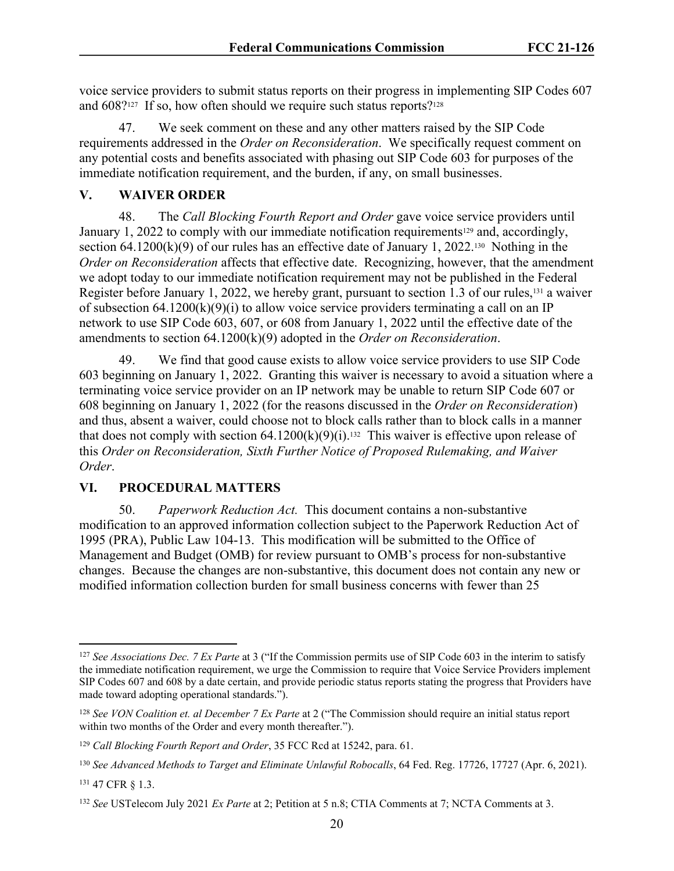voice service providers to submit status reports on their progress in implementing SIP Codes 607 and 608?<sup>127</sup> If so, how often should we require such status reports?<sup>128</sup>

47. We seek comment on these and any other matters raised by the SIP Code requirements addressed in the *Order on Reconsideration*. We specifically request comment on any potential costs and benefits associated with phasing out SIP Code 603 for purposes of the immediate notification requirement, and the burden, if any, on small businesses.

#### **V. WAIVER ORDER**

48. The *Call Blocking Fourth Report and Order* gave voice service providers until January 1, 2022 to comply with our immediate notification requirements<sup>129</sup> and, accordingly, section 64.1200 $(k)(9)$  of our rules has an effective date of January 1, 2022.<sup>130</sup> Nothing in the *Order on Reconsideration* affects that effective date. Recognizing, however, that the amendment we adopt today to our immediate notification requirement may not be published in the Federal Register before January 1, 2022, we hereby grant, pursuant to section 1.3 of our rules,<sup>131</sup> a waiver of subsection  $64.1200(k)(9)(i)$  to allow voice service providers terminating a call on an IP network to use SIP Code 603, 607, or 608 from January 1, 2022 until the effective date of the amendments to section 64.1200(k)(9) adopted in the *Order on Reconsideration*.

49. We find that good cause exists to allow voice service providers to use SIP Code 603 beginning on January 1, 2022. Granting this waiver is necessary to avoid a situation where a terminating voice service provider on an IP network may be unable to return SIP Code 607 or 608 beginning on January 1, 2022 (for the reasons discussed in the *Order on Reconsideration*) and thus, absent a waiver, could choose not to block calls rather than to block calls in a manner that does not comply with section  $64.1200(k)(9)(i)$ .<sup>132</sup> This waiver is effective upon release of this *Order on Reconsideration, Sixth Further Notice of Proposed Rulemaking, and Waiver Order*.

# **VI. PROCEDURAL MATTERS**

50. *Paperwork Reduction Act.* This document contains a non-substantive modification to an approved information collection subject to the Paperwork Reduction Act of 1995 (PRA), Public Law 104-13. This modification will be submitted to the Office of Management and Budget (OMB) for review pursuant to OMB's process for non-substantive changes. Because the changes are non-substantive, this document does not contain any new or modified information collection burden for small business concerns with fewer than 25

<sup>127</sup> *See Associations Dec. 7 Ex Parte* at 3 ("If the Commission permits use of SIP Code 603 in the interim to satisfy the immediate notification requirement, we urge the Commission to require that Voice Service Providers implement SIP Codes 607 and 608 by a date certain, and provide periodic status reports stating the progress that Providers have made toward adopting operational standards.").

<sup>128</sup> *See VON Coalition et. al December 7 Ex Parte* at 2 ("The Commission should require an initial status report within two months of the Order and every month thereafter.").

<sup>129</sup> *Call Blocking Fourth Report and Order*, 35 FCC Rcd at 15242, para. 61.

<sup>130</sup> *See Advanced Methods to Target and Eliminate Unlawful Robocalls*, 64 Fed. Reg. 17726, 17727 (Apr. 6, 2021). <sup>131</sup> 47 CFR § 1.3.

<sup>132</sup> *See* USTelecom July 2021 *Ex Parte* at 2; Petition at 5 n.8; CTIA Comments at 7; NCTA Comments at 3.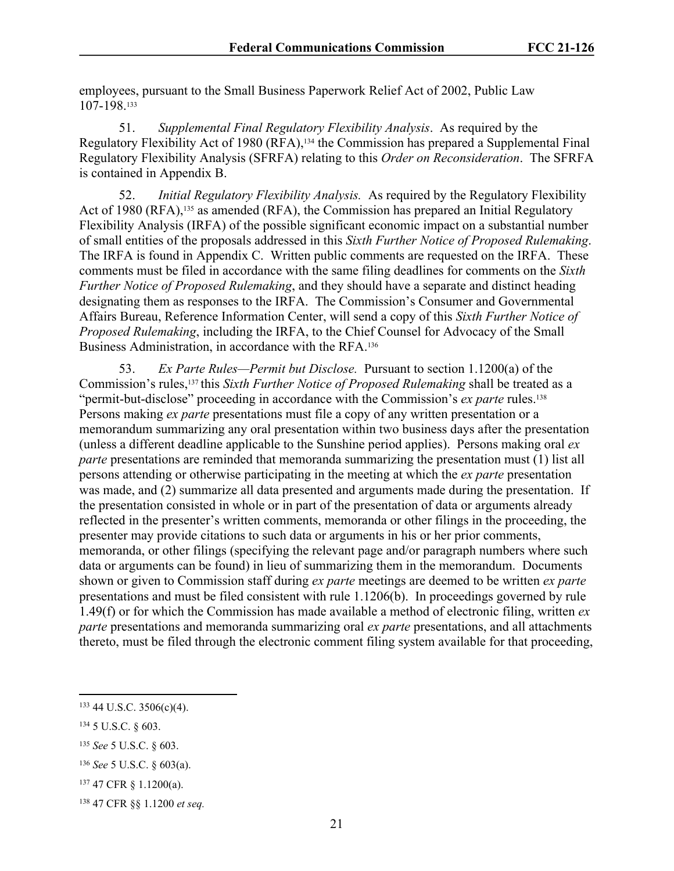employees, pursuant to the Small Business Paperwork Relief Act of 2002, Public Law 107-198.<sup>133</sup>

51. *Supplemental Final Regulatory Flexibility Analysis*. As required by the Regulatory Flexibility Act of 1980 (RFA),<sup>134</sup> the Commission has prepared a Supplemental Final Regulatory Flexibility Analysis (SFRFA) relating to this *Order on Reconsideration*. The SFRFA is contained in Appendix B.

52. *Initial Regulatory Flexibility Analysis.* As required by the Regulatory Flexibility Act of 1980 (RFA),<sup>135</sup> as amended (RFA), the Commission has prepared an Initial Regulatory Flexibility Analysis (IRFA) of the possible significant economic impact on a substantial number of small entities of the proposals addressed in this *Sixth Further Notice of Proposed Rulemaking*. The IRFA is found in Appendix C. Written public comments are requested on the IRFA. These comments must be filed in accordance with the same filing deadlines for comments on the *Sixth Further Notice of Proposed Rulemaking*, and they should have a separate and distinct heading designating them as responses to the IRFA. The Commission's Consumer and Governmental Affairs Bureau, Reference Information Center, will send a copy of this *Sixth Further Notice of Proposed Rulemaking*, including the IRFA, to the Chief Counsel for Advocacy of the Small Business Administration, in accordance with the RFA.<sup>136</sup>

53. *Ex Parte Rules—Permit but Disclose.* Pursuant to section 1.1200(a) of the Commission's rules,<sup>137</sup> this *Sixth Further Notice of Proposed Rulemaking* shall be treated as a "permit-but-disclose" proceeding in accordance with the Commission's *ex parte* rules.<sup>138</sup> Persons making *ex parte* presentations must file a copy of any written presentation or a memorandum summarizing any oral presentation within two business days after the presentation (unless a different deadline applicable to the Sunshine period applies). Persons making oral *ex parte* presentations are reminded that memoranda summarizing the presentation must (1) list all persons attending or otherwise participating in the meeting at which the *ex parte* presentation was made, and (2) summarize all data presented and arguments made during the presentation. If the presentation consisted in whole or in part of the presentation of data or arguments already reflected in the presenter's written comments, memoranda or other filings in the proceeding, the presenter may provide citations to such data or arguments in his or her prior comments, memoranda, or other filings (specifying the relevant page and/or paragraph numbers where such data or arguments can be found) in lieu of summarizing them in the memorandum. Documents shown or given to Commission staff during *ex parte* meetings are deemed to be written *ex parte* presentations and must be filed consistent with rule 1.1206(b). In proceedings governed by rule 1.49(f) or for which the Commission has made available a method of electronic filing, written *ex parte* presentations and memoranda summarizing oral *ex parte* presentations, and all attachments thereto, must be filed through the electronic comment filing system available for that proceeding,

<sup>133</sup> 44 U.S.C. 3506(c)(4).

<sup>134</sup> 5 U.S.C. § 603.

<sup>135</sup> *See* 5 U.S.C. § 603.

<sup>136</sup> *See* 5 U.S.C. § 603(a).

<sup>137</sup> 47 CFR § 1.1200(a).

<sup>138</sup> 47 CFR §§ 1.1200 *et seq.*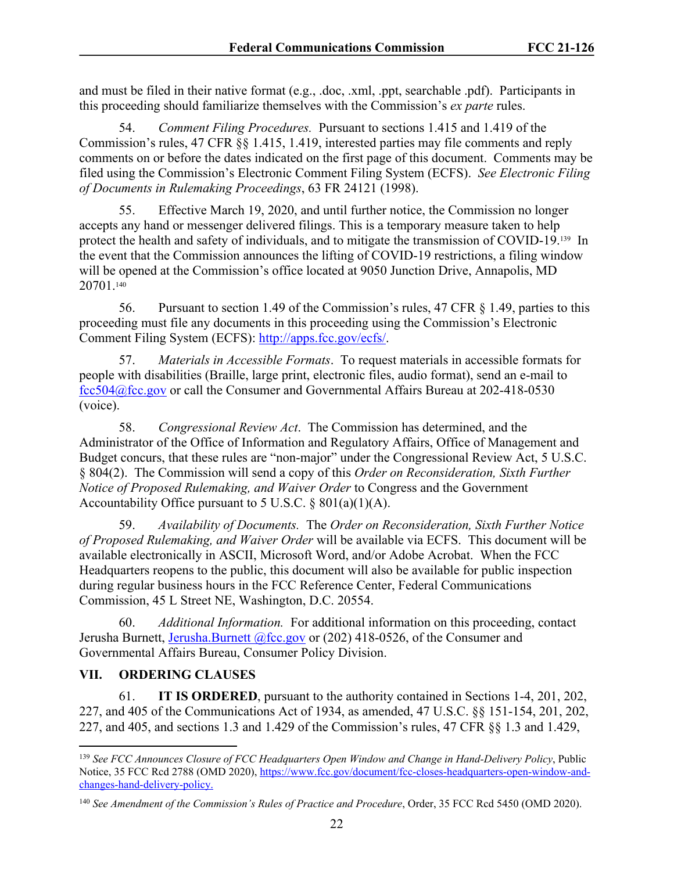and must be filed in their native format (e.g., .doc, .xml, .ppt, searchable .pdf). Participants in this proceeding should familiarize themselves with the Commission's *ex parte* rules.

54. *Comment Filing Procedures.* Pursuant to sections 1.415 and 1.419 of the Commission's rules, 47 CFR §§ 1.415, 1.419, interested parties may file comments and reply comments on or before the dates indicated on the first page of this document. Comments may be filed using the Commission's Electronic Comment Filing System (ECFS). *See Electronic Filing of Documents in Rulemaking Proceedings*, 63 FR 24121 (1998).

55. Effective March 19, 2020, and until further notice, the Commission no longer accepts any hand or messenger delivered filings. This is a temporary measure taken to help protect the health and safety of individuals, and to mitigate the transmission of COVID-19.139 In the event that the Commission announces the lifting of COVID-19 restrictions, a filing window will be opened at the Commission's office located at 9050 Junction Drive, Annapolis, MD 20701.<sup>140</sup>

56. Pursuant to section 1.49 of the Commission's rules, 47 CFR § 1.49, parties to this proceeding must file any documents in this proceeding using the Commission's Electronic Comment Filing System (ECFS): [http://apps.fcc.gov/ecfs/.](http://apps.fcc.gov/ecfs/)

57. *Materials in Accessible Formats*. To request materials in accessible formats for people with disabilities (Braille, large print, electronic files, audio format), send an e-mail to [fcc504@fcc.gov](mailto:fcc504@fcc.gov) or call the Consumer and Governmental Affairs Bureau at 202-418-0530 (voice).

58. *Congressional Review Act*. The Commission has determined, and the Administrator of the Office of Information and Regulatory Affairs, Office of Management and Budget concurs, that these rules are "non-major" under the Congressional Review Act, 5 U.S.C. § 804(2). The Commission will send a copy of this *Order on Reconsideration, Sixth Further Notice of Proposed Rulemaking, and Waiver Order* to Congress and the Government Accountability Office pursuant to 5 U.S.C.  $\S 801(a)(1)(A)$ .

59. *Availability of Documents.* The *Order on Reconsideration, Sixth Further Notice of Proposed Rulemaking, and Waiver Order* will be available via ECFS. This document will be available electronically in ASCII, Microsoft Word, and/or Adobe Acrobat. When the FCC Headquarters reopens to the public, this document will also be available for public inspection during regular business hours in the FCC Reference Center, Federal Communications Commission, 45 L Street NE, Washington, D.C. 20554.

60. *Additional Information.* For additional information on this proceeding, contact Jerusha Burnett, [Jerusha.Burnett @fcc.gov](mailto:Richard.Smith@fcc.gov) or (202) 418-0526, of the Consumer and Governmental Affairs Bureau, Consumer Policy Division.

# **VII. ORDERING CLAUSES**

61. **IT IS ORDERED**, pursuant to the authority contained in Sections 1-4, 201, 202, 227, and 405 of the Communications Act of 1934, as amended, 47 U.S.C. §§ 151-154, 201, 202, 227, and 405, and sections 1.3 and 1.429 of the Commission's rules, 47 CFR §§ 1.3 and 1.429,

<sup>139</sup> *See FCC Announces Closure of FCC Headquarters Open Window and Change in Hand-Delivery Policy*, Public Notice, 35 FCC Rcd 2788 (OMD 2020), [https://www.fcc.gov/document/fcc-closes-headquarters-open-window-and](https://www.fcc.gov/document/fcc-closes-headquarters-open-window-and-changes-hand-delivery-policy.)[changes-hand-delivery-policy.](https://www.fcc.gov/document/fcc-closes-headquarters-open-window-and-changes-hand-delivery-policy.) 

<sup>140</sup> *See Amendment of the Commission's Rules of Practice and Procedure*, Order, 35 FCC Rcd 5450 (OMD 2020).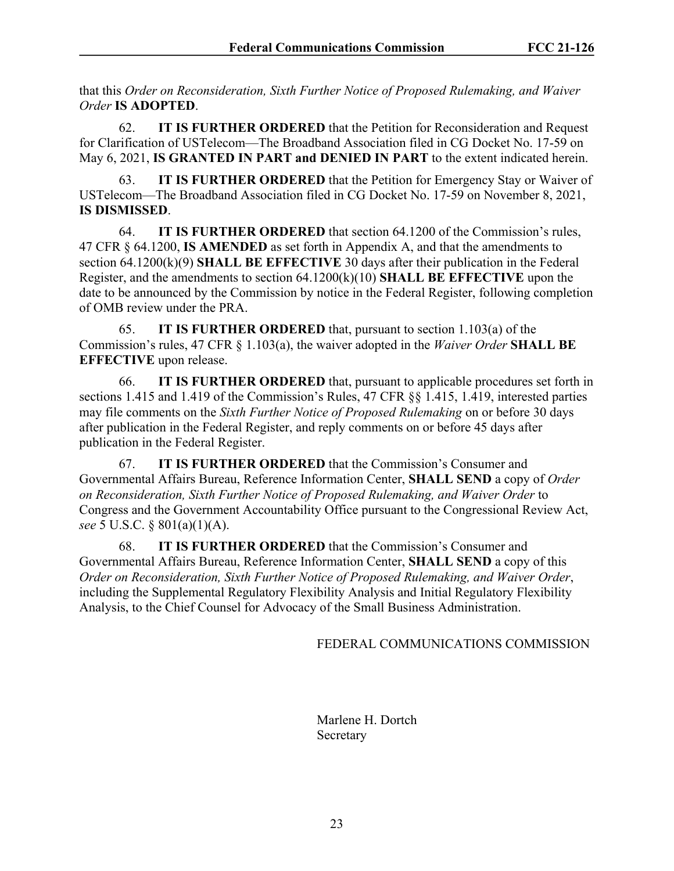that this *Order on Reconsideration, Sixth Further Notice of Proposed Rulemaking, and Waiver Order* **IS ADOPTED**.

62. **IT IS FURTHER ORDERED** that the Petition for Reconsideration and Request for Clarification of USTelecom—The Broadband Association filed in CG Docket No. 17-59 on May 6, 2021, **IS GRANTED IN PART and DENIED IN PART** to the extent indicated herein.

63. **IT IS FURTHER ORDERED** that the Petition for Emergency Stay or Waiver of USTelecom—The Broadband Association filed in CG Docket No. 17-59 on November 8, 2021, **IS DISMISSED**.

64. **IT IS FURTHER ORDERED** that section 64.1200 of the Commission's rules, 47 CFR § 64.1200, **IS AMENDED** as set forth in Appendix A, and that the amendments to section 64.1200(k)(9) **SHALL BE EFFECTIVE** 30 days after their publication in the Federal Register, and the amendments to section 64.1200(k)(10) **SHALL BE EFFECTIVE** upon the date to be announced by the Commission by notice in the Federal Register, following completion of OMB review under the PRA.

65. **IT IS FURTHER ORDERED** that, pursuant to section 1.103(a) of the Commission's rules, 47 CFR § 1.103(a), the waiver adopted in the *Waiver Order* **SHALL BE EFFECTIVE** upon release.

66. **IT IS FURTHER ORDERED** that, pursuant to applicable procedures set forth in sections 1.415 and 1.419 of the Commission's Rules, 47 CFR §§ 1.415, 1.419, interested parties may file comments on the *Sixth Further Notice of Proposed Rulemaking* on or before 30 days after publication in the Federal Register, and reply comments on or before 45 days after publication in the Federal Register.

67. **IT IS FURTHER ORDERED** that the Commission's Consumer and Governmental Affairs Bureau, Reference Information Center, **SHALL SEND** a copy of *Order on Reconsideration, Sixth Further Notice of Proposed Rulemaking, and Waiver Order* to Congress and the Government Accountability Office pursuant to the Congressional Review Act, *see* 5 U.S.C. § 801(a)(1)(A).

68. **IT IS FURTHER ORDERED** that the Commission's Consumer and Governmental Affairs Bureau, Reference Information Center, **SHALL SEND** a copy of this *Order on Reconsideration, Sixth Further Notice of Proposed Rulemaking, and Waiver Order*, including the Supplemental Regulatory Flexibility Analysis and Initial Regulatory Flexibility Analysis, to the Chief Counsel for Advocacy of the Small Business Administration.

FEDERAL COMMUNICATIONS COMMISSION

Marlene H. Dortch Secretary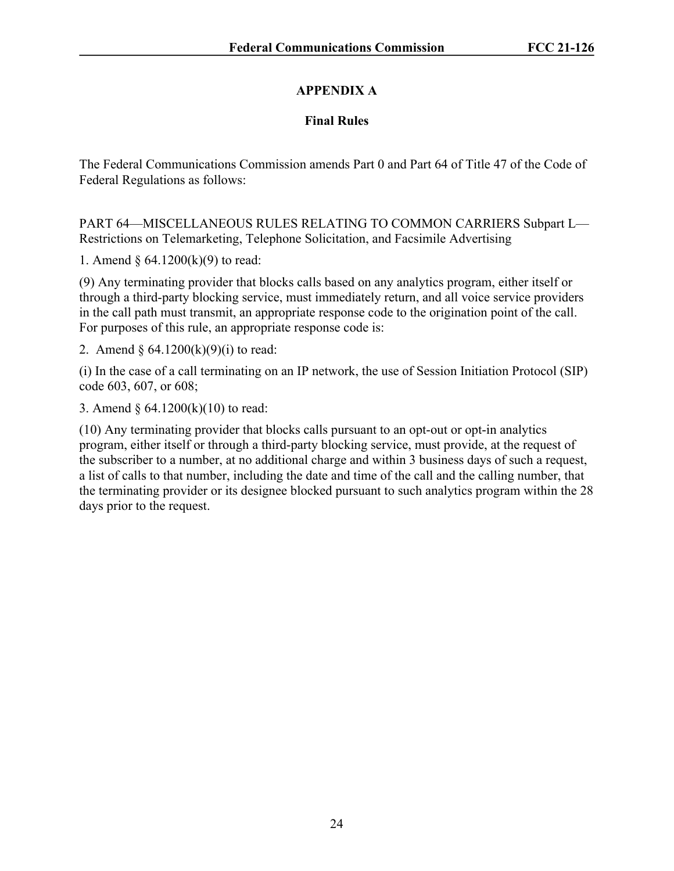# **APPENDIX A**

# **Final Rules**

The Federal Communications Commission amends Part 0 and Part 64 of Title 47 of the Code of Federal Regulations as follows:

PART 64—MISCELLANEOUS RULES RELATING TO COMMON CARRIERS Subpart L— Restrictions on Telemarketing, Telephone Solicitation, and Facsimile Advertising

1. Amend § 64.1200(k)(9) to read:

(9) Any terminating provider that blocks calls based on any analytics program, either itself or through a third-party blocking service, must immediately return, and all voice service providers in the call path must transmit, an appropriate response code to the origination point of the call. For purposes of this rule, an appropriate response code is:

2. Amend  $\S 64.1200(k)(9)(i)$  to read:

(i) In the case of a call terminating on an IP network, the use of Session Initiation Protocol (SIP) code 603, 607, or 608;

3. Amend § 64.1200(k)(10) to read:

(10) Any terminating provider that blocks calls pursuant to an opt-out or opt-in analytics program, either itself or through a third-party blocking service, must provide, at the request of the subscriber to a number, at no additional charge and within 3 business days of such a request, a list of calls to that number, including the date and time of the call and the calling number, that the terminating provider or its designee blocked pursuant to such analytics program within the 28 days prior to the request.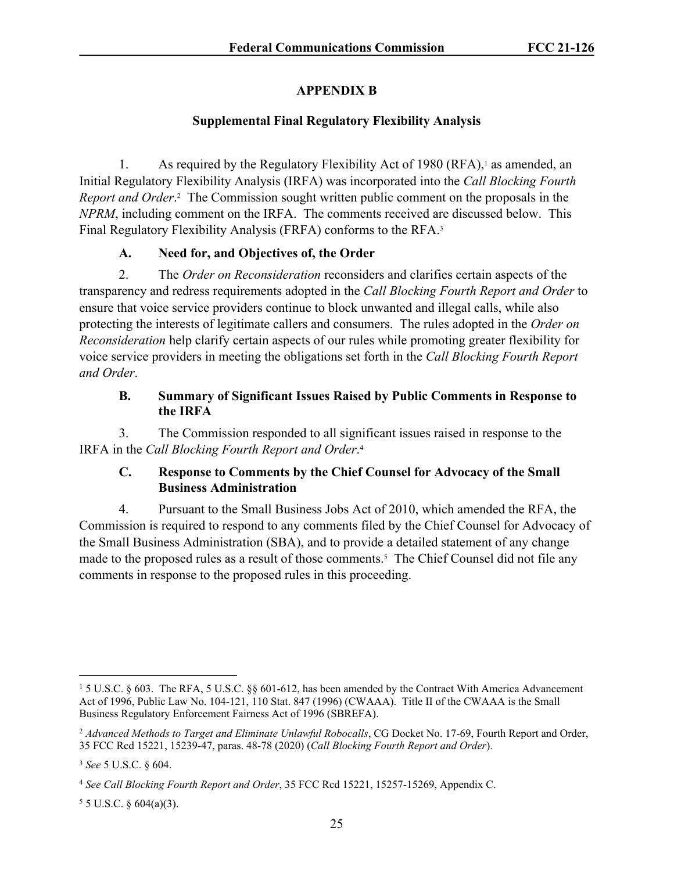# **APPENDIX B**

# **Supplemental Final Regulatory Flexibility Analysis**

1. As required by the Regulatory Flexibility Act of 1980 (RFA),<sup>1</sup> as amended, an Initial Regulatory Flexibility Analysis (IRFA) was incorporated into the *Call Blocking Fourth*  Report and Order.<sup>2</sup> The Commission sought written public comment on the proposals in the *NPRM*, including comment on the IRFA. The comments received are discussed below. This Final Regulatory Flexibility Analysis (FRFA) conforms to the RFA.<sup>3</sup>

# **A. Need for, and Objectives of, the Order**

2. The *Order on Reconsideration* reconsiders and clarifies certain aspects of the transparency and redress requirements adopted in the *Call Blocking Fourth Report and Order* to ensure that voice service providers continue to block unwanted and illegal calls, while also protecting the interests of legitimate callers and consumers. The rules adopted in the *Order on Reconsideration* help clarify certain aspects of our rules while promoting greater flexibility for voice service providers in meeting the obligations set forth in the *Call Blocking Fourth Report and Order*.

# **B. Summary of Significant Issues Raised by Public Comments in Response to the IRFA**

3. The Commission responded to all significant issues raised in response to the IRFA in the *Call Blocking Fourth Report and Order*. 4

# **C. Response to Comments by the Chief Counsel for Advocacy of the Small Business Administration**

4. Pursuant to the Small Business Jobs Act of 2010, which amended the RFA, the Commission is required to respond to any comments filed by the Chief Counsel for Advocacy of the Small Business Administration (SBA), and to provide a detailed statement of any change made to the proposed rules as a result of those comments.<sup>5</sup> The Chief Counsel did not file any comments in response to the proposed rules in this proceeding.

 $55$  U.S.C. § 604(a)(3).

<sup>1</sup> 5 U.S.C. § 603. The RFA, 5 U.S.C. §§ 601-612, has been amended by the Contract With America Advancement Act of 1996, Public Law No. 104-121, 110 Stat. 847 (1996) (CWAAA). Title II of the CWAAA is the Small Business Regulatory Enforcement Fairness Act of 1996 (SBREFA).

<sup>2</sup> *Advanced Methods to Target and Eliminate Unlawful Robocalls*, CG Docket No. 17-69, Fourth Report and Order, 35 FCC Rcd 15221, 15239-47, paras. 48-78 (2020) (*Call Blocking Fourth Report and Order*).

<sup>3</sup> *See* 5 U.S.C. § 604.

<sup>4</sup> *See Call Blocking Fourth Report and Order*, 35 FCC Rcd 15221, 15257-15269, Appendix C.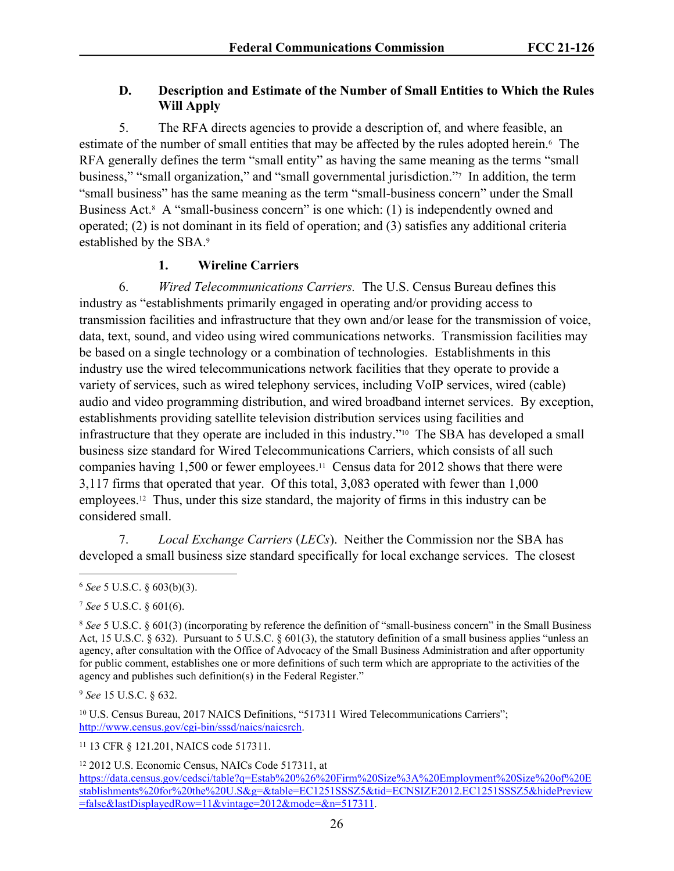# **D. Description and Estimate of the Number of Small Entities to Which the Rules Will Apply**

5. The RFA directs agencies to provide a description of, and where feasible, an estimate of the number of small entities that may be affected by the rules adopted herein.<sup>6</sup> The RFA generally defines the term "small entity" as having the same meaning as the terms "small business," "small organization," and "small governmental jurisdiction."<sup>7</sup> In addition, the term "small business" has the same meaning as the term "small-business concern" under the Small Business Act.<sup>8</sup> A "small-business concern" is one which: (1) is independently owned and operated; (2) is not dominant in its field of operation; and (3) satisfies any additional criteria established by the SBA.<sup>9</sup>

# **1. Wireline Carriers**

6. *Wired Telecommunications Carriers.* The U.S. Census Bureau defines this industry as "establishments primarily engaged in operating and/or providing access to transmission facilities and infrastructure that they own and/or lease for the transmission of voice, data, text, sound, and video using wired communications networks. Transmission facilities may be based on a single technology or a combination of technologies. Establishments in this industry use the wired telecommunications network facilities that they operate to provide a variety of services, such as wired telephony services, including VoIP services, wired (cable) audio and video programming distribution, and wired broadband internet services. By exception, establishments providing satellite television distribution services using facilities and infrastructure that they operate are included in this industry."10 The SBA has developed a small business size standard for Wired Telecommunications Carriers, which consists of all such companies having 1,500 or fewer employees.11 Census data for 2012 shows that there were 3,117 firms that operated that year. Of this total, 3,083 operated with fewer than 1,000 employees.12 Thus, under this size standard, the majority of firms in this industry can be considered small.

7. *Local Exchange Carriers* (*LECs*). Neither the Commission nor the SBA has developed a small business size standard specifically for local exchange services. The closest

<sup>9</sup> *See* 15 U.S.C. § 632.

<sup>10</sup> U.S. Census Bureau, 2017 NAICS Definitions, "517311 Wired Telecommunications Carriers"; <http://www.census.gov/cgi-bin/sssd/naics/naicsrch>.

<sup>11</sup> 13 CFR § 121.201, NAICS code 517311.

<sup>12</sup> 2012 U.S. Economic Census, NAICs Code 517311, at

<sup>6</sup> *See* 5 U.S.C. § 603(b)(3).

<sup>7</sup> *See* 5 U.S.C. § 601(6).

<sup>8</sup> *See* 5 U.S.C. § 601(3) (incorporating by reference the definition of "small-business concern" in the Small Business Act, 15 U.S.C. § 632). Pursuant to 5 U.S.C. § 601(3), the statutory definition of a small business applies "unless an agency, after consultation with the Office of Advocacy of the Small Business Administration and after opportunity for public comment, establishes one or more definitions of such term which are appropriate to the activities of the agency and publishes such definition(s) in the Federal Register."

[https://data.census.gov/cedsci/table?q=Estab%20%26%20Firm%20Size%3A%20Employment%20Size%20of%20E](https://data.census.gov/cedsci/table?q=Estab%20%26%20Firm%20Size%3A%20Employment%20Size%20of%20Establishments%20for%20the%20U.S&g=&table=EC1251SSSZ5&tid=ECNSIZE2012.EC1251SSSZ5&hidePreview=false&lastDisplayedRow=11&vintage=2012&mode=&n=517110) [stablishments%20for%20the%20U.S&g=&table=EC1251SSSZ5&tid=ECNSIZE2012.EC1251SSSZ5&hidePreview](https://data.census.gov/cedsci/table?q=Estab%20%26%20Firm%20Size%3A%20Employment%20Size%20of%20Establishments%20for%20the%20U.S&g=&table=EC1251SSSZ5&tid=ECNSIZE2012.EC1251SSSZ5&hidePreview=false&lastDisplayedRow=11&vintage=2012&mode=&n=517110) [=false&lastDisplayedRow=11&vintage=2012&mode=&n=517311](https://data.census.gov/cedsci/table?q=Estab%20%26%20Firm%20Size%3A%20Employment%20Size%20of%20Establishments%20for%20the%20U.S&g=&table=EC1251SSSZ5&tid=ECNSIZE2012.EC1251SSSZ5&hidePreview=false&lastDisplayedRow=11&vintage=2012&mode=&n=517110).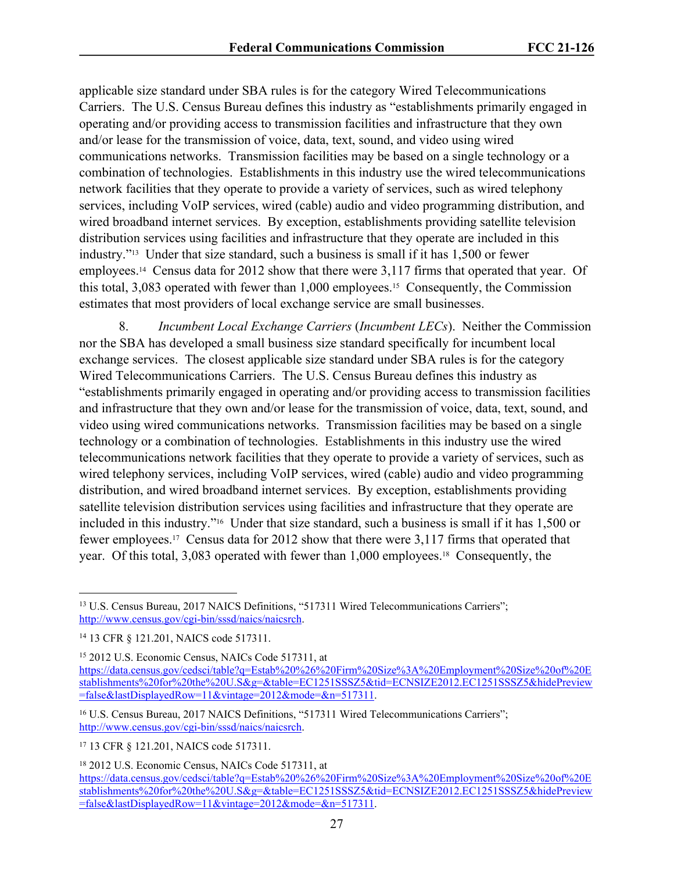applicable size standard under SBA rules is for the category Wired Telecommunications Carriers. The U.S. Census Bureau defines this industry as "establishments primarily engaged in operating and/or providing access to transmission facilities and infrastructure that they own and/or lease for the transmission of voice, data, text, sound, and video using wired communications networks. Transmission facilities may be based on a single technology or a combination of technologies. Establishments in this industry use the wired telecommunications network facilities that they operate to provide a variety of services, such as wired telephony services, including VoIP services, wired (cable) audio and video programming distribution, and wired broadband internet services. By exception, establishments providing satellite television distribution services using facilities and infrastructure that they operate are included in this industry."13 Under that size standard, such a business is small if it has 1,500 or fewer employees.14 Census data for 2012 show that there were 3,117 firms that operated that year. Of this total, 3,083 operated with fewer than 1,000 employees.15 Consequently, the Commission estimates that most providers of local exchange service are small businesses.

8. *Incumbent Local Exchange Carriers* (*Incumbent LECs*). Neither the Commission nor the SBA has developed a small business size standard specifically for incumbent local exchange services. The closest applicable size standard under SBA rules is for the category Wired Telecommunications Carriers. The U.S. Census Bureau defines this industry as "establishments primarily engaged in operating and/or providing access to transmission facilities and infrastructure that they own and/or lease for the transmission of voice, data, text, sound, and video using wired communications networks. Transmission facilities may be based on a single technology or a combination of technologies. Establishments in this industry use the wired telecommunications network facilities that they operate to provide a variety of services, such as wired telephony services, including VoIP services, wired (cable) audio and video programming distribution, and wired broadband internet services. By exception, establishments providing satellite television distribution services using facilities and infrastructure that they operate are included in this industry."16 Under that size standard, such a business is small if it has 1,500 or fewer employees.17 Census data for 2012 show that there were 3,117 firms that operated that year. Of this total, 3,083 operated with fewer than 1,000 employees.18 Consequently, the

<sup>&</sup>lt;sup>13</sup> U.S. Census Bureau, 2017 NAICS Definitions, "517311 Wired Telecommunications Carriers"; <http://www.census.gov/cgi-bin/sssd/naics/naicsrch>.

<sup>14</sup> 13 CFR § 121.201, NAICS code 517311.

<sup>15</sup> 2012 U.S. Economic Census, NAICs Code 517311, at [https://data.census.gov/cedsci/table?q=Estab%20%26%20Firm%20Size%3A%20Employment%20Size%20of%20E](https://data.census.gov/cedsci/table?q=Estab%20%26%20Firm%20Size%3A%20Employment%20Size%20of%20Establishments%20for%20the%20U.S&g=&table=EC1251SSSZ5&tid=ECNSIZE2012.EC1251SSSZ5&hidePreview=false&lastDisplayedRow=11&vintage=2012&mode=&n=517110) [stablishments%20for%20the%20U.S&g=&table=EC1251SSSZ5&tid=ECNSIZE2012.EC1251SSSZ5&hidePreview](https://data.census.gov/cedsci/table?q=Estab%20%26%20Firm%20Size%3A%20Employment%20Size%20of%20Establishments%20for%20the%20U.S&g=&table=EC1251SSSZ5&tid=ECNSIZE2012.EC1251SSSZ5&hidePreview=false&lastDisplayedRow=11&vintage=2012&mode=&n=517110) [=false&lastDisplayedRow=11&vintage=2012&mode=&n=517311](https://data.census.gov/cedsci/table?q=Estab%20%26%20Firm%20Size%3A%20Employment%20Size%20of%20Establishments%20for%20the%20U.S&g=&table=EC1251SSSZ5&tid=ECNSIZE2012.EC1251SSSZ5&hidePreview=false&lastDisplayedRow=11&vintage=2012&mode=&n=517110).

<sup>&</sup>lt;sup>16</sup> U.S. Census Bureau, 2017 NAICS Definitions, "517311 Wired Telecommunications Carriers"; <http://www.census.gov/cgi-bin/sssd/naics/naicsrch>.

<sup>17</sup> 13 CFR § 121.201, NAICS code 517311.

<sup>18</sup> 2012 U.S. Economic Census, NAICs Code 517311, at [https://data.census.gov/cedsci/table?q=Estab%20%26%20Firm%20Size%3A%20Employment%20Size%20of%20E](https://data.census.gov/cedsci/table?q=Estab%20%26%20Firm%20Size%3A%20Employment%20Size%20of%20Establishments%20for%20the%20U.S&g=&table=EC1251SSSZ5&tid=ECNSIZE2012.EC1251SSSZ5&hidePreview=false&lastDisplayedRow=11&vintage=2012&mode=&n=517110) [stablishments%20for%20the%20U.S&g=&table=EC1251SSSZ5&tid=ECNSIZE2012.EC1251SSSZ5&hidePreview](https://data.census.gov/cedsci/table?q=Estab%20%26%20Firm%20Size%3A%20Employment%20Size%20of%20Establishments%20for%20the%20U.S&g=&table=EC1251SSSZ5&tid=ECNSIZE2012.EC1251SSSZ5&hidePreview=false&lastDisplayedRow=11&vintage=2012&mode=&n=517110) [=false&lastDisplayedRow=11&vintage=2012&mode=&n=517311](https://data.census.gov/cedsci/table?q=Estab%20%26%20Firm%20Size%3A%20Employment%20Size%20of%20Establishments%20for%20the%20U.S&g=&table=EC1251SSSZ5&tid=ECNSIZE2012.EC1251SSSZ5&hidePreview=false&lastDisplayedRow=11&vintage=2012&mode=&n=517110).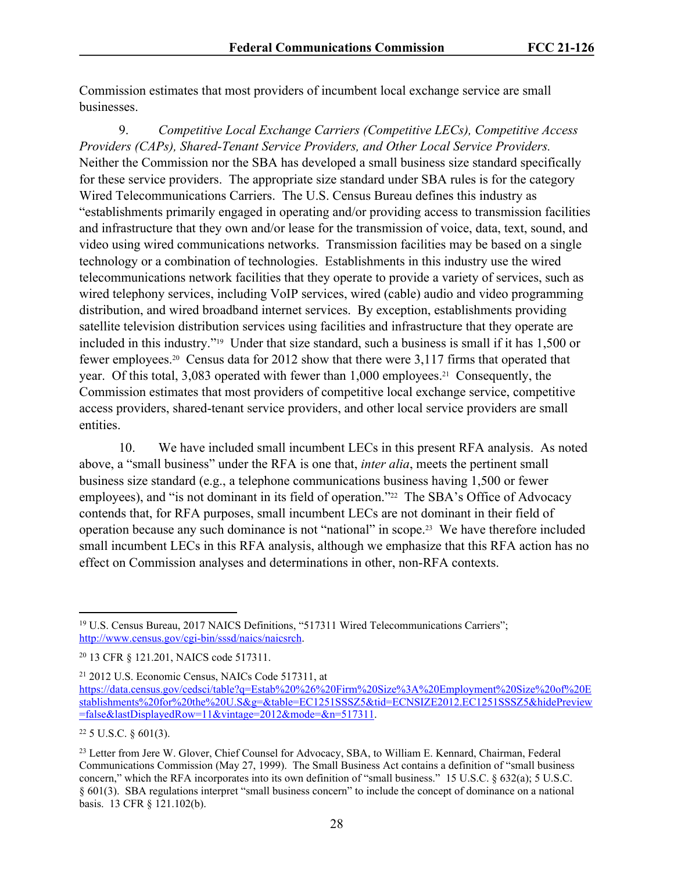Commission estimates that most providers of incumbent local exchange service are small businesses.

9. *Competitive Local Exchange Carriers (Competitive LECs), Competitive Access Providers (CAPs), Shared-Tenant Service Providers, and Other Local Service Providers.* Neither the Commission nor the SBA has developed a small business size standard specifically for these service providers. The appropriate size standard under SBA rules is for the category Wired Telecommunications Carriers. The U.S. Census Bureau defines this industry as "establishments primarily engaged in operating and/or providing access to transmission facilities and infrastructure that they own and/or lease for the transmission of voice, data, text, sound, and video using wired communications networks. Transmission facilities may be based on a single technology or a combination of technologies. Establishments in this industry use the wired telecommunications network facilities that they operate to provide a variety of services, such as wired telephony services, including VoIP services, wired (cable) audio and video programming distribution, and wired broadband internet services. By exception, establishments providing satellite television distribution services using facilities and infrastructure that they operate are included in this industry."19 Under that size standard, such a business is small if it has 1,500 or fewer employees.20 Census data for 2012 show that there were 3,117 firms that operated that year. Of this total, 3,083 operated with fewer than 1,000 employees.21 Consequently, the Commission estimates that most providers of competitive local exchange service, competitive access providers, shared-tenant service providers, and other local service providers are small entities.

10. We have included small incumbent LECs in this present RFA analysis. As noted above, a "small business" under the RFA is one that, *inter alia*, meets the pertinent small business size standard (e.g., a telephone communications business having 1,500 or fewer employees), and "is not dominant in its field of operation."<sup>22</sup> The SBA's Office of Advocacy contends that, for RFA purposes, small incumbent LECs are not dominant in their field of operation because any such dominance is not "national" in scope.23 We have therefore included small incumbent LECs in this RFA analysis, although we emphasize that this RFA action has no effect on Commission analyses and determinations in other, non-RFA contexts.

<sup>19</sup> U.S. Census Bureau, 2017 NAICS Definitions, "517311 Wired Telecommunications Carriers"; <http://www.census.gov/cgi-bin/sssd/naics/naicsrch>.

<sup>20</sup> 13 CFR § 121.201, NAICS code 517311.

<sup>21</sup> 2012 U.S. Economic Census, NAICs Code 517311, at [https://data.census.gov/cedsci/table?q=Estab%20%26%20Firm%20Size%3A%20Employment%20Size%20of%20E](https://data.census.gov/cedsci/table?q=Estab%20%26%20Firm%20Size%3A%20Employment%20Size%20of%20Establishments%20for%20the%20U.S&g=&table=EC1251SSSZ5&tid=ECNSIZE2012.EC1251SSSZ5&hidePreview=false&lastDisplayedRow=11&vintage=2012&mode=&n=517110) [stablishments%20for%20the%20U.S&g=&table=EC1251SSSZ5&tid=ECNSIZE2012.EC1251SSSZ5&hidePreview](https://data.census.gov/cedsci/table?q=Estab%20%26%20Firm%20Size%3A%20Employment%20Size%20of%20Establishments%20for%20the%20U.S&g=&table=EC1251SSSZ5&tid=ECNSIZE2012.EC1251SSSZ5&hidePreview=false&lastDisplayedRow=11&vintage=2012&mode=&n=517110) [=false&lastDisplayedRow=11&vintage=2012&mode=&n=517311](https://data.census.gov/cedsci/table?q=Estab%20%26%20Firm%20Size%3A%20Employment%20Size%20of%20Establishments%20for%20the%20U.S&g=&table=EC1251SSSZ5&tid=ECNSIZE2012.EC1251SSSZ5&hidePreview=false&lastDisplayedRow=11&vintage=2012&mode=&n=517110).

 $22$  5 U.S.C. § 601(3).

<sup>&</sup>lt;sup>23</sup> Letter from Jere W. Glover, Chief Counsel for Advocacy, SBA, to William E. Kennard, Chairman, Federal Communications Commission (May 27, 1999). The Small Business Act contains a definition of "small business concern," which the RFA incorporates into its own definition of "small business." 15 U.S.C. § 632(a); 5 U.S.C. § 601(3). SBA regulations interpret "small business concern" to include the concept of dominance on a national basis. 13 CFR § 121.102(b).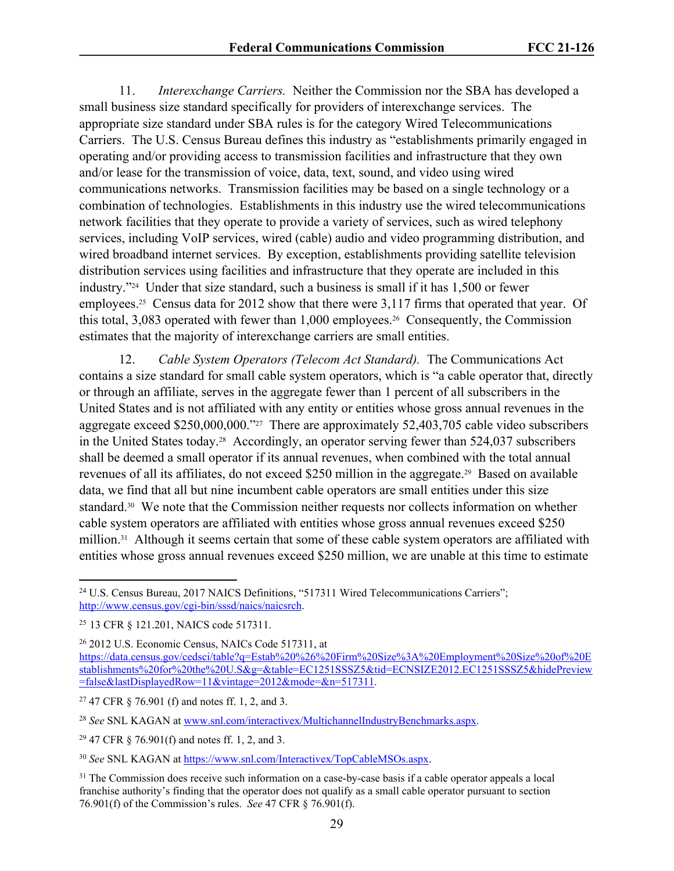11. *Interexchange Carriers.* Neither the Commission nor the SBA has developed a small business size standard specifically for providers of interexchange services. The appropriate size standard under SBA rules is for the category Wired Telecommunications Carriers. The U.S. Census Bureau defines this industry as "establishments primarily engaged in operating and/or providing access to transmission facilities and infrastructure that they own and/or lease for the transmission of voice, data, text, sound, and video using wired communications networks. Transmission facilities may be based on a single technology or a combination of technologies. Establishments in this industry use the wired telecommunications network facilities that they operate to provide a variety of services, such as wired telephony services, including VoIP services, wired (cable) audio and video programming distribution, and wired broadband internet services. By exception, establishments providing satellite television distribution services using facilities and infrastructure that they operate are included in this industry."24 Under that size standard, such a business is small if it has 1,500 or fewer employees.<sup>25</sup> Census data for 2012 show that there were 3,117 firms that operated that year. Of this total, 3,083 operated with fewer than 1,000 employees.26 Consequently, the Commission estimates that the majority of interexchange carriers are small entities.

12. *Cable System Operators (Telecom Act Standard).* The Communications Act contains a size standard for small cable system operators, which is "a cable operator that, directly or through an affiliate, serves in the aggregate fewer than 1 percent of all subscribers in the United States and is not affiliated with any entity or entities whose gross annual revenues in the aggregate exceed \$250,000,000."27 There are approximately 52,403,705 cable video subscribers in the United States today.28 Accordingly, an operator serving fewer than 524,037 subscribers shall be deemed a small operator if its annual revenues, when combined with the total annual revenues of all its affiliates, do not exceed \$250 million in the aggregate.29 Based on available data, we find that all but nine incumbent cable operators are small entities under this size standard.30 We note that the Commission neither requests nor collects information on whether cable system operators are affiliated with entities whose gross annual revenues exceed \$250 million.<sup>31</sup> Although it seems certain that some of these cable system operators are affiliated with entities whose gross annual revenues exceed \$250 million, we are unable at this time to estimate

<sup>24</sup> U.S. Census Bureau, 2017 NAICS Definitions, "517311 Wired Telecommunications Carriers"; <http://www.census.gov/cgi-bin/sssd/naics/naicsrch>.

<sup>25</sup> 13 CFR § 121.201, NAICS code 517311.

<sup>26</sup> 2012 U.S. Economic Census, NAICs Code 517311, at

[https://data.census.gov/cedsci/table?q=Estab%20%26%20Firm%20Size%3A%20Employment%20Size%20of%20E](https://data.census.gov/cedsci/table?q=Estab%20%26%20Firm%20Size%3A%20Employment%20Size%20of%20Establishments%20for%20the%20U.S&g=&table=EC1251SSSZ5&tid=ECNSIZE2012.EC1251SSSZ5&hidePreview=false&lastDisplayedRow=11&vintage=2012&mode=&n=517110) [stablishments%20for%20the%20U.S&g=&table=EC1251SSSZ5&tid=ECNSIZE2012.EC1251SSSZ5&hidePreview](https://data.census.gov/cedsci/table?q=Estab%20%26%20Firm%20Size%3A%20Employment%20Size%20of%20Establishments%20for%20the%20U.S&g=&table=EC1251SSSZ5&tid=ECNSIZE2012.EC1251SSSZ5&hidePreview=false&lastDisplayedRow=11&vintage=2012&mode=&n=517110) [=false&lastDisplayedRow=11&vintage=2012&mode=&n=517311](https://data.census.gov/cedsci/table?q=Estab%20%26%20Firm%20Size%3A%20Employment%20Size%20of%20Establishments%20for%20the%20U.S&g=&table=EC1251SSSZ5&tid=ECNSIZE2012.EC1251SSSZ5&hidePreview=false&lastDisplayedRow=11&vintage=2012&mode=&n=517110).

<sup>27</sup> 47 CFR § 76.901 (f) and notes ff. 1, 2, and 3.

<sup>28</sup> *See* SNL KAGAN at [www.snl.com/interactivex/MultichannelIndustryBenchmarks.aspx.](http://www.snl.com/interactivex/MultichannelIndustryBenchmarks.aspx)

<sup>29</sup> 47 CFR § 76.901(f) and notes ff. 1, 2, and 3.

<sup>30</sup> *See* SNL KAGAN at [https://www.snl.com/Interactivex/TopCableMSOs.aspx.](https://www.snl.com/Interactivex/TopCableMSOs.aspx)

<sup>&</sup>lt;sup>31</sup> The Commission does receive such information on a case-by-case basis if a cable operator appeals a local franchise authority's finding that the operator does not qualify as a small cable operator pursuant to section 76.901(f) of the Commission's rules. *See* 47 CFR § 76.901(f).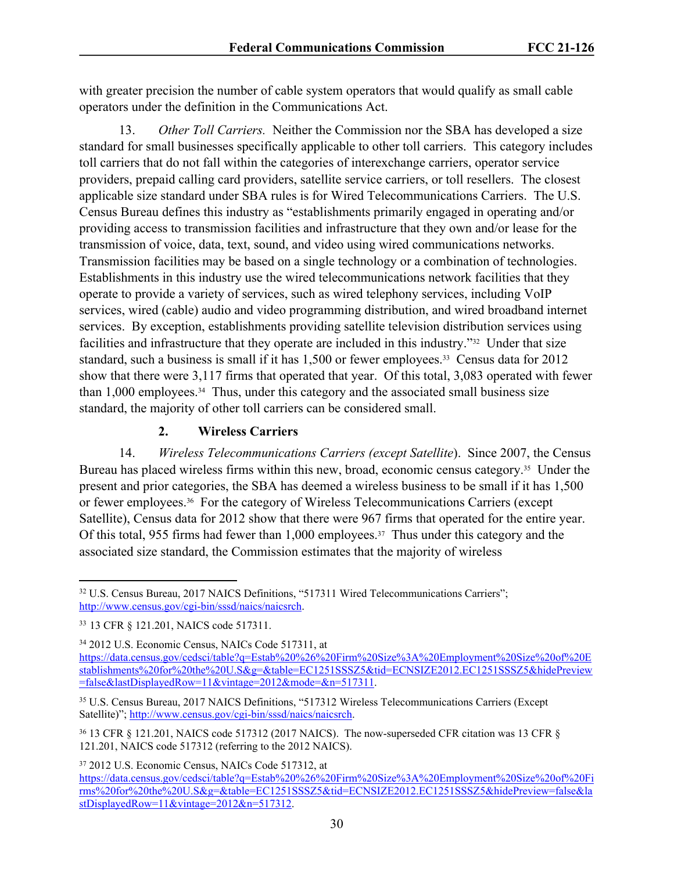with greater precision the number of cable system operators that would qualify as small cable operators under the definition in the Communications Act.

13. *Other Toll Carriers.* Neither the Commission nor the SBA has developed a size standard for small businesses specifically applicable to other toll carriers. This category includes toll carriers that do not fall within the categories of interexchange carriers, operator service providers, prepaid calling card providers, satellite service carriers, or toll resellers. The closest applicable size standard under SBA rules is for Wired Telecommunications Carriers. The U.S. Census Bureau defines this industry as "establishments primarily engaged in operating and/or providing access to transmission facilities and infrastructure that they own and/or lease for the transmission of voice, data, text, sound, and video using wired communications networks. Transmission facilities may be based on a single technology or a combination of technologies. Establishments in this industry use the wired telecommunications network facilities that they operate to provide a variety of services, such as wired telephony services, including VoIP services, wired (cable) audio and video programming distribution, and wired broadband internet services. By exception, establishments providing satellite television distribution services using facilities and infrastructure that they operate are included in this industry."32 Under that size standard, such a business is small if it has 1,500 or fewer employees.<sup>33</sup> Census data for 2012 show that there were 3,117 firms that operated that year. Of this total, 3,083 operated with fewer than 1,000 employees.34 Thus, under this category and the associated small business size standard, the majority of other toll carriers can be considered small.

#### **2. Wireless Carriers**

14. *Wireless Telecommunications Carriers (except Satellite*). Since 2007, the Census Bureau has placed wireless firms within this new, broad, economic census category.<sup>35</sup> Under the present and prior categories, the SBA has deemed a wireless business to be small if it has 1,500 or fewer employees.36 For the category of Wireless Telecommunications Carriers (except Satellite), Census data for 2012 show that there were 967 firms that operated for the entire year. Of this total, 955 firms had fewer than 1,000 employees.37 Thus under this category and the associated size standard, the Commission estimates that the majority of wireless

<sup>34</sup> 2012 U.S. Economic Census, NAICs Code 517311, at [https://data.census.gov/cedsci/table?q=Estab%20%26%20Firm%20Size%3A%20Employment%20Size%20of%20E](https://data.census.gov/cedsci/table?q=Estab%20%26%20Firm%20Size%3A%20Employment%20Size%20of%20Establishments%20for%20the%20U.S&g=&table=EC1251SSSZ5&tid=ECNSIZE2012.EC1251SSSZ5&hidePreview=false&lastDisplayedRow=11&vintage=2012&mode=&n=5173110) [stablishments%20for%20the%20U.S&g=&table=EC1251SSSZ5&tid=ECNSIZE2012.EC1251SSSZ5&hidePreview](https://data.census.gov/cedsci/table?q=Estab%20%26%20Firm%20Size%3A%20Employment%20Size%20of%20Establishments%20for%20the%20U.S&g=&table=EC1251SSSZ5&tid=ECNSIZE2012.EC1251SSSZ5&hidePreview=false&lastDisplayedRow=11&vintage=2012&mode=&n=5173110) [=false&lastDisplayedRow=11&vintage=2012&mode=&n=517311](https://data.census.gov/cedsci/table?q=Estab%20%26%20Firm%20Size%3A%20Employment%20Size%20of%20Establishments%20for%20the%20U.S&g=&table=EC1251SSSZ5&tid=ECNSIZE2012.EC1251SSSZ5&hidePreview=false&lastDisplayedRow=11&vintage=2012&mode=&n=5173110).

<sup>&</sup>lt;sup>32</sup> U.S. Census Bureau, 2017 NAICS Definitions, "517311 Wired Telecommunications Carriers"; <http://www.census.gov/cgi-bin/sssd/naics/naicsrch>.

<sup>33</sup> 13 CFR § 121.201, NAICS code 517311.

<sup>35</sup> U.S. Census Bureau, 2017 NAICS Definitions, "517312 Wireless Telecommunications Carriers (Except Satellite)"; <http://www.census.gov/cgi-bin/sssd/naics/naicsrch>.

<sup>36</sup> 13 CFR § 121.201, NAICS code 517312 (2017 NAICS). The now-superseded CFR citation was 13 CFR § 121.201, NAICS code 517312 (referring to the 2012 NAICS).

<sup>37</sup> 2012 U.S. Economic Census, NAICs Code 517312, at

[https://data.census.gov/cedsci/table?q=Estab%20%26%20Firm%20Size%3A%20Employment%20Size%20of%20Fi](https://data.census.gov/cedsci/table?q=Estab%20%26%20Firm%20Size%3A%20Employment%20Size%20of%20Firms%20for%20the%20U.S&g=&table=EC1251SSSZ5&tid=ECNSIZE2012.EC1251SSSZ5&hidePreview=false&lastDisplayedRow=11&vintage=2012&n=517210) [rms%20for%20the%20U.S&g=&table=EC1251SSSZ5&tid=ECNSIZE2012.EC1251SSSZ5&hidePreview=false&la](https://data.census.gov/cedsci/table?q=Estab%20%26%20Firm%20Size%3A%20Employment%20Size%20of%20Firms%20for%20the%20U.S&g=&table=EC1251SSSZ5&tid=ECNSIZE2012.EC1251SSSZ5&hidePreview=false&lastDisplayedRow=11&vintage=2012&n=517210) [stDisplayedRow=11&vintage=2012&n=517312](https://data.census.gov/cedsci/table?q=Estab%20%26%20Firm%20Size%3A%20Employment%20Size%20of%20Firms%20for%20the%20U.S&g=&table=EC1251SSSZ5&tid=ECNSIZE2012.EC1251SSSZ5&hidePreview=false&lastDisplayedRow=11&vintage=2012&n=517210).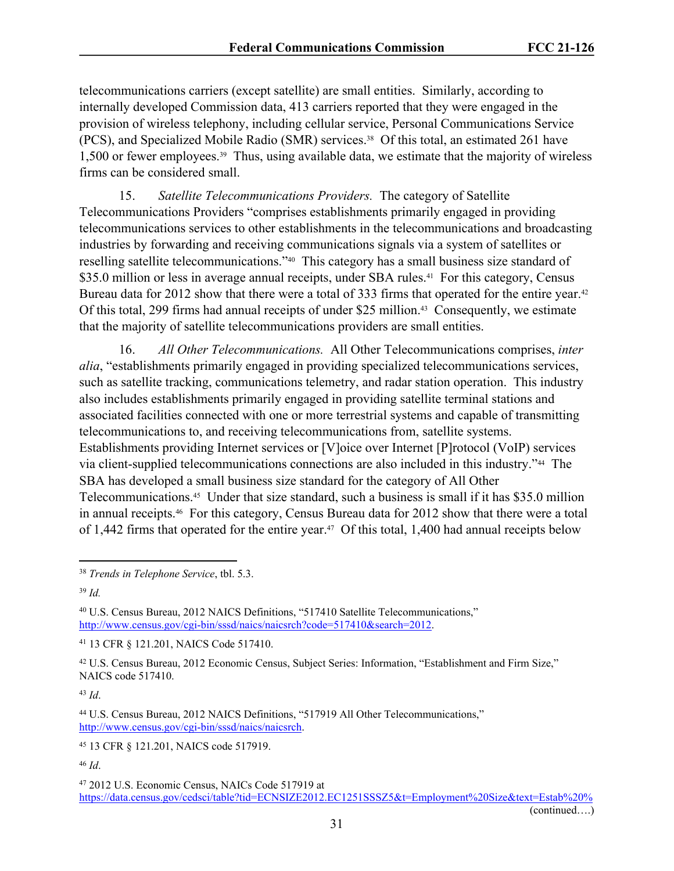telecommunications carriers (except satellite) are small entities. Similarly, according to internally developed Commission data, 413 carriers reported that they were engaged in the provision of wireless telephony, including cellular service, Personal Communications Service (PCS), and Specialized Mobile Radio (SMR) services.38 Of this total, an estimated 261 have 1,500 or fewer employees.39 Thus, using available data, we estimate that the majority of wireless firms can be considered small.

15. *Satellite Telecommunications Providers.* The category of Satellite Telecommunications Providers "comprises establishments primarily engaged in providing telecommunications services to other establishments in the telecommunications and broadcasting industries by forwarding and receiving communications signals via a system of satellites or reselling satellite telecommunications."40 This category has a small business size standard of \$35.0 million or less in average annual receipts, under SBA rules.<sup>41</sup> For this category, Census Bureau data for 2012 show that there were a total of 333 firms that operated for the entire year.<sup>42</sup> Of this total, 299 firms had annual receipts of under \$25 million.<sup>43</sup> Consequently, we estimate that the majority of satellite telecommunications providers are small entities.

16. *All Other Telecommunications.* All Other Telecommunications comprises, *inter alia*, "establishments primarily engaged in providing specialized telecommunications services, such as satellite tracking, communications telemetry, and radar station operation. This industry also includes establishments primarily engaged in providing satellite terminal stations and associated facilities connected with one or more terrestrial systems and capable of transmitting telecommunications to, and receiving telecommunications from, satellite systems. Establishments providing Internet services or [V]oice over Internet [P]rotocol (VoIP) services via client-supplied telecommunications connections are also included in this industry."44 The SBA has developed a small business size standard for the category of All Other Telecommunications.45 Under that size standard, such a business is small if it has \$35.0 million in annual receipts.46 For this category, Census Bureau data for 2012 show that there were a total of 1,442 firms that operated for the entire year.<sup>47</sup> Of this total, 1,400 had annual receipts below

<sup>43</sup> *Id*.

<sup>46</sup> *Id*.

<sup>38</sup> *Trends in Telephone Service*, tbl. 5.3.

<sup>39</sup> *Id.*

<sup>40</sup> U.S. Census Bureau, 2012 NAICS Definitions, "517410 Satellite Telecommunications," <http://www.census.gov/cgi-bin/sssd/naics/naicsrch?code=517410&search=2012>.

<sup>41</sup> 13 CFR § 121.201, NAICS Code 517410.

<sup>42</sup> U.S. Census Bureau, 2012 Economic Census, Subject Series: Information, "Establishment and Firm Size," NAICS code 517410.

<sup>44</sup> U.S. Census Bureau, 2012 NAICS Definitions, "517919 All Other Telecommunications," <http://www.census.gov/cgi-bin/sssd/naics/naicsrch>.

<sup>45</sup> 13 CFR § 121.201, NAICS code 517919.

<sup>47</sup> 2012 U.S. Economic Census, NAICs Code 517919 at [https://data.census.gov/cedsci/table?tid=ECNSIZE2012.EC1251SSSZ5&t=Employment%20Size&text=Estab%20%](https://data.census.gov/cedsci/table?tid=ECNSIZE2012.EC1251SSSZ5&t=Employment%20Size&text=Estab%20%26%20Firm%20Size%3A%20Employment%20Size%20of%20Firms%20for%20the%20U.S&n=517919&hidePreview=false&vintage=2012)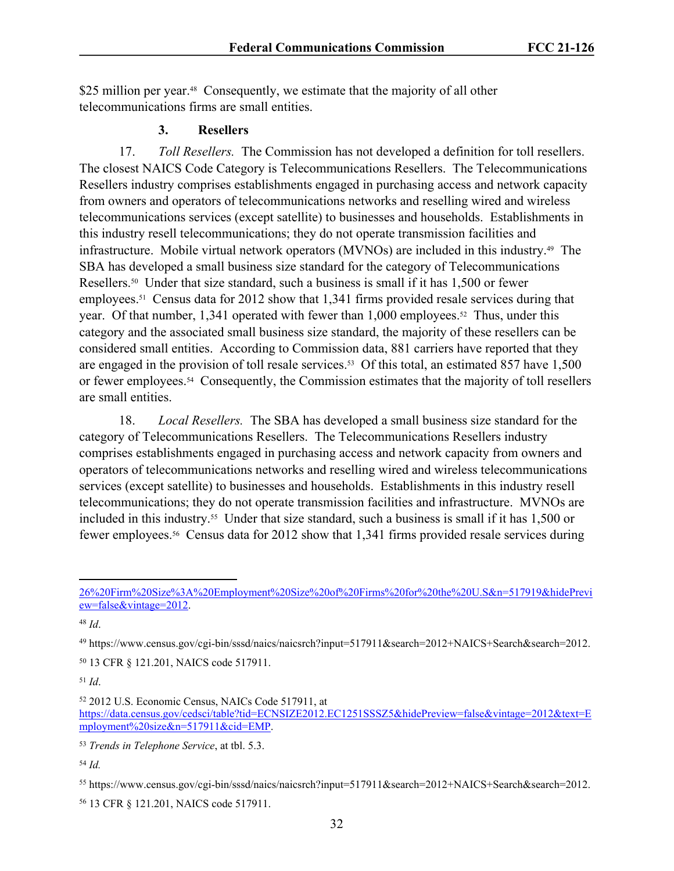\$25 million per year.<sup>48</sup> Consequently, we estimate that the majority of all other telecommunications firms are small entities.

#### **3. Resellers**

17. *Toll Resellers.* The Commission has not developed a definition for toll resellers. The closest NAICS Code Category is Telecommunications Resellers. The Telecommunications Resellers industry comprises establishments engaged in purchasing access and network capacity from owners and operators of telecommunications networks and reselling wired and wireless telecommunications services (except satellite) to businesses and households. Establishments in this industry resell telecommunications; they do not operate transmission facilities and infrastructure. Mobile virtual network operators (MVNOs) are included in this industry.49 The SBA has developed a small business size standard for the category of Telecommunications Resellers.50 Under that size standard, such a business is small if it has 1,500 or fewer employees.<sup>51</sup> Census data for 2012 show that 1,341 firms provided resale services during that year. Of that number,  $1.341$  operated with fewer than  $1.000$  employees.<sup>52</sup> Thus, under this category and the associated small business size standard, the majority of these resellers can be considered small entities. According to Commission data, 881 carriers have reported that they are engaged in the provision of toll resale services.<sup>53</sup> Of this total, an estimated 857 have 1,500 or fewer employees.54 Consequently, the Commission estimates that the majority of toll resellers are small entities.

18. *Local Resellers.* The SBA has developed a small business size standard for the category of Telecommunications Resellers. The Telecommunications Resellers industry comprises establishments engaged in purchasing access and network capacity from owners and operators of telecommunications networks and reselling wired and wireless telecommunications services (except satellite) to businesses and households. Establishments in this industry resell telecommunications; they do not operate transmission facilities and infrastructure. MVNOs are included in this industry.55 Under that size standard, such a business is small if it has 1,500 or fewer employees.56 Census data for 2012 show that 1,341 firms provided resale services during

<sup>48</sup> *Id*.

<sup>49</sup> https://www.census.gov/cgi-bin/sssd/naics/naicsrch?input=517911&search=2012+NAICS+Search&search=2012.

<sup>50</sup> 13 CFR § 121.201, NAICS code 517911.

<sup>51</sup> *Id*.

<sup>52</sup> 2012 U.S. Economic Census, NAICs Code 517911, at

[https://data.census.gov/cedsci/table?tid=ECNSIZE2012.EC1251SSSZ5&hidePreview=false&vintage=2012&text=E](https://data.census.gov/cedsci/table?tid=ECNSIZE2012.EC1251SSSZ5&hidePreview=false&vintage=2012&text=Employment%20size&n=517911&cid=EMP) [mployment%20size&n=517911&cid=EMP](https://data.census.gov/cedsci/table?tid=ECNSIZE2012.EC1251SSSZ5&hidePreview=false&vintage=2012&text=Employment%20size&n=517911&cid=EMP).

<sup>54</sup> *Id.*

[<sup>26%20</sup>Firm%20Size%3A%20Employment%20Size%20of%20Firms%20for%20the%20U.S&n=517919&hidePrevi](https://data.census.gov/cedsci/table?tid=ECNSIZE2012.EC1251SSSZ5&t=Employment%20Size&text=Estab%20%26%20Firm%20Size%3A%20Employment%20Size%20of%20Firms%20for%20the%20U.S&n=517919&hidePreview=false&vintage=2012) [ew=false&vintage=2012](https://data.census.gov/cedsci/table?tid=ECNSIZE2012.EC1251SSSZ5&t=Employment%20Size&text=Estab%20%26%20Firm%20Size%3A%20Employment%20Size%20of%20Firms%20for%20the%20U.S&n=517919&hidePreview=false&vintage=2012).

<sup>53</sup> *Trends in Telephone Service*, at tbl. 5.3.

<sup>55</sup> https://www.census.gov/cgi-bin/sssd/naics/naicsrch?input=517911&search=2012+NAICS+Search&search=2012.

<sup>56</sup> 13 CFR § 121.201, NAICS code 517911.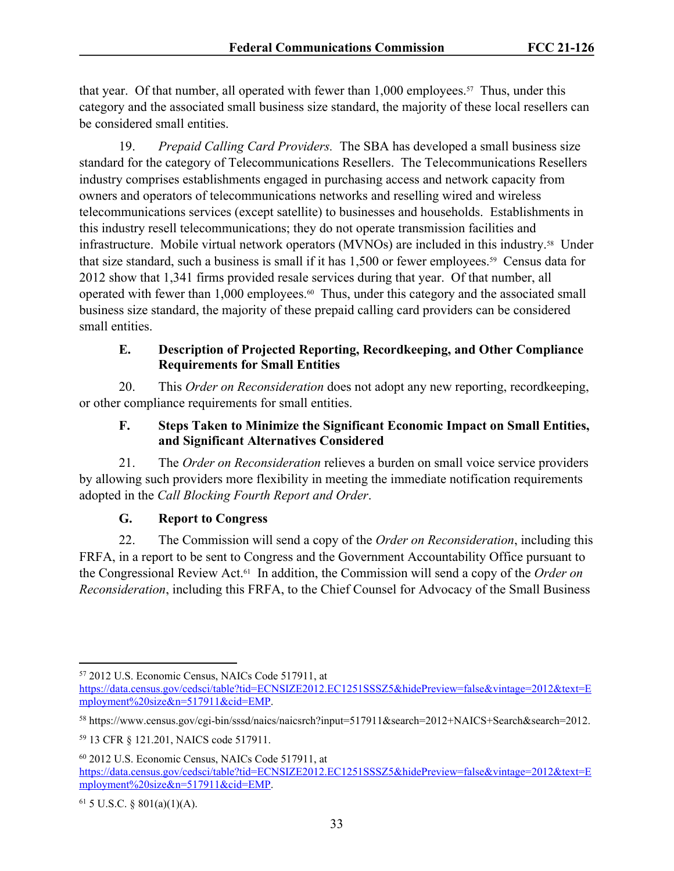that year. Of that number, all operated with fewer than 1,000 employees.<sup>57</sup> Thus, under this category and the associated small business size standard, the majority of these local resellers can be considered small entities.

19. *Prepaid Calling Card Providers.* The SBA has developed a small business size standard for the category of Telecommunications Resellers. The Telecommunications Resellers industry comprises establishments engaged in purchasing access and network capacity from owners and operators of telecommunications networks and reselling wired and wireless telecommunications services (except satellite) to businesses and households. Establishments in this industry resell telecommunications; they do not operate transmission facilities and infrastructure. Mobile virtual network operators (MVNOs) are included in this industry.58 Under that size standard, such a business is small if it has 1,500 or fewer employees.59 Census data for 2012 show that 1,341 firms provided resale services during that year. Of that number, all operated with fewer than 1,000 employees.60 Thus, under this category and the associated small business size standard, the majority of these prepaid calling card providers can be considered small entities.

#### **E. Description of Projected Reporting, Recordkeeping, and Other Compliance Requirements for Small Entities**

20. This *Order on Reconsideration* does not adopt any new reporting, recordkeeping, or other compliance requirements for small entities.

# **F. Steps Taken to Minimize the Significant Economic Impact on Small Entities, and Significant Alternatives Considered**

21. The *Order on Reconsideration* relieves a burden on small voice service providers by allowing such providers more flexibility in meeting the immediate notification requirements adopted in the *Call Blocking Fourth Report and Order*.

# **G. Report to Congress**

22. The Commission will send a copy of the *Order on Reconsideration*, including this FRFA, in a report to be sent to Congress and the Government Accountability Office pursuant to the Congressional Review Act.61 In addition, the Commission will send a copy of the *Order on Reconsideration*, including this FRFA, to the Chief Counsel for Advocacy of the Small Business

<sup>57</sup> 2012 U.S. Economic Census, NAICs Code 517911, at

[https://data.census.gov/cedsci/table?tid=ECNSIZE2012.EC1251SSSZ5&hidePreview=false&vintage=2012&text=E](https://data.census.gov/cedsci/table?tid=ECNSIZE2012.EC1251SSSZ5&hidePreview=false&vintage=2012&text=Employment%20size&n=517911&cid=EMP) [mployment%20size&n=517911&cid=EMP](https://data.census.gov/cedsci/table?tid=ECNSIZE2012.EC1251SSSZ5&hidePreview=false&vintage=2012&text=Employment%20size&n=517911&cid=EMP).

<sup>58</sup> https://www.census.gov/cgi-bin/sssd/naics/naicsrch?input=517911&search=2012+NAICS+Search&search=2012.

<sup>59</sup> 13 CFR § 121.201, NAICS code 517911.

<sup>60</sup> 2012 U.S. Economic Census, NAICs Code 517911, at [https://data.census.gov/cedsci/table?tid=ECNSIZE2012.EC1251SSSZ5&hidePreview=false&vintage=2012&text=E](https://data.census.gov/cedsci/table?tid=ECNSIZE2012.EC1251SSSZ5&hidePreview=false&vintage=2012&text=Employment%20size&n=517911&cid=EMP) [mployment%20size&n=517911&cid=EMP](https://data.census.gov/cedsci/table?tid=ECNSIZE2012.EC1251SSSZ5&hidePreview=false&vintage=2012&text=Employment%20size&n=517911&cid=EMP).

 $61$  5 U.S.C. § 801(a)(1)(A).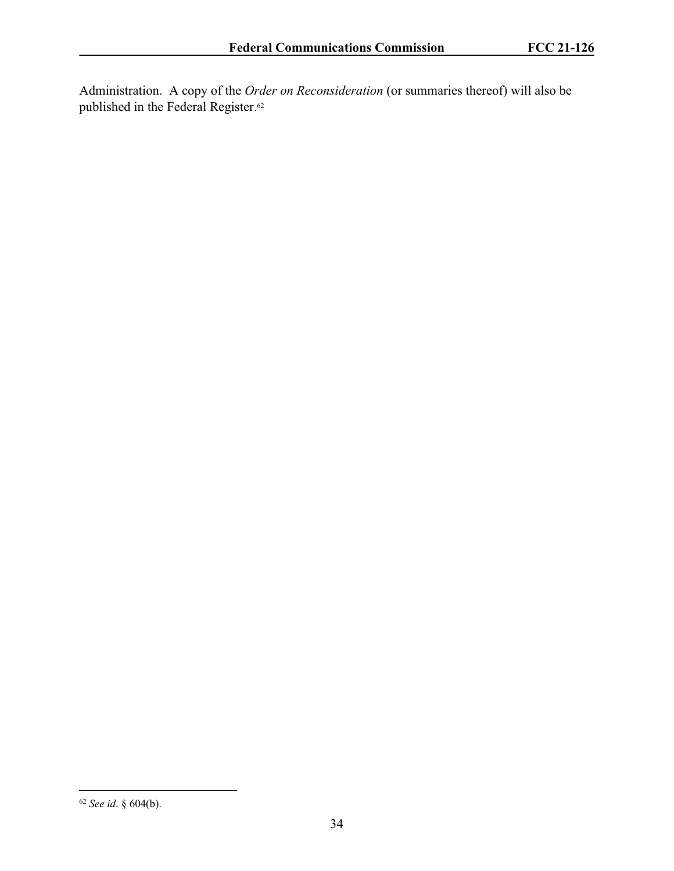Administration. A copy of the *Order on Reconsideration* (or summaries thereof) will also be published in the Federal Register.<sup>62</sup>

<sup>62</sup> *See id*. § 604(b).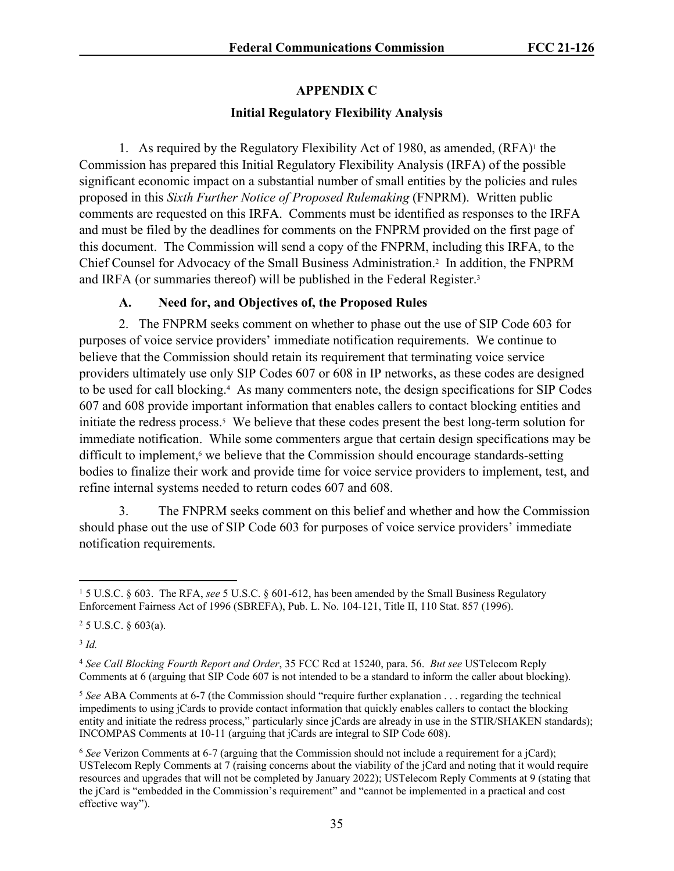# **APPENDIX C**

# **Initial Regulatory Flexibility Analysis**

1. As required by the Regulatory Flexibility Act of 1980, as amended,  $(RFA)^{1}$  the Commission has prepared this Initial Regulatory Flexibility Analysis (IRFA) of the possible significant economic impact on a substantial number of small entities by the policies and rules proposed in this *Sixth Further Notice of Proposed Rulemaking* (FNPRM). Written public comments are requested on this IRFA. Comments must be identified as responses to the IRFA and must be filed by the deadlines for comments on the FNPRM provided on the first page of this document. The Commission will send a copy of the FNPRM, including this IRFA, to the Chief Counsel for Advocacy of the Small Business Administration.<sup>2</sup> In addition, the FNPRM and IRFA (or summaries thereof) will be published in the Federal Register.<sup>3</sup>

# **A. Need for, and Objectives of, the Proposed Rules**

2. The FNPRM seeks comment on whether to phase out the use of SIP Code 603 for purposes of voice service providers' immediate notification requirements. We continue to believe that the Commission should retain its requirement that terminating voice service providers ultimately use only SIP Codes 607 or 608 in IP networks, as these codes are designed to be used for call blocking.<sup>4</sup> As many commenters note, the design specifications for SIP Codes 607 and 608 provide important information that enables callers to contact blocking entities and initiate the redress process.<sup>5</sup> We believe that these codes present the best long-term solution for immediate notification. While some commenters argue that certain design specifications may be difficult to implement,<sup>6</sup> we believe that the Commission should encourage standards-setting bodies to finalize their work and provide time for voice service providers to implement, test, and refine internal systems needed to return codes 607 and 608.

3. The FNPRM seeks comment on this belief and whether and how the Commission should phase out the use of SIP Code 603 for purposes of voice service providers' immediate notification requirements.

3 *Id.*

<sup>1</sup> 5 U.S.C. § 603. The RFA, *see* 5 U.S.C. § 601-612, has been amended by the Small Business Regulatory Enforcement Fairness Act of 1996 (SBREFA), Pub. L. No. 104-121, Title II, 110 Stat. 857 (1996).

 $25$  U.S.C.  $\S$  603(a).

<sup>4</sup> *See Call Blocking Fourth Report and Order*, 35 FCC Rcd at 15240, para. 56. *But see* USTelecom Reply Comments at 6 (arguing that SIP Code 607 is not intended to be a standard to inform the caller about blocking).

<sup>5</sup> *See* ABA Comments at 6-7 (the Commission should "require further explanation . . . regarding the technical impediments to using jCards to provide contact information that quickly enables callers to contact the blocking entity and initiate the redress process," particularly since jCards are already in use in the STIR/SHAKEN standards); INCOMPAS Comments at 10-11 (arguing that jCards are integral to SIP Code 608).

<sup>6</sup> *See* Verizon Comments at 6-7 (arguing that the Commission should not include a requirement for a jCard); USTelecom Reply Comments at 7 (raising concerns about the viability of the jCard and noting that it would require resources and upgrades that will not be completed by January 2022); USTelecom Reply Comments at 9 (stating that the jCard is "embedded in the Commission's requirement" and "cannot be implemented in a practical and cost effective way").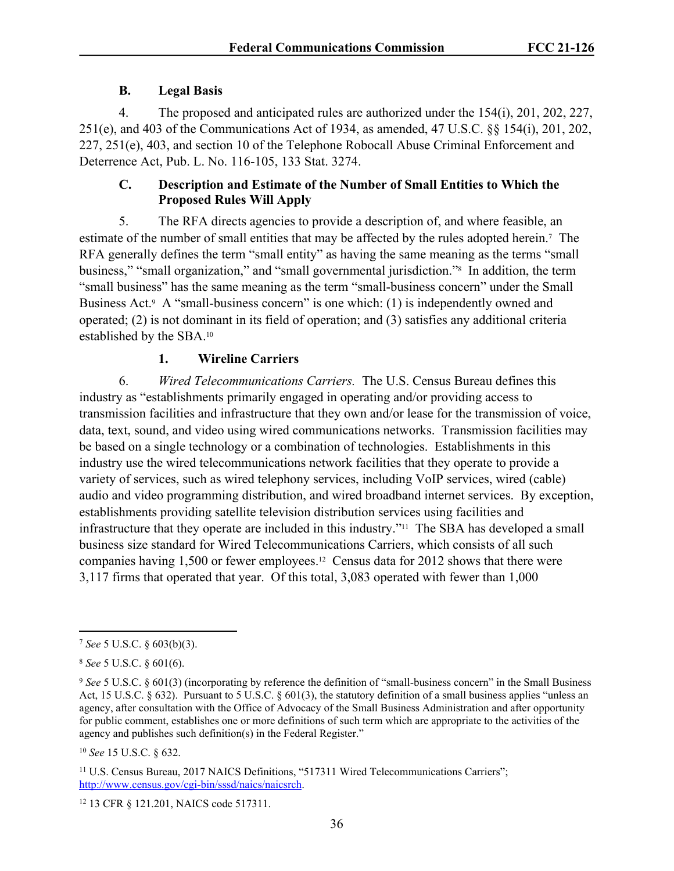# **B. Legal Basis**

4. The proposed and anticipated rules are authorized under the 154(i), 201, 202, 227, 251(e), and 403 of the Communications Act of 1934, as amended, 47 U.S.C. §§ 154(i), 201, 202, 227, 251(e), 403, and section 10 of the Telephone Robocall Abuse Criminal Enforcement and Deterrence Act, Pub. L. No. 116-105, 133 Stat. 3274.

# **C. Description and Estimate of the Number of Small Entities to Which the Proposed Rules Will Apply**

5. The RFA directs agencies to provide a description of, and where feasible, an estimate of the number of small entities that may be affected by the rules adopted herein.<sup>7</sup> The RFA generally defines the term "small entity" as having the same meaning as the terms "small business," "small organization," and "small governmental jurisdiction."<sup>8</sup> In addition, the term "small business" has the same meaning as the term "small-business concern" under the Small Business Act.<sup>9</sup> A "small-business concern" is one which: (1) is independently owned and operated; (2) is not dominant in its field of operation; and (3) satisfies any additional criteria established by the SBA.<sup>10</sup>

# **1. Wireline Carriers**

6. *Wired Telecommunications Carriers.* The U.S. Census Bureau defines this industry as "establishments primarily engaged in operating and/or providing access to transmission facilities and infrastructure that they own and/or lease for the transmission of voice, data, text, sound, and video using wired communications networks. Transmission facilities may be based on a single technology or a combination of technologies. Establishments in this industry use the wired telecommunications network facilities that they operate to provide a variety of services, such as wired telephony services, including VoIP services, wired (cable) audio and video programming distribution, and wired broadband internet services. By exception, establishments providing satellite television distribution services using facilities and infrastructure that they operate are included in this industry."11 The SBA has developed a small business size standard for Wired Telecommunications Carriers, which consists of all such companies having 1,500 or fewer employees.12 Census data for 2012 shows that there were 3,117 firms that operated that year. Of this total, 3,083 operated with fewer than 1,000

<sup>7</sup> *See* 5 U.S.C. § 603(b)(3).

<sup>8</sup> *See* 5 U.S.C. § 601(6).

<sup>9</sup> *See* 5 U.S.C. § 601(3) (incorporating by reference the definition of "small-business concern" in the Small Business Act, 15 U.S.C. § 632). Pursuant to 5 U.S.C. § 601(3), the statutory definition of a small business applies "unless an agency, after consultation with the Office of Advocacy of the Small Business Administration and after opportunity for public comment, establishes one or more definitions of such term which are appropriate to the activities of the agency and publishes such definition(s) in the Federal Register."

<sup>10</sup> *See* 15 U.S.C. § 632.

<sup>&</sup>lt;sup>11</sup> U.S. Census Bureau, 2017 NAICS Definitions, "517311 Wired Telecommunications Carriers"; <http://www.census.gov/cgi-bin/sssd/naics/naicsrch>.

<sup>12</sup> 13 CFR § 121.201, NAICS code 517311.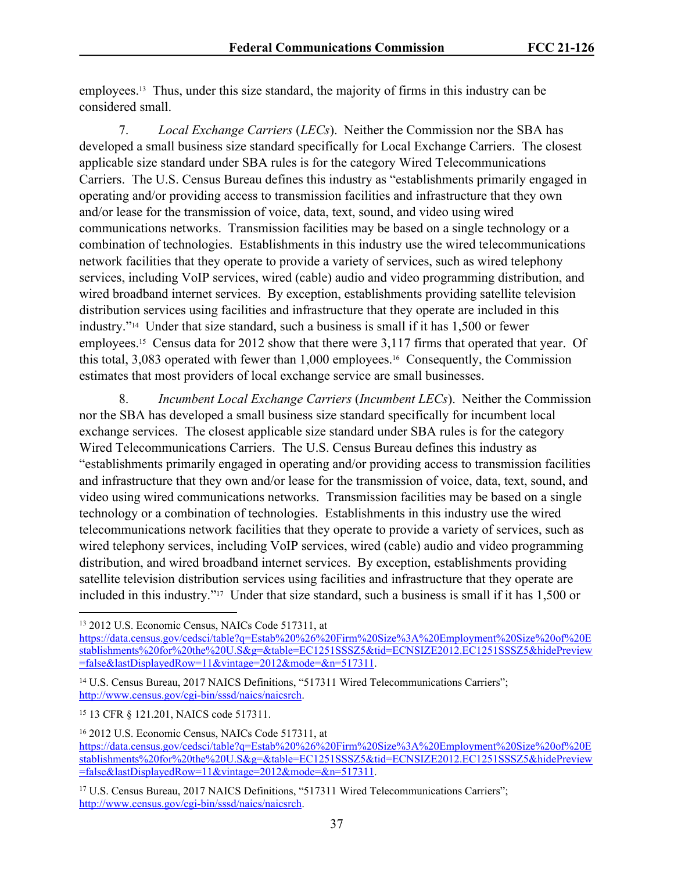employees.13 Thus, under this size standard, the majority of firms in this industry can be considered small.

7. *Local Exchange Carriers* (*LECs*). Neither the Commission nor the SBA has developed a small business size standard specifically for Local Exchange Carriers. The closest applicable size standard under SBA rules is for the category Wired Telecommunications Carriers. The U.S. Census Bureau defines this industry as "establishments primarily engaged in operating and/or providing access to transmission facilities and infrastructure that they own and/or lease for the transmission of voice, data, text, sound, and video using wired communications networks. Transmission facilities may be based on a single technology or a combination of technologies. Establishments in this industry use the wired telecommunications network facilities that they operate to provide a variety of services, such as wired telephony services, including VoIP services, wired (cable) audio and video programming distribution, and wired broadband internet services. By exception, establishments providing satellite television distribution services using facilities and infrastructure that they operate are included in this industry."14 Under that size standard, such a business is small if it has 1,500 or fewer employees.15 Census data for 2012 show that there were 3,117 firms that operated that year. Of this total, 3,083 operated with fewer than 1,000 employees.16 Consequently, the Commission estimates that most providers of local exchange service are small businesses.

8. *Incumbent Local Exchange Carriers* (*Incumbent LECs*). Neither the Commission nor the SBA has developed a small business size standard specifically for incumbent local exchange services. The closest applicable size standard under SBA rules is for the category Wired Telecommunications Carriers. The U.S. Census Bureau defines this industry as "establishments primarily engaged in operating and/or providing access to transmission facilities and infrastructure that they own and/or lease for the transmission of voice, data, text, sound, and video using wired communications networks. Transmission facilities may be based on a single technology or a combination of technologies. Establishments in this industry use the wired telecommunications network facilities that they operate to provide a variety of services, such as wired telephony services, including VoIP services, wired (cable) audio and video programming distribution, and wired broadband internet services. By exception, establishments providing satellite television distribution services using facilities and infrastructure that they operate are included in this industry."17 Under that size standard, such a business is small if it has 1,500 or

<sup>13</sup> 2012 U.S. Economic Census, NAICs Code 517311, at

[https://data.census.gov/cedsci/table?q=Estab%20%26%20Firm%20Size%3A%20Employment%20Size%20of%20E](https://data.census.gov/cedsci/table?q=Estab%20%26%20Firm%20Size%3A%20Employment%20Size%20of%20Establishments%20for%20the%20U.S&g=&table=EC1251SSSZ5&tid=ECNSIZE2012.EC1251SSSZ5&hidePreview=false&lastDisplayedRow=11&vintage=2012&mode=&n=517110) [stablishments%20for%20the%20U.S&g=&table=EC1251SSSZ5&tid=ECNSIZE2012.EC1251SSSZ5&hidePreview](https://data.census.gov/cedsci/table?q=Estab%20%26%20Firm%20Size%3A%20Employment%20Size%20of%20Establishments%20for%20the%20U.S&g=&table=EC1251SSSZ5&tid=ECNSIZE2012.EC1251SSSZ5&hidePreview=false&lastDisplayedRow=11&vintage=2012&mode=&n=517110) [=false&lastDisplayedRow=11&vintage=2012&mode=&n=517311](https://data.census.gov/cedsci/table?q=Estab%20%26%20Firm%20Size%3A%20Employment%20Size%20of%20Establishments%20for%20the%20U.S&g=&table=EC1251SSSZ5&tid=ECNSIZE2012.EC1251SSSZ5&hidePreview=false&lastDisplayedRow=11&vintage=2012&mode=&n=517110).

<sup>&</sup>lt;sup>14</sup> U.S. Census Bureau, 2017 NAICS Definitions, "517311 Wired Telecommunications Carriers"; <http://www.census.gov/cgi-bin/sssd/naics/naicsrch>.

<sup>15</sup> 13 CFR § 121.201, NAICS code 517311.

<sup>16</sup> 2012 U.S. Economic Census, NAICs Code 517311, at [https://data.census.gov/cedsci/table?q=Estab%20%26%20Firm%20Size%3A%20Employment%20Size%20of%20E](https://data.census.gov/cedsci/table?q=Estab%20%26%20Firm%20Size%3A%20Employment%20Size%20of%20Establishments%20for%20the%20U.S&g=&table=EC1251SSSZ5&tid=ECNSIZE2012.EC1251SSSZ5&hidePreview=false&lastDisplayedRow=11&vintage=2012&mode=&n=517110) [stablishments%20for%20the%20U.S&g=&table=EC1251SSSZ5&tid=ECNSIZE2012.EC1251SSSZ5&hidePreview](https://data.census.gov/cedsci/table?q=Estab%20%26%20Firm%20Size%3A%20Employment%20Size%20of%20Establishments%20for%20the%20U.S&g=&table=EC1251SSSZ5&tid=ECNSIZE2012.EC1251SSSZ5&hidePreview=false&lastDisplayedRow=11&vintage=2012&mode=&n=517110) [=false&lastDisplayedRow=11&vintage=2012&mode=&n=517311](https://data.census.gov/cedsci/table?q=Estab%20%26%20Firm%20Size%3A%20Employment%20Size%20of%20Establishments%20for%20the%20U.S&g=&table=EC1251SSSZ5&tid=ECNSIZE2012.EC1251SSSZ5&hidePreview=false&lastDisplayedRow=11&vintage=2012&mode=&n=517110).

<sup>&</sup>lt;sup>17</sup> U.S. Census Bureau, 2017 NAICS Definitions, "517311 Wired Telecommunications Carriers"; <http://www.census.gov/cgi-bin/sssd/naics/naicsrch>.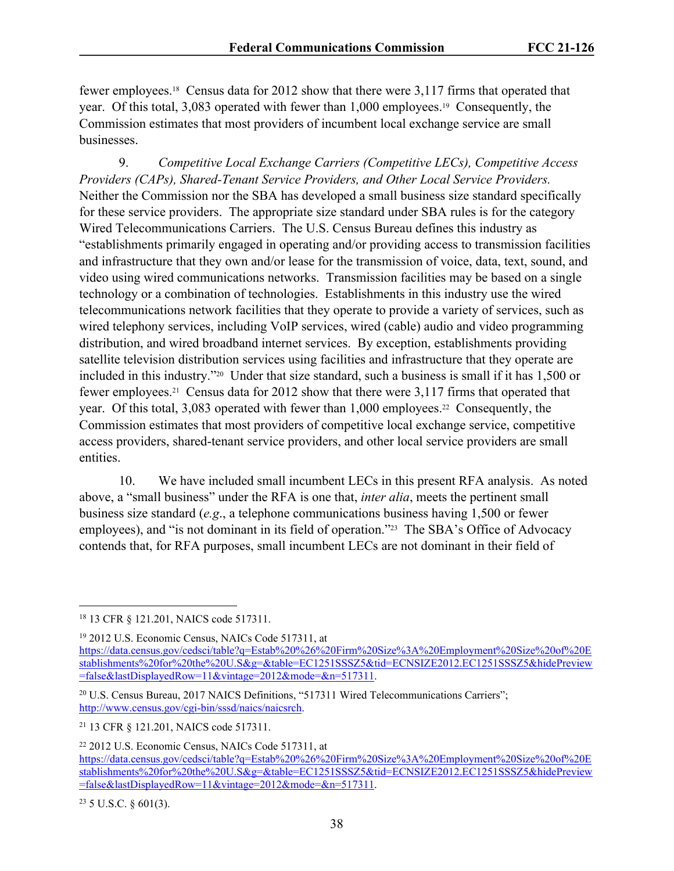fewer employees.18 Census data for 2012 show that there were 3,117 firms that operated that year. Of this total, 3,083 operated with fewer than 1,000 employees.19 Consequently, the Commission estimates that most providers of incumbent local exchange service are small businesses.

9. *Competitive Local Exchange Carriers (Competitive LECs), Competitive Access Providers (CAPs), Shared-Tenant Service Providers, and Other Local Service Providers.* Neither the Commission nor the SBA has developed a small business size standard specifically for these service providers. The appropriate size standard under SBA rules is for the category Wired Telecommunications Carriers. The U.S. Census Bureau defines this industry as "establishments primarily engaged in operating and/or providing access to transmission facilities and infrastructure that they own and/or lease for the transmission of voice, data, text, sound, and video using wired communications networks. Transmission facilities may be based on a single technology or a combination of technologies. Establishments in this industry use the wired telecommunications network facilities that they operate to provide a variety of services, such as wired telephony services, including VoIP services, wired (cable) audio and video programming distribution, and wired broadband internet services. By exception, establishments providing satellite television distribution services using facilities and infrastructure that they operate are included in this industry."20 Under that size standard, such a business is small if it has 1,500 or fewer employees.21 Census data for 2012 show that there were 3,117 firms that operated that year. Of this total, 3,083 operated with fewer than 1,000 employees.<sup>22</sup> Consequently, the Commission estimates that most providers of competitive local exchange service, competitive access providers, shared-tenant service providers, and other local service providers are small entities.

10. We have included small incumbent LECs in this present RFA analysis. As noted above, a "small business" under the RFA is one that, *inter alia*, meets the pertinent small business size standard (*e.g*., a telephone communications business having 1,500 or fewer employees), and "is not dominant in its field of operation."<sup>23</sup> The SBA's Office of Advocacy contends that, for RFA purposes, small incumbent LECs are not dominant in their field of

 $23$  5 U.S.C. § 601(3).

<sup>18</sup> 13 CFR § 121.201, NAICS code 517311.

<sup>19</sup> 2012 U.S. Economic Census, NAICs Code 517311, at [https://data.census.gov/cedsci/table?q=Estab%20%26%20Firm%20Size%3A%20Employment%20Size%20of%20E](https://data.census.gov/cedsci/table?q=Estab%20%26%20Firm%20Size%3A%20Employment%20Size%20of%20Establishments%20for%20the%20U.S&g=&table=EC1251SSSZ5&tid=ECNSIZE2012.EC1251SSSZ5&hidePreview=false&lastDisplayedRow=11&vintage=2012&mode=&n=517110) [stablishments%20for%20the%20U.S&g=&table=EC1251SSSZ5&tid=ECNSIZE2012.EC1251SSSZ5&hidePreview](https://data.census.gov/cedsci/table?q=Estab%20%26%20Firm%20Size%3A%20Employment%20Size%20of%20Establishments%20for%20the%20U.S&g=&table=EC1251SSSZ5&tid=ECNSIZE2012.EC1251SSSZ5&hidePreview=false&lastDisplayedRow=11&vintage=2012&mode=&n=517110) [=false&lastDisplayedRow=11&vintage=2012&mode=&n=517311](https://data.census.gov/cedsci/table?q=Estab%20%26%20Firm%20Size%3A%20Employment%20Size%20of%20Establishments%20for%20the%20U.S&g=&table=EC1251SSSZ5&tid=ECNSIZE2012.EC1251SSSZ5&hidePreview=false&lastDisplayedRow=11&vintage=2012&mode=&n=517110).

<sup>20</sup> U.S. Census Bureau, 2017 NAICS Definitions, "517311 Wired Telecommunications Carriers"; <http://www.census.gov/cgi-bin/sssd/naics/naicsrch>.

<sup>21</sup> 13 CFR § 121.201, NAICS code 517311.

<sup>22</sup> 2012 U.S. Economic Census, NAICs Code 517311, at [https://data.census.gov/cedsci/table?q=Estab%20%26%20Firm%20Size%3A%20Employment%20Size%20of%20E](https://data.census.gov/cedsci/table?q=Estab%20%26%20Firm%20Size%3A%20Employment%20Size%20of%20Establishments%20for%20the%20U.S&g=&table=EC1251SSSZ5&tid=ECNSIZE2012.EC1251SSSZ5&hidePreview=false&lastDisplayedRow=11&vintage=2012&mode=&n=517110) [stablishments%20for%20the%20U.S&g=&table=EC1251SSSZ5&tid=ECNSIZE2012.EC1251SSSZ5&hidePreview](https://data.census.gov/cedsci/table?q=Estab%20%26%20Firm%20Size%3A%20Employment%20Size%20of%20Establishments%20for%20the%20U.S&g=&table=EC1251SSSZ5&tid=ECNSIZE2012.EC1251SSSZ5&hidePreview=false&lastDisplayedRow=11&vintage=2012&mode=&n=517110) [=false&lastDisplayedRow=11&vintage=2012&mode=&n=517311](https://data.census.gov/cedsci/table?q=Estab%20%26%20Firm%20Size%3A%20Employment%20Size%20of%20Establishments%20for%20the%20U.S&g=&table=EC1251SSSZ5&tid=ECNSIZE2012.EC1251SSSZ5&hidePreview=false&lastDisplayedRow=11&vintage=2012&mode=&n=517110).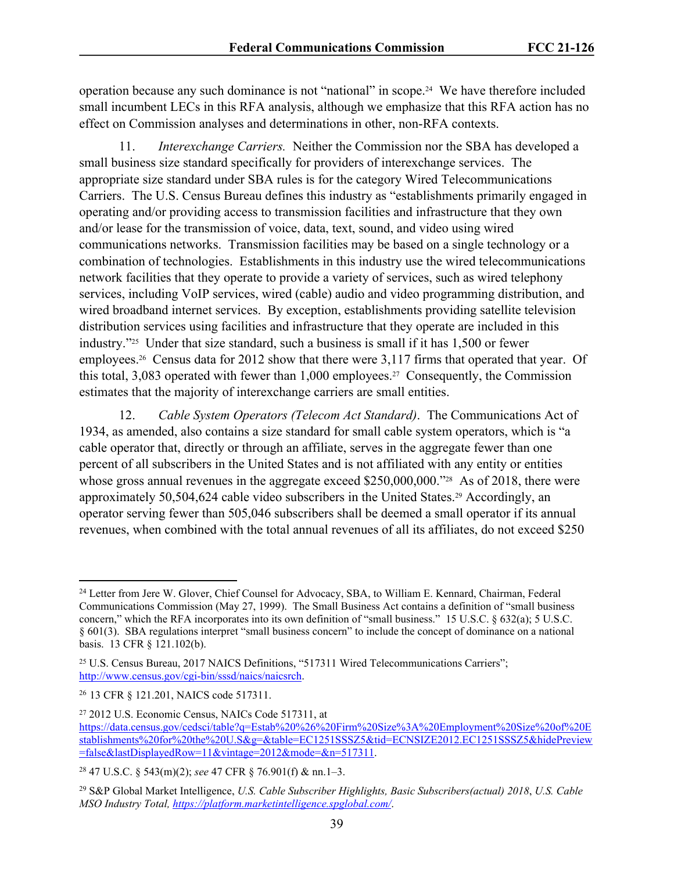operation because any such dominance is not "national" in scope.24 We have therefore included small incumbent LECs in this RFA analysis, although we emphasize that this RFA action has no effect on Commission analyses and determinations in other, non-RFA contexts.

11. *Interexchange Carriers.* Neither the Commission nor the SBA has developed a small business size standard specifically for providers of interexchange services. The appropriate size standard under SBA rules is for the category Wired Telecommunications Carriers. The U.S. Census Bureau defines this industry as "establishments primarily engaged in operating and/or providing access to transmission facilities and infrastructure that they own and/or lease for the transmission of voice, data, text, sound, and video using wired communications networks. Transmission facilities may be based on a single technology or a combination of technologies. Establishments in this industry use the wired telecommunications network facilities that they operate to provide a variety of services, such as wired telephony services, including VoIP services, wired (cable) audio and video programming distribution, and wired broadband internet services. By exception, establishments providing satellite television distribution services using facilities and infrastructure that they operate are included in this industry."25 Under that size standard, such a business is small if it has 1,500 or fewer employees.26 Census data for 2012 show that there were 3,117 firms that operated that year. Of this total, 3,083 operated with fewer than 1,000 employees.27 Consequently, the Commission estimates that the majority of interexchange carriers are small entities.

12. *Cable System Operators (Telecom Act Standard)*. The Communications Act of 1934, as amended, also contains a size standard for small cable system operators, which is "a cable operator that, directly or through an affiliate, serves in the aggregate fewer than one percent of all subscribers in the United States and is not affiliated with any entity or entities whose gross annual revenues in the aggregate exceed \$250,000,000."<sup>28</sup> As of 2018, there were approximately 50,504,624 cable video subscribers in the United States.29 Accordingly, an operator serving fewer than 505,046 subscribers shall be deemed a small operator if its annual revenues, when combined with the total annual revenues of all its affiliates, do not exceed \$250

<sup>24</sup> Letter from Jere W. Glover, Chief Counsel for Advocacy, SBA, to William E. Kennard, Chairman, Federal Communications Commission (May 27, 1999). The Small Business Act contains a definition of "small business concern," which the RFA incorporates into its own definition of "small business." 15 U.S.C. § 632(a); 5 U.S.C. § 601(3). SBA regulations interpret "small business concern" to include the concept of dominance on a national basis. 13 CFR § 121.102(b).

<sup>25</sup> U.S. Census Bureau, 2017 NAICS Definitions, "517311 Wired Telecommunications Carriers"; <http://www.census.gov/cgi-bin/sssd/naics/naicsrch>.

<sup>26</sup> 13 CFR § 121.201, NAICS code 517311.

<sup>27</sup> 2012 U.S. Economic Census, NAICs Code 517311, at [https://data.census.gov/cedsci/table?q=Estab%20%26%20Firm%20Size%3A%20Employment%20Size%20of%20E](https://data.census.gov/cedsci/table?q=Estab%20%26%20Firm%20Size%3A%20Employment%20Size%20of%20Establishments%20for%20the%20U.S&g=&table=EC1251SSSZ5&tid=ECNSIZE2012.EC1251SSSZ5&hidePreview=false&lastDisplayedRow=11&vintage=2012&mode=&n=517110) [stablishments%20for%20the%20U.S&g=&table=EC1251SSSZ5&tid=ECNSIZE2012.EC1251SSSZ5&hidePreview](https://data.census.gov/cedsci/table?q=Estab%20%26%20Firm%20Size%3A%20Employment%20Size%20of%20Establishments%20for%20the%20U.S&g=&table=EC1251SSSZ5&tid=ECNSIZE2012.EC1251SSSZ5&hidePreview=false&lastDisplayedRow=11&vintage=2012&mode=&n=517110) [=false&lastDisplayedRow=11&vintage=2012&mode=&n=517311](https://data.census.gov/cedsci/table?q=Estab%20%26%20Firm%20Size%3A%20Employment%20Size%20of%20Establishments%20for%20the%20U.S&g=&table=EC1251SSSZ5&tid=ECNSIZE2012.EC1251SSSZ5&hidePreview=false&lastDisplayedRow=11&vintage=2012&mode=&n=517110).

<sup>28</sup> 47 U.S.C. § 543(m)(2); *see* 47 CFR § 76.901(f) & nn.1–3.

<sup>29</sup> S&P Global Market Intelligence, *U.S. Cable Subscriber Highlights, Basic Subscribers(actual) 2018*, *U.S. Cable MSO Industry Total, <https://platform.marketintelligence.spglobal.com/>*.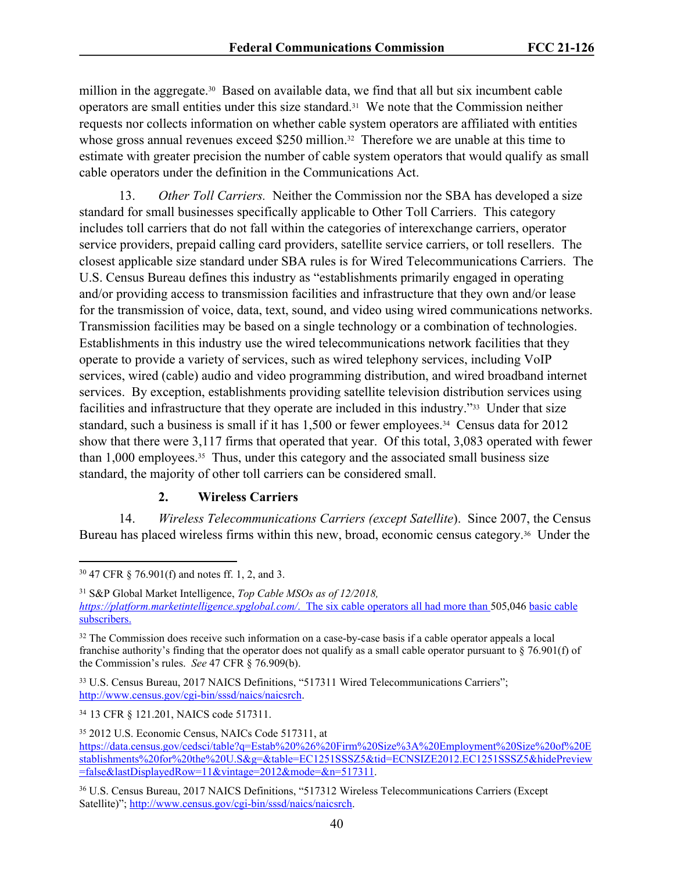million in the aggregate.<sup>30</sup> Based on available data, we find that all but six incumbent cable operators are small entities under this size standard.31 We note that the Commission neither requests nor collects information on whether cable system operators are affiliated with entities whose gross annual revenues exceed \$250 million.<sup>32</sup> Therefore we are unable at this time to estimate with greater precision the number of cable system operators that would qualify as small cable operators under the definition in the Communications Act.

13. *Other Toll Carriers.* Neither the Commission nor the SBA has developed a size standard for small businesses specifically applicable to Other Toll Carriers. This category includes toll carriers that do not fall within the categories of interexchange carriers, operator service providers, prepaid calling card providers, satellite service carriers, or toll resellers. The closest applicable size standard under SBA rules is for Wired Telecommunications Carriers. The U.S. Census Bureau defines this industry as "establishments primarily engaged in operating and/or providing access to transmission facilities and infrastructure that they own and/or lease for the transmission of voice, data, text, sound, and video using wired communications networks. Transmission facilities may be based on a single technology or a combination of technologies. Establishments in this industry use the wired telecommunications network facilities that they operate to provide a variety of services, such as wired telephony services, including VoIP services, wired (cable) audio and video programming distribution, and wired broadband internet services. By exception, establishments providing satellite television distribution services using facilities and infrastructure that they operate are included in this industry."33 Under that size standard, such a business is small if it has 1,500 or fewer employees.<sup>34</sup> Census data for 2012 show that there were 3,117 firms that operated that year. Of this total, 3,083 operated with fewer than 1,000 employees.35 Thus, under this category and the associated small business size standard, the majority of other toll carriers can be considered small.

# **2. Wireless Carriers**

14. *Wireless Telecommunications Carriers (except Satellite*). Since 2007, the Census Bureau has placed wireless firms within this new, broad, economic census category.<sup>36</sup> Under the

<sup>30</sup> 47 CFR § 76.901(f) and notes ff. 1, 2, and 3.

<sup>31</sup> S&P Global Market Intelligence, *Top Cable MSOs as of 12/2018, <https://platform.marketintelligence.spglobal.com/>*. The six cable operators all had more than 505,046 basic cable subscribers.

<sup>&</sup>lt;sup>32</sup> The Commission does receive such information on a case-by-case basis if a cable operator appeals a local franchise authority's finding that the operator does not qualify as a small cable operator pursuant to  $\S$  76.901(f) of the Commission's rules. *See* 47 CFR § 76.909(b).

<sup>33</sup> U.S. Census Bureau, 2017 NAICS Definitions, "517311 Wired Telecommunications Carriers"; <http://www.census.gov/cgi-bin/sssd/naics/naicsrch>.

<sup>34</sup> 13 CFR § 121.201, NAICS code 517311.

<sup>35</sup> 2012 U.S. Economic Census, NAICs Code 517311, at

[https://data.census.gov/cedsci/table?q=Estab%20%26%20Firm%20Size%3A%20Employment%20Size%20of%20E](https://data.census.gov/cedsci/table?q=Estab%20%26%20Firm%20Size%3A%20Employment%20Size%20of%20Establishments%20for%20the%20U.S&g=&table=EC1251SSSZ5&tid=ECNSIZE2012.EC1251SSSZ5&hidePreview=false&lastDisplayedRow=11&vintage=2012&mode=&n=517110) [stablishments%20for%20the%20U.S&g=&table=EC1251SSSZ5&tid=ECNSIZE2012.EC1251SSSZ5&hidePreview](https://data.census.gov/cedsci/table?q=Estab%20%26%20Firm%20Size%3A%20Employment%20Size%20of%20Establishments%20for%20the%20U.S&g=&table=EC1251SSSZ5&tid=ECNSIZE2012.EC1251SSSZ5&hidePreview=false&lastDisplayedRow=11&vintage=2012&mode=&n=517110) [=false&lastDisplayedRow=11&vintage=2012&mode=&n=517311](https://data.census.gov/cedsci/table?q=Estab%20%26%20Firm%20Size%3A%20Employment%20Size%20of%20Establishments%20for%20the%20U.S&g=&table=EC1251SSSZ5&tid=ECNSIZE2012.EC1251SSSZ5&hidePreview=false&lastDisplayedRow=11&vintage=2012&mode=&n=517110).

<sup>36</sup> U.S. Census Bureau, 2017 NAICS Definitions, "517312 Wireless Telecommunications Carriers (Except Satellite)"; <http://www.census.gov/cgi-bin/sssd/naics/naicsrch>.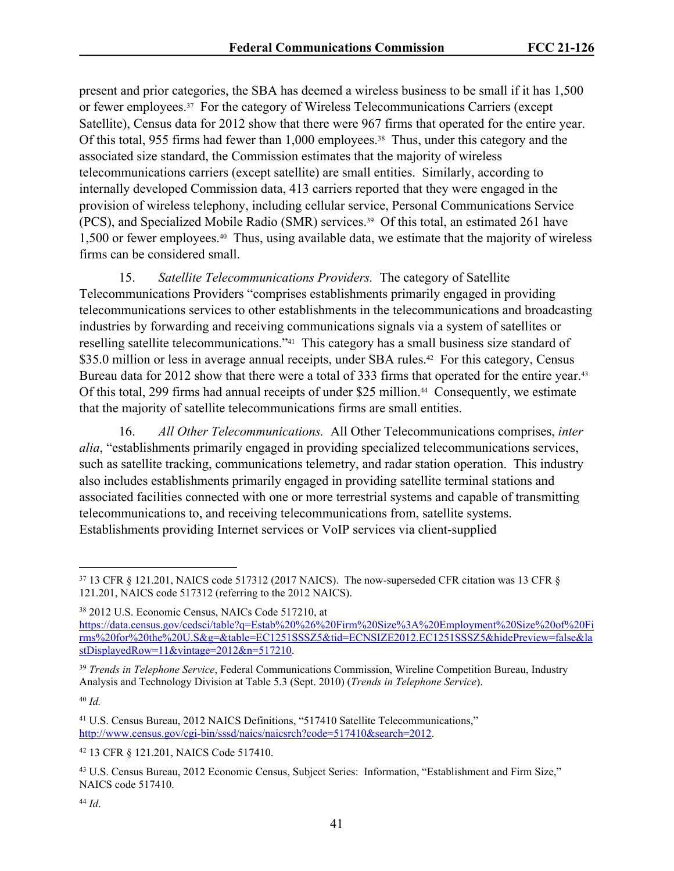present and prior categories, the SBA has deemed a wireless business to be small if it has 1,500 or fewer employees.37 For the category of Wireless Telecommunications Carriers (except Satellite), Census data for 2012 show that there were 967 firms that operated for the entire year. Of this total, 955 firms had fewer than 1,000 employees.<sup>38</sup> Thus, under this category and the associated size standard, the Commission estimates that the majority of wireless telecommunications carriers (except satellite) are small entities. Similarly, according to internally developed Commission data, 413 carriers reported that they were engaged in the provision of wireless telephony, including cellular service, Personal Communications Service (PCS), and Specialized Mobile Radio (SMR) services.39 Of this total, an estimated 261 have 1,500 or fewer employees.40 Thus, using available data, we estimate that the majority of wireless firms can be considered small.

15. *Satellite Telecommunications Providers.* The category of Satellite Telecommunications Providers "comprises establishments primarily engaged in providing telecommunications services to other establishments in the telecommunications and broadcasting industries by forwarding and receiving communications signals via a system of satellites or reselling satellite telecommunications."41 This category has a small business size standard of \$35.0 million or less in average annual receipts, under SBA rules.<sup>42</sup> For this category, Census Bureau data for 2012 show that there were a total of 333 firms that operated for the entire year.<sup>43</sup> Of this total, 299 firms had annual receipts of under \$25 million.<sup>44</sup> Consequently, we estimate that the majority of satellite telecommunications firms are small entities.

16. *All Other Telecommunications.* All Other Telecommunications comprises, *inter alia*, "establishments primarily engaged in providing specialized telecommunications services, such as satellite tracking, communications telemetry, and radar station operation. This industry also includes establishments primarily engaged in providing satellite terminal stations and associated facilities connected with one or more terrestrial systems and capable of transmitting telecommunications to, and receiving telecommunications from, satellite systems. Establishments providing Internet services or VoIP services via client-supplied

<sup>40</sup> *Id.*

<sup>37</sup> 13 CFR § 121.201, NAICS code 517312 (2017 NAICS). The now-superseded CFR citation was 13 CFR § 121.201, NAICS code 517312 (referring to the 2012 NAICS).

<sup>38</sup> 2012 U.S. Economic Census, NAICs Code 517210, at

[https://data.census.gov/cedsci/table?q=Estab%20%26%20Firm%20Size%3A%20Employment%20Size%20of%20Fi](https://data.census.gov/cedsci/table?q=Estab%20%26%20Firm%20Size%3A%20Employment%20Size%20of%20Firms%20for%20the%20U.S&g=&table=EC1251SSSZ5&tid=ECNSIZE2012.EC1251SSSZ5&hidePreview=false&lastDisplayedRow=11&vintage=2012&n=517210) [rms%20for%20the%20U.S&g=&table=EC1251SSSZ5&tid=ECNSIZE2012.EC1251SSSZ5&hidePreview=false&la](https://data.census.gov/cedsci/table?q=Estab%20%26%20Firm%20Size%3A%20Employment%20Size%20of%20Firms%20for%20the%20U.S&g=&table=EC1251SSSZ5&tid=ECNSIZE2012.EC1251SSSZ5&hidePreview=false&lastDisplayedRow=11&vintage=2012&n=517210) [stDisplayedRow=11&vintage=2012&n=517210](https://data.census.gov/cedsci/table?q=Estab%20%26%20Firm%20Size%3A%20Employment%20Size%20of%20Firms%20for%20the%20U.S&g=&table=EC1251SSSZ5&tid=ECNSIZE2012.EC1251SSSZ5&hidePreview=false&lastDisplayedRow=11&vintage=2012&n=517210).

<sup>39</sup> *Trends in Telephone Service*, Federal Communications Commission, Wireline Competition Bureau, Industry Analysis and Technology Division at Table 5.3 (Sept. 2010) (*Trends in Telephone Service*).

<sup>41</sup> U.S. Census Bureau, 2012 NAICS Definitions, "517410 Satellite Telecommunications," <http://www.census.gov/cgi-bin/sssd/naics/naicsrch?code=517410&search=2012>.

<sup>42</sup> 13 CFR § 121.201, NAICS Code 517410.

<sup>43</sup> U.S. Census Bureau, 2012 Economic Census, Subject Series: Information, "Establishment and Firm Size," NAICS code 517410.

<sup>44</sup> *Id*.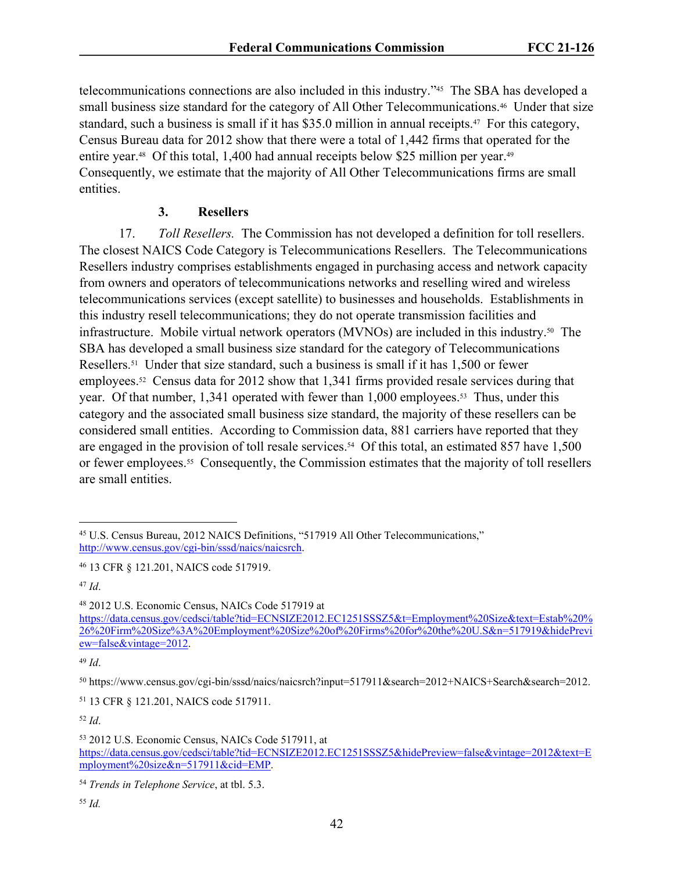telecommunications connections are also included in this industry."45 The SBA has developed a small business size standard for the category of All Other Telecommunications.46 Under that size standard, such a business is small if it has \$35.0 million in annual receipts.47 For this category, Census Bureau data for 2012 show that there were a total of 1,442 firms that operated for the entire year.<sup>48</sup> Of this total, 1,400 had annual receipts below \$25 million per year.<sup>49</sup> Consequently, we estimate that the majority of All Other Telecommunications firms are small entities.

# **3. Resellers**

17. *Toll Resellers.* The Commission has not developed a definition for toll resellers. The closest NAICS Code Category is Telecommunications Resellers. The Telecommunications Resellers industry comprises establishments engaged in purchasing access and network capacity from owners and operators of telecommunications networks and reselling wired and wireless telecommunications services (except satellite) to businesses and households. Establishments in this industry resell telecommunications; they do not operate transmission facilities and infrastructure. Mobile virtual network operators (MVNOs) are included in this industry.50 The SBA has developed a small business size standard for the category of Telecommunications Resellers.51 Under that size standard, such a business is small if it has 1,500 or fewer employees.52 Census data for 2012 show that 1,341 firms provided resale services during that year. Of that number, 1,341 operated with fewer than 1,000 employees.<sup>53</sup> Thus, under this category and the associated small business size standard, the majority of these resellers can be considered small entities. According to Commission data, 881 carriers have reported that they are engaged in the provision of toll resale services.<sup>54</sup> Of this total, an estimated 857 have 1,500 or fewer employees.55 Consequently, the Commission estimates that the majority of toll resellers are small entities.

<sup>47</sup> *Id*.

<sup>48</sup> 2012 U.S. Economic Census, NAICs Code 517919 at

<sup>49</sup> *Id*.

<sup>52</sup> *Id*.

<sup>45</sup> U.S. Census Bureau, 2012 NAICS Definitions, "517919 All Other Telecommunications," <http://www.census.gov/cgi-bin/sssd/naics/naicsrch>.

<sup>46</sup> 13 CFR § 121.201, NAICS code 517919.

[https://data.census.gov/cedsci/table?tid=ECNSIZE2012.EC1251SSSZ5&t=Employment%20Size&text=Estab%20%](https://data.census.gov/cedsci/table?tid=ECNSIZE2012.EC1251SSSZ5&t=Employment%20Size&text=Estab%20%26%20Firm%20Size%3A%20Employment%20Size%20of%20Firms%20for%20the%20U.S&n=517919&hidePreview=false&vintage=2012) [26%20Firm%20Size%3A%20Employment%20Size%20of%20Firms%20for%20the%20U.S&n=517919&hidePrevi](https://data.census.gov/cedsci/table?tid=ECNSIZE2012.EC1251SSSZ5&t=Employment%20Size&text=Estab%20%26%20Firm%20Size%3A%20Employment%20Size%20of%20Firms%20for%20the%20U.S&n=517919&hidePreview=false&vintage=2012) [ew=false&vintage=2012](https://data.census.gov/cedsci/table?tid=ECNSIZE2012.EC1251SSSZ5&t=Employment%20Size&text=Estab%20%26%20Firm%20Size%3A%20Employment%20Size%20of%20Firms%20for%20the%20U.S&n=517919&hidePreview=false&vintage=2012).

<sup>50</sup> https://www.census.gov/cgi-bin/sssd/naics/naicsrch?input=517911&search=2012+NAICS+Search&search=2012.

<sup>51</sup> 13 CFR § 121.201, NAICS code 517911.

<sup>53</sup> 2012 U.S. Economic Census, NAICs Code 517911, at [https://data.census.gov/cedsci/table?tid=ECNSIZE2012.EC1251SSSZ5&hidePreview=false&vintage=2012&text=E](https://data.census.gov/cedsci/table?tid=ECNSIZE2012.EC1251SSSZ5&hidePreview=false&vintage=2012&text=Employment%20size&n=517911&cid=EMP) [mployment%20size&n=517911&cid=EMP](https://data.census.gov/cedsci/table?tid=ECNSIZE2012.EC1251SSSZ5&hidePreview=false&vintage=2012&text=Employment%20size&n=517911&cid=EMP).

<sup>54</sup> *Trends in Telephone Service*, at tbl. 5.3.

<sup>55</sup> *Id.*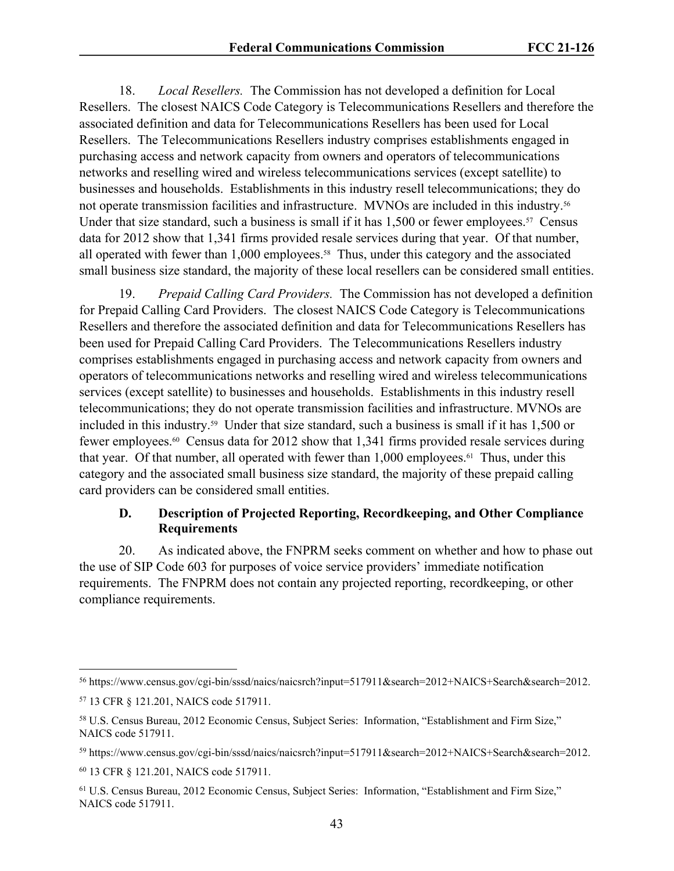18. *Local Resellers.* The Commission has not developed a definition for Local Resellers. The closest NAICS Code Category is Telecommunications Resellers and therefore the associated definition and data for Telecommunications Resellers has been used for Local Resellers. The Telecommunications Resellers industry comprises establishments engaged in purchasing access and network capacity from owners and operators of telecommunications networks and reselling wired and wireless telecommunications services (except satellite) to businesses and households. Establishments in this industry resell telecommunications; they do not operate transmission facilities and infrastructure. MVNOs are included in this industry.<sup>56</sup> Under that size standard, such a business is small if it has  $1,500$  or fewer employees.<sup>57</sup> Census data for 2012 show that 1,341 firms provided resale services during that year. Of that number, all operated with fewer than 1,000 employees.<sup>58</sup> Thus, under this category and the associated small business size standard, the majority of these local resellers can be considered small entities.

19. *Prepaid Calling Card Providers.* The Commission has not developed a definition for Prepaid Calling Card Providers. The closest NAICS Code Category is Telecommunications Resellers and therefore the associated definition and data for Telecommunications Resellers has been used for Prepaid Calling Card Providers. The Telecommunications Resellers industry comprises establishments engaged in purchasing access and network capacity from owners and operators of telecommunications networks and reselling wired and wireless telecommunications services (except satellite) to businesses and households. Establishments in this industry resell telecommunications; they do not operate transmission facilities and infrastructure. MVNOs are included in this industry.59 Under that size standard, such a business is small if it has 1,500 or fewer employees.60 Census data for 2012 show that 1,341 firms provided resale services during that year. Of that number, all operated with fewer than 1,000 employees.61 Thus, under this category and the associated small business size standard, the majority of these prepaid calling card providers can be considered small entities.

# **D. Description of Projected Reporting, Recordkeeping, and Other Compliance Requirements**

20. As indicated above, the FNPRM seeks comment on whether and how to phase out the use of SIP Code 603 for purposes of voice service providers' immediate notification requirements. The FNPRM does not contain any projected reporting, recordkeeping, or other compliance requirements.

<sup>56</sup> https://www.census.gov/cgi-bin/sssd/naics/naicsrch?input=517911&search=2012+NAICS+Search&search=2012.

<sup>57</sup> 13 CFR § 121.201, NAICS code 517911.

<sup>58</sup> U.S. Census Bureau, 2012 Economic Census, Subject Series: Information, "Establishment and Firm Size," NAICS code 517911.

<sup>59</sup> https://www.census.gov/cgi-bin/sssd/naics/naicsrch?input=517911&search=2012+NAICS+Search&search=2012.

<sup>60</sup> 13 CFR § 121.201, NAICS code 517911.

<sup>61</sup> U.S. Census Bureau, 2012 Economic Census, Subject Series: Information, "Establishment and Firm Size," NAICS code 517911.